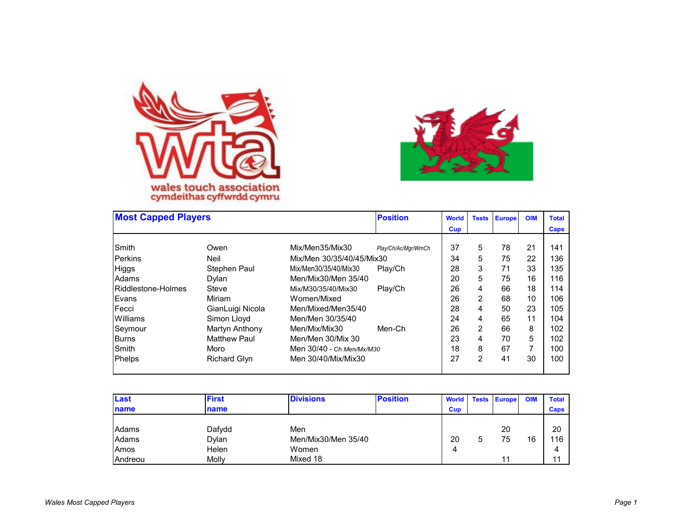



| <b>Most Capped Players</b> |                     |                           | <b>Position</b>     | <b>World</b> | <b>Tests</b>   | <b>Europe</b> | <b>OIM</b> | <b>Total</b> |
|----------------------------|---------------------|---------------------------|---------------------|--------------|----------------|---------------|------------|--------------|
|                            |                     |                           |                     | <b>Cup</b>   |                |               |            | Caps         |
| Smith                      | Owen                | Mix/Men35/Mix30           | Play/Ch/Ac/Mgr/WmCh | 37           | 5              | 78            | 21         | 141          |
| Perkins                    | <b>Neil</b>         | Mix/Men 30/35/40/45/Mix30 |                     | 34           | 5              | 75            | 22         | 136          |
| Higgs                      | Stephen Paul        | Mix/Men30/35/40/Mix30     | Play/Ch             | 28           | 3              | 71            | 33         | 135          |
| Adams                      | Dylan               | Men/Mix30/Men 35/40       |                     | 20           | 5              | 75            | 16         | 116          |
| Riddlestone-Holmes         | Steve               | Mix/M30/35/40/Mix30       | Play/Ch             | 26           | 4              | 66            | 18         | 114          |
| Evans                      | Miriam              | Women/Mixed               |                     | 26           | 2              | 68            | 10         | 106          |
| Fecci                      | GianLuigi Nicola    | Men/Mixed/Men35/40        |                     | 28           | $\overline{4}$ | 50            | 23         | 105          |
| Williams                   | Simon Lloyd         | Men/Men 30/35/40          |                     | 24           | 4              | 65            | 11         | 104          |
| Seymour                    | Martyn Anthony      | Men/Mix/Mix30             | Men-Ch              | 26           | 2              | 66            | 8          | 102          |
| Burns                      | <b>Matthew Paul</b> | Men/Men 30/Mix 30         |                     | 23           | 4              | 70            | 5          | 102          |
| Smith                      | Moro                | Men 30/40 - Ch Men/Mx/M30 |                     | 18           | 8              | 67            | 7          | 100          |
| Phelps                     | <b>Richard Glyn</b> | Men 30/40/Mix/Mix30       |                     | 27           | 2              | 41            | 30         | 100          |

| Last         | <b>First</b> | <b>Divisions</b>    | <b>Position</b> | World      |   | <b>Tests Europe</b> | <b>OIM</b> | <b>Total</b> |
|--------------|--------------|---------------------|-----------------|------------|---|---------------------|------------|--------------|
| <b>Iname</b> | name         |                     |                 | <b>Cup</b> |   |                     |            | Caps         |
|              |              |                     |                 |            |   |                     |            |              |
| Adams        | Dafydd       | Men                 |                 |            |   | 20                  |            | 20           |
| Adams        | Dylan        | Men/Mix30/Men 35/40 |                 | 20         | 5 | 75                  | 16         | 116          |
| Amos         | Helen        | Women               |                 | 4          |   |                     |            | 4            |
| Andreou      | Molly        | Mixed 18            |                 |            |   | 11                  |            | 11           |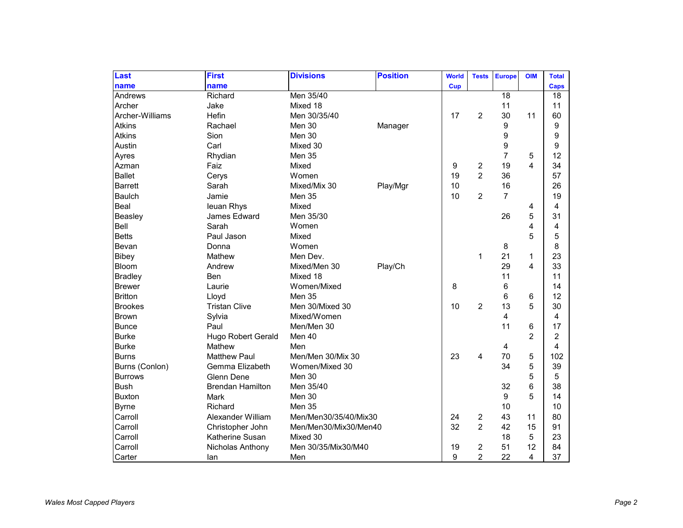| Last            | <b>First</b>              | <b>Divisions</b>      | <b>Position</b> | <b>World</b> | <b>Tests</b>   | <b>Europe</b>  | <b>OIM</b>     | <b>Total</b>   |
|-----------------|---------------------------|-----------------------|-----------------|--------------|----------------|----------------|----------------|----------------|
| name            | name                      |                       |                 | <b>Cup</b>   |                |                |                | <b>Caps</b>    |
| Andrews         | Richard                   | Men 35/40             |                 |              |                | 18             |                | 18             |
| Archer          | Jake                      | Mixed 18              |                 |              |                | 11             |                | 11             |
| Archer-Williams | Hefin                     | Men 30/35/40          |                 | 17           | 2              | 30             | 11             | 60             |
| <b>Atkins</b>   | Rachael                   | Men 30                | Manager         |              |                | 9              |                | 9              |
| <b>Atkins</b>   | Sion                      | Men 30                |                 |              |                | 9              |                | 9              |
| Austin          | Carl                      | Mixed 30              |                 |              |                | 9              |                | 9              |
| Ayres           | Rhydian                   | Men 35                |                 |              |                | 7              | 5              | 12             |
| Azman           | Faiz                      | Mixed                 |                 | 9            | 2              | 19             | 4              | 34             |
| <b>Ballet</b>   | Cerys                     | Women                 |                 | 19           | $\overline{2}$ | 36             |                | 57             |
| <b>Barrett</b>  | Sarah                     | Mixed/Mix 30          | Play/Mgr        | 10           |                | 16             |                | 26             |
| <b>Baulch</b>   | Jamie                     | Men 35                |                 | 10           | $\overline{2}$ | $\overline{7}$ |                | 19             |
| Beal            | leuan Rhys                | Mixed                 |                 |              |                |                | 4              | 4              |
| Beasley         | James Edward              | Men 35/30             |                 |              |                | 26             | 5              | 31             |
| Bell            | Sarah                     | Women                 |                 |              |                |                | 4              | 4              |
| <b>Betts</b>    | Paul Jason                | Mixed                 |                 |              |                |                | 5              | 5              |
| Bevan           | Donna                     | Women                 |                 |              |                | 8              |                | 8              |
| Bibey           | Mathew                    | Men Dev.              |                 |              | 1              | 21             | 1              | 23             |
| <b>Bloom</b>    | Andrew                    | Mixed/Men 30          | Play/Ch         |              |                | 29             | 4              | 33             |
| <b>Bradley</b>  | Ben                       | Mixed 18              |                 |              |                | 11             |                | 11             |
| <b>Brewer</b>   | Laurie                    | Women/Mixed           |                 | 8            |                | 6              |                | 14             |
| <b>Britton</b>  | Lloyd                     | Men 35                |                 |              |                | 6              | 6              | 12             |
| <b>Brookes</b>  | <b>Tristan Clive</b>      | Men 30/Mixed 30       |                 | 10           | 2              | 13             | 5              | 30             |
| Brown           | Sylvia                    | Mixed/Women           |                 |              |                | 4              |                | 4              |
| <b>Bunce</b>    | Paul                      | Men/Men 30            |                 |              |                | 11             | 6              | 17             |
| <b>Burke</b>    | <b>Hugo Robert Gerald</b> | Men 40                |                 |              |                |                | $\overline{2}$ | $\overline{c}$ |
| <b>Burke</b>    | Mathew                    | Men                   |                 |              |                | 4              |                | 4              |
| <b>Burns</b>    | <b>Matthew Paul</b>       | Men/Men 30/Mix 30     |                 | 23           | 4              | 70             | 5              | 102            |
| Burns (Conlon)  | Gemma Elizabeth           | Women/Mixed 30        |                 |              |                | 34             | 5              | 39             |
| <b>Burrows</b>  | Glenn Dene                | Men 30                |                 |              |                |                | 5              | 5              |
| <b>Bush</b>     | <b>Brendan Hamilton</b>   | Men 35/40             |                 |              |                | 32             | 6              | 38             |
| <b>Buxton</b>   | Mark                      | Men 30                |                 |              |                | 9              | 5              | 14             |
| <b>Byrne</b>    | Richard                   | Men 35                |                 |              |                | 10             |                | 10             |
| Carroll         | Alexander William         | Men/Men30/35/40/Mix30 |                 | 24           | $\overline{c}$ | 43             | 11             | 80             |
| Carroll         | Christopher John          | Men/Men30/Mix30/Men40 |                 | 32           | $\overline{2}$ | 42             | 15             | 91             |
| Carroll         | Katherine Susan           | Mixed 30              |                 |              |                | 18             | 5              | 23             |
| Carroll         | Nicholas Anthony          | Men 30/35/Mix30/M40   |                 | 19           | 2              | 51             | 12             | 84             |
| Carter          | lan                       | Men                   |                 | 9            | $\overline{c}$ | 22             | 4              | 37             |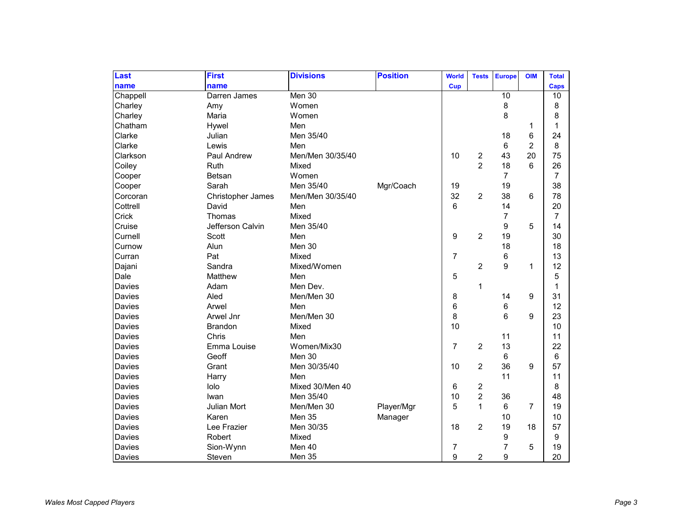| Last     | <b>First</b>      | <b>Divisions</b> | <b>Position</b> | <b>World</b>   | <b>Tests</b>   | <b>Europe</b>   | <b>OIM</b>     | <b>Total</b> |
|----------|-------------------|------------------|-----------------|----------------|----------------|-----------------|----------------|--------------|
| name     | name              |                  |                 | <b>Cup</b>     |                |                 |                | Caps         |
| Chappell | Darren James      | Men 30           |                 |                |                | $\overline{10}$ |                | 10           |
| Charley  | Amy               | Women            |                 |                |                | 8               |                | 8            |
| Charley  | Maria             | Women            |                 |                |                | 8               |                | 8            |
| Chatham  | Hywel             | Men              |                 |                |                |                 | 1              | $\mathbf{1}$ |
| Clarke   | Julian            | Men 35/40        |                 |                |                | 18              | 6              | 24           |
| Clarke   | Lewis             | Men              |                 |                |                | 6               | $\overline{c}$ | 8            |
| Clarkson | Paul Andrew       | Men/Men 30/35/40 |                 | 10             | $\overline{c}$ | 43              | 20             | 75           |
| Coiley   | Ruth              | Mixed            |                 |                | $\overline{2}$ | 18              | 6              | 26           |
| Cooper   | Betsan            | Women            |                 |                |                | 7               |                | 7            |
| Cooper   | Sarah             | Men 35/40        | Mgr/Coach       | 19             |                | 19              |                | 38           |
| Corcoran | Christopher James | Men/Men 30/35/40 |                 | 32             | $\overline{c}$ | 38              | 6              | 78           |
| Cottrell | David             | Men              |                 | 6              |                | 14              |                | 20           |
| Crick    | Thomas            | Mixed            |                 |                |                | 7               |                | 7            |
| Cruise   | Jefferson Calvin  | Men 35/40        |                 |                |                | 9               | 5              | 14           |
| Curnell  | Scott             | Men              |                 | 9              | $\overline{c}$ | 19              |                | 30           |
| Curnow   | Alun              | Men 30           |                 |                |                | 18              |                | 18           |
| Curran   | Pat               | Mixed            |                 | $\overline{7}$ |                | 6               |                | 13           |
| Dajani   | Sandra            | Mixed/Women      |                 |                | $\overline{c}$ | 9               | 1              | 12           |
| Dale     | Matthew           | Men              |                 | 5              |                |                 |                | 5            |
| Davies   | Adam              | Men Dev.         |                 |                | 1              |                 |                | 1            |
| Davies   | Aled              | Men/Men 30       |                 | 8              |                | 14              | 9              | 31           |
| Davies   | Arwel             | Men              |                 | 6              |                | 6               |                | 12           |
| Davies   | Arwel Jnr         | Men/Men 30       |                 | 8              |                | 6               | 9              | 23           |
| Davies   | <b>Brandon</b>    | Mixed            |                 | 10             |                |                 |                | 10           |
| Davies   | Chris             | Men              |                 |                |                | 11              |                | 11           |
| Davies   | Emma Louise       | Women/Mix30      |                 | $\overline{7}$ | $\overline{2}$ | 13              |                | 22           |
| Davies   | Geoff             | Men 30           |                 |                |                | 6               |                | 6            |
| Davies   | Grant             | Men 30/35/40     |                 | 10             | 2              | 36              | 9              | 57           |
| Davies   | Harry             | Men              |                 |                |                | 11              |                | 11           |
| Davies   | lolo              | Mixed 30/Men 40  |                 | 6              | $\overline{c}$ |                 |                | 8            |
| Davies   | Iwan              | Men 35/40        |                 | 10             | $\overline{2}$ | 36              |                | 48           |
| Davies   | Julian Mort       | Men/Men 30       | Player/Mgr      | 5              | $\mathbf 1$    | 6               | $\overline{7}$ | 19           |
| Davies   | Karen             | Men 35           | Manager         |                |                | 10              |                | 10           |
| Davies   | Lee Frazier       | Men 30/35        |                 | 18             | $\overline{c}$ | 19              | 18             | 57           |
| Davies   | Robert            | Mixed            |                 |                |                | 9               |                | 9            |
| Davies   | Sion-Wynn         | Men 40           |                 | $\overline{7}$ |                | $\overline{7}$  | 5              | 19           |
| Davies   | Steven            | Men 35           |                 | 9              | 2              | 9               |                | 20           |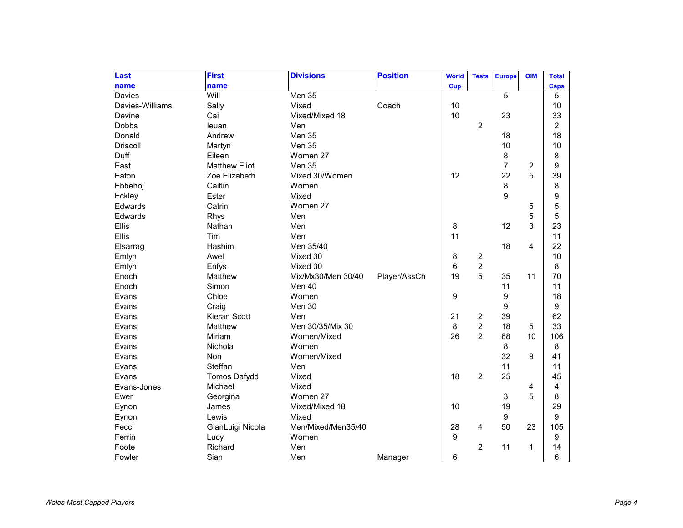| Last            | <b>First</b>         | <b>Divisions</b>   | <b>Position</b> | <b>World</b>     | <b>Tests</b>   | <b>Europe</b>  | <b>OIM</b>     | <b>Total</b>   |
|-----------------|----------------------|--------------------|-----------------|------------------|----------------|----------------|----------------|----------------|
| name            | name                 |                    |                 | Cup              |                |                |                | <b>Caps</b>    |
| Davies          | Will                 | Men 35             |                 |                  |                | $\overline{5}$ |                | 5              |
| Davies-Williams | Sally                | Mixed              | Coach           | 10               |                |                |                | 10             |
| Devine          | Cai                  | Mixed/Mixed 18     |                 | 10               |                | 23             |                | 33             |
| <b>Dobbs</b>    | leuan                | Men                |                 |                  | 2              |                |                | $\overline{c}$ |
| Donald          | Andrew               | Men 35             |                 |                  |                | 18             |                | 18             |
| <b>Driscoll</b> | Martyn               | Men 35             |                 |                  |                | 10             |                | 10             |
| Duff            | Eileen               | Women 27           |                 |                  |                | 8              |                | 8              |
| East            | <b>Matthew Eliot</b> | Men 35             |                 |                  |                | $\overline{7}$ | $\overline{c}$ | 9              |
| Eaton           | Zoe Elizabeth        | Mixed 30/Women     |                 | 12               |                | 22             | 5              | 39             |
| Ebbehoj         | Caitlin              | Women              |                 |                  |                | 8              |                | 8              |
| Eckley          | Ester                | Mixed              |                 |                  |                | 9              |                | 9              |
| Edwards         | Catrin               | Women 27           |                 |                  |                |                | 5              | 5              |
| Edwards         | Rhys                 | Men                |                 |                  |                |                | 5              | 5              |
| Ellis           | Nathan               | Men                |                 | 8                |                | 12             | 3              | 23             |
| Ellis           | Tim                  | Men                |                 | 11               |                |                |                | 11             |
| Elsarrag        | Hashim               | Men 35/40          |                 |                  |                | 18             | 4              | 22             |
| Emlyn           | Awel                 | Mixed 30           |                 | 8                | 2              |                |                | 10             |
| Emlyn           | Enfys                | Mixed 30           |                 | 6                | $\overline{c}$ |                |                | 8              |
| Enoch           | Matthew              | Mix/Mx30/Men 30/40 | Player/AssCh    | 19               | 5              | 35             | 11             | 70             |
| Enoch           | Simon                | Men 40             |                 |                  |                | 11             |                | 11             |
| Evans           | Chloe                | Women              |                 | $\boldsymbol{9}$ |                | 9              |                | 18             |
| Evans           | Craig                | Men 30             |                 |                  |                | 9              |                | 9              |
| Evans           | Kieran Scott         | Men                |                 | 21               | 2              | 39             |                | 62             |
| Evans           | Matthew              | Men 30/35/Mix 30   |                 | 8                | $\overline{2}$ | 18             | 5              | 33             |
| Evans           | Miriam               | Women/Mixed        |                 | 26               | $\overline{2}$ | 68             | 10             | 106            |
| Evans           | Nichola              | Women              |                 |                  |                | 8              |                | 8              |
| Evans           | Non                  | Women/Mixed        |                 |                  |                | 32             | 9              | 41             |
| Evans           | Steffan              | Men                |                 |                  |                | 11             |                | 11             |
| Evans           | <b>Tomos Dafydd</b>  | Mixed              |                 | 18               | $\overline{c}$ | 25             |                | 45             |
| Evans-Jones     | Michael              | Mixed              |                 |                  |                |                | 4              | 4              |
| Ewer            | Georgina             | Women 27           |                 |                  |                | 3              | 5              | 8              |
| Eynon           | James                | Mixed/Mixed 18     |                 | 10               |                | 19             |                | 29             |
| Eynon           | Lewis                | Mixed              |                 |                  |                | 9              |                | 9              |
| Fecci           | GianLuigi Nicola     | Men/Mixed/Men35/40 |                 | 28               | 4              | 50             | 23             | 105            |
| Ferrin          | Lucy                 | Women              |                 | 9                |                |                |                | 9              |
| Foote           | Richard              | Men                |                 |                  | $\overline{2}$ | 11             | 1              | 14             |
| Fowler          | Sian                 | Men                | Manager         | 6                |                |                |                | 6              |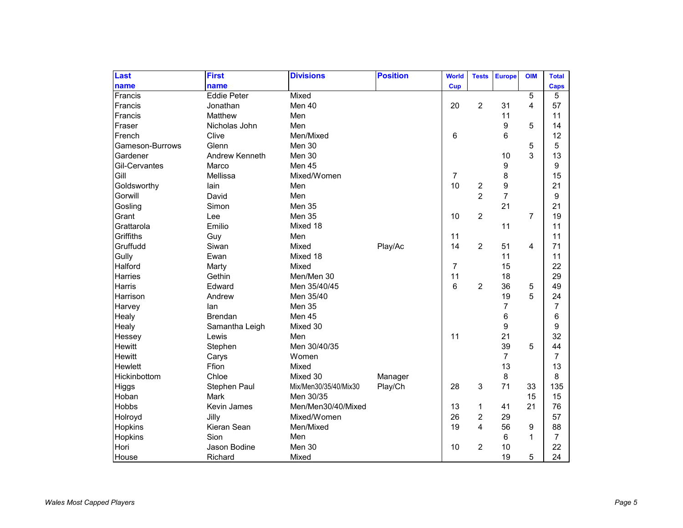| Last            | <b>First</b>       | <b>Divisions</b>      | <b>Position</b> | <b>World</b>   | <b>Tests</b>   | <b>Europe</b>  | <b>OIM</b>     | <b>Total</b>   |
|-----------------|--------------------|-----------------------|-----------------|----------------|----------------|----------------|----------------|----------------|
| name            | name               |                       |                 | Cup            |                |                |                | <b>Caps</b>    |
| Francis         | <b>Eddie Peter</b> | Mixed                 |                 |                |                |                | 5              | 5              |
| Francis         | Jonathan           | Men 40                |                 | 20             | $\overline{c}$ | 31             | 4              | 57             |
| Francis         | Matthew            | Men                   |                 |                |                | 11             |                | 11             |
| Fraser          | Nicholas John      | Men                   |                 |                |                | 9              | 5              | 14             |
| French          | Clive              | Men/Mixed             |                 | 6              |                | 6              |                | 12             |
| Gameson-Burrows | Glenn              | Men 30                |                 |                |                |                | 5              | 5              |
| Gardener        | Andrew Kenneth     | Men 30                |                 |                |                | 10             | 3              | 13             |
| Gil-Cervantes   | Marco              | Men 45                |                 |                |                | 9              |                | 9              |
| Gill            | Mellissa           | Mixed/Women           |                 | $\overline{7}$ |                | 8              |                | 15             |
| Goldsworthy     | lain               | Men                   |                 | 10             | $\overline{c}$ | 9              |                | 21             |
| Gorwill         | David              | Men                   |                 |                | $\overline{2}$ | $\overline{7}$ |                | 9              |
| Gosling         | Simon              | Men 35                |                 |                |                | 21             |                | 21             |
| Grant           | Lee                | <b>Men 35</b>         |                 | 10             | $\overline{2}$ |                | $\overline{7}$ | 19             |
| Grattarola      | Emilio             | Mixed 18              |                 |                |                | 11             |                | 11             |
| Griffiths       | Guy                | Men                   |                 | 11             |                |                |                | 11             |
| Gruffudd        | Siwan              | Mixed                 | Play/Ac         | 14             | $\overline{2}$ | 51             | 4              | 71             |
| Gully           | Ewan               | Mixed 18              |                 |                |                | 11             |                | 11             |
| Halford         | Marty              | Mixed                 |                 | $\overline{7}$ |                | 15             |                | 22             |
| Harries         | Gethin             | Men/Men 30            |                 | 11             |                | 18             |                | 29             |
| Harris          | Edward             | Men 35/40/45          |                 | 6              | $\overline{c}$ | 36             | 5              | 49             |
| Harrison        | Andrew             | Men 35/40             |                 |                |                | 19             | 5              | 24             |
| Harvey          | lan                | Men 35                |                 |                |                | 7              |                | $\overline{7}$ |
| Healy           | <b>Brendan</b>     | Men 45                |                 |                |                | 6              |                | 6              |
| Healy           | Samantha Leigh     | Mixed 30              |                 |                |                | 9              |                | 9              |
| Hessey          | Lewis              | Men                   |                 | 11             |                | 21             |                | 32             |
| Hewitt          | Stephen            | Men 30/40/35          |                 |                |                | 39             | 5              | 44             |
| Hewitt          | Carys              | Women                 |                 |                |                | $\overline{7}$ |                | $\overline{7}$ |
| Hewlett         | Ffion              | Mixed                 |                 |                |                | 13             |                | 13             |
| Hickinbottom    | Chloe              | Mixed 30              | Manager         |                |                | 8              |                | 8              |
| Higgs           | Stephen Paul       | Mix/Men30/35/40/Mix30 | Play/Ch         | 28             | 3              | 71             | 33             | 135            |
| Hoban           | Mark               | Men 30/35             |                 |                |                |                | 15             | 15             |
| Hobbs           | Kevin James        | Men/Men30/40/Mixed    |                 | 13             | 1              | 41             | 21             | 76             |
| Holroyd         | Jilly              | Mixed/Women           |                 | 26             | $\overline{c}$ | 29             |                | 57             |
| Hopkins         | Kieran Sean        | Men/Mixed             |                 | 19             | 4              | 56             | 9              | 88             |
| Hopkins         | Sion               | Men                   |                 |                |                | 6              | 1              | $\overline{7}$ |
| Hori            | Jason Bodine       | Men 30                |                 | 10             | $\overline{c}$ | 10             |                | 22             |
| House           | Richard            | Mixed                 |                 |                |                | 19             | 5              | 24             |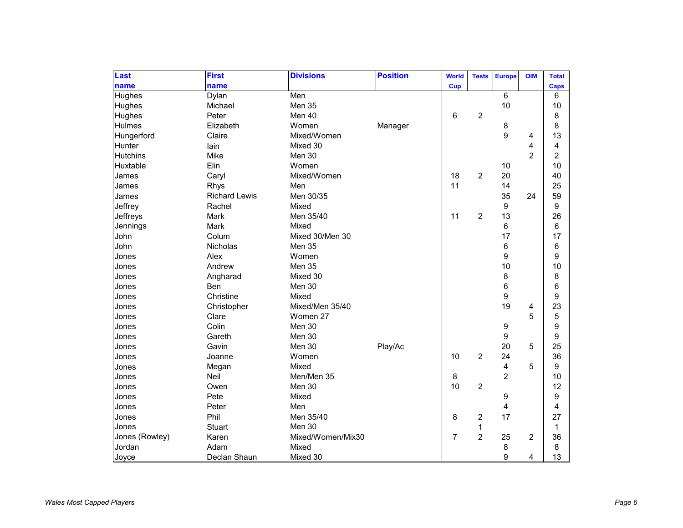| Last            | <b>First</b>         | <b>Divisions</b>  | <b>Position</b> | <b>World</b>   | <b>Tests</b>   | <b>Europe</b>           | <b>OIM</b>     | <b>Total</b>   |
|-----------------|----------------------|-------------------|-----------------|----------------|----------------|-------------------------|----------------|----------------|
| name            | name                 |                   |                 | <b>Cup</b>     |                |                         |                | <b>Caps</b>    |
| Hughes          | Dylan                | Men               |                 |                |                | $\overline{6}$          |                | 6              |
| Hughes          | Michael              | Men 35            |                 |                |                | 10                      |                | 10             |
| Hughes          | Peter                | Men 40            |                 | 6              | 2              |                         |                | 8              |
| Hulmes          | Elizabeth            | Women             | Manager         |                |                | 8                       |                | 8              |
| Hungerford      | Claire               | Mixed/Women       |                 |                |                | 9                       | 4              | 13             |
| Hunter          | lain                 | Mixed 30          |                 |                |                |                         | 4              | 4              |
| <b>Hutchins</b> | Mike                 | Men 30            |                 |                |                |                         | $\overline{2}$ | $\overline{2}$ |
| Huxtable        | Elin                 | Women             |                 |                |                | 10                      |                | 10             |
| James           | Caryl                | Mixed/Women       |                 | 18             | $\overline{2}$ | 20                      |                | 40             |
| James           | Rhys                 | Men               |                 | 11             |                | 14                      |                | 25             |
| James           | <b>Richard Lewis</b> | Men 30/35         |                 |                |                | 35                      | 24             | 59             |
| Jeffrey         | Rachel               | Mixed             |                 |                |                | $\boldsymbol{9}$        |                | 9              |
| Jeffreys        | Mark                 | Men 35/40         |                 | 11             | $\overline{c}$ | 13                      |                | 26             |
| Jennings        | Mark                 | Mixed             |                 |                |                | 6                       |                | 6              |
| John            | Colum                | Mixed 30/Men 30   |                 |                |                | 17                      |                | 17             |
| John            | Nicholas             | Men 35            |                 |                |                | $\,6$                   |                | 6              |
| Jones           | Alex                 | Women             |                 |                |                | 9                       |                | 9              |
| Jones           | Andrew               | Men 35            |                 |                |                | 10                      |                | 10             |
| Jones           | Angharad             | Mixed 30          |                 |                |                | 8                       |                | 8              |
| Jones           | Ben                  | Men 30            |                 |                |                | $\,6$                   |                | 6              |
| Jones           | Christine            | Mixed             |                 |                |                | 9                       |                | 9              |
| Jones           | Christopher          | Mixed/Men 35/40   |                 |                |                | 19                      | 4              | 23             |
| Jones           | Clare                | Women 27          |                 |                |                |                         | 5              | 5              |
| Jones           | Colin                | Men 30            |                 |                |                | 9                       |                | 9              |
| Jones           | Gareth               | Men 30            |                 |                |                | 9                       |                | 9              |
| Jones           | Gavin                | Men 30            | Play/Ac         |                |                | 20                      | 5              | 25             |
| Jones           | Joanne               | Women             |                 | 10             | $\overline{c}$ | 24                      |                | 36             |
| Jones           | Megan                | Mixed             |                 |                |                | $\overline{\mathbf{4}}$ | 5              | 9              |
| Jones           | Neil                 | Men/Men 35        |                 | 8              |                | $\overline{2}$          |                | 10             |
| Jones           | Owen                 | Men 30            |                 | 10             | $\overline{c}$ |                         |                | 12             |
| Jones           | Pete                 | Mixed             |                 |                |                | 9                       |                | 9              |
| Jones           | Peter                | Men               |                 |                |                | 4                       |                | 4              |
| Jones           | Phil                 | Men 35/40         |                 | 8              | 2              | 17                      |                | 27             |
| Jones           | <b>Stuart</b>        | Men 30            |                 |                | $\mathbf{1}$   |                         |                | $\mathbf 1$    |
| Jones (Rowley)  | Karen                | Mixed/Women/Mix30 |                 | $\overline{7}$ | $\overline{2}$ | 25                      | $\overline{2}$ | 36             |
| Jordan          | Adam                 | Mixed             |                 |                |                | 8                       |                | 8              |
| Joyce           | Declan Shaun         | Mixed 30          |                 |                |                | 9                       | 4              | 13             |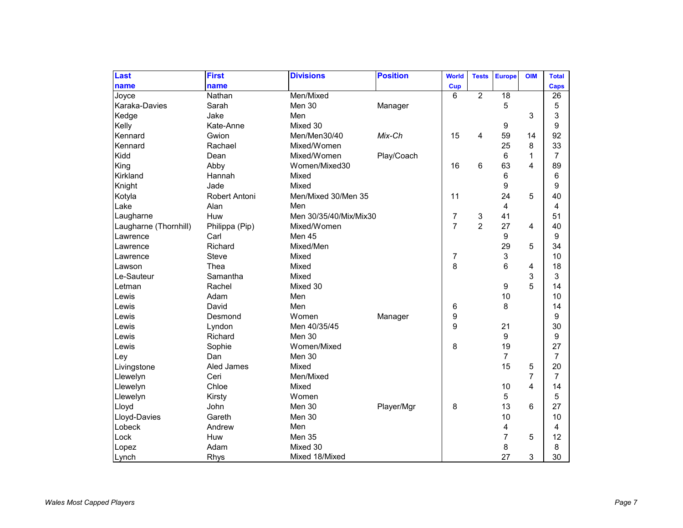| Last                  | <b>First</b>         | <b>Divisions</b>       | <b>Position</b> | <b>World</b>   | <b>Tests</b>   | <b>Europe</b>    | <b>OIM</b>     | <b>Total</b>   |
|-----------------------|----------------------|------------------------|-----------------|----------------|----------------|------------------|----------------|----------------|
| name                  | name                 |                        |                 | Cup            |                |                  |                | Caps           |
| Joyce                 | Nathan               | Men/Mixed              |                 | 6              | $\overline{2}$ | $\overline{18}$  |                | 26             |
| Karaka-Davies         | Sarah                | Men 30                 | Manager         |                |                | 5                |                | 5              |
| Kedge                 | Jake                 | Men                    |                 |                |                |                  | 3              | 3              |
| Kelly                 | Kate-Anne            | Mixed 30               |                 |                |                | 9                |                | 9              |
| Kennard               | Gwion                | Men/Men30/40           | Mix-Ch          | 15             | 4              | 59               | 14             | 92             |
| Kennard               | Rachael              | Mixed/Women            |                 |                |                | 25               | 8              | 33             |
| Kidd                  | Dean                 | Mixed/Women            | Play/Coach      |                |                | 6                | 1              | $\overline{7}$ |
| King                  | Abby                 | Women/Mixed30          |                 | 16             | 6              | 63               | 4              | 89             |
| Kirkland              | Hannah               | Mixed                  |                 |                |                | 6                |                | 6              |
| Knight                | Jade                 | Mixed                  |                 |                |                | 9                |                | 9              |
| Kotyla                | <b>Robert Antoni</b> | Men/Mixed 30/Men 35    |                 | 11             |                | 24               | 5              | 40             |
| Lake                  | Alan                 | Men                    |                 |                |                | 4                |                | 4              |
| Laugharne             | Huw                  | Men 30/35/40/Mix/Mix30 |                 | $\overline{7}$ | 3              | 41               |                | 51             |
| Laugharne (Thornhill) | Philippa (Pip)       | Mixed/Women            |                 | $\overline{7}$ | $\overline{2}$ | 27               | 4              | 40             |
| Lawrence              | Carl                 | Men 45                 |                 |                |                | 9                |                | 9              |
| Lawrence              | Richard              | Mixed/Men              |                 |                |                | 29               | 5              | 34             |
| Lawrence              | <b>Steve</b>         | Mixed                  |                 | 7              |                | 3                |                | 10             |
| Lawson                | Thea                 | Mixed                  |                 | 8              |                | 6                | 4              | 18             |
| Le-Sauteur            | Samantha             | Mixed                  |                 |                |                |                  | 3              | 3              |
| Letman                | Rachel               | Mixed 30               |                 |                |                | $\boldsymbol{9}$ | 5              | 14             |
| Lewis                 | Adam                 | Men                    |                 |                |                | 10               |                | 10             |
| Lewis                 | David                | Men                    |                 | 6              |                | 8                |                | 14             |
| Lewis                 | Desmond              | Women                  | Manager         | 9              |                |                  |                | 9              |
| Lewis                 | Lyndon               | Men 40/35/45           |                 | 9              |                | 21               |                | 30             |
| Lewis                 | Richard              | Men 30                 |                 |                |                | 9                |                | 9              |
| Lewis                 | Sophie               | Women/Mixed            |                 | 8              |                | 19               |                | 27             |
| Ley                   | Dan                  | Men 30                 |                 |                |                | $\overline{7}$   |                | $\overline{7}$ |
| Livingstone           | Aled James           | Mixed                  |                 |                |                | 15               | 5              | 20             |
| Llewelyn              | Ceri                 | Men/Mixed              |                 |                |                |                  | $\overline{7}$ | $\overline{7}$ |
| Llewelyn              | Chloe                | Mixed                  |                 |                |                | 10               | 4              | 14             |
| Llewelyn              | Kirsty               | Women                  |                 |                |                | 5                |                | 5              |
| Lloyd                 | John                 | Men 30                 | Player/Mgr      | 8              |                | 13               | 6              | 27             |
| Lloyd-Davies          | Gareth               | Men 30                 |                 |                |                | 10               |                | 10             |
| Lobeck                | Andrew               | Men                    |                 |                |                | 4                |                | 4              |
| Lock                  | Huw                  | Men 35                 |                 |                |                | $\overline{7}$   | 5              | 12             |
| Lopez                 | Adam                 | Mixed 30               |                 |                |                | 8                |                | 8              |
| Lynch                 | Rhys                 | Mixed 18/Mixed         |                 |                |                | 27               | 3              | 30             |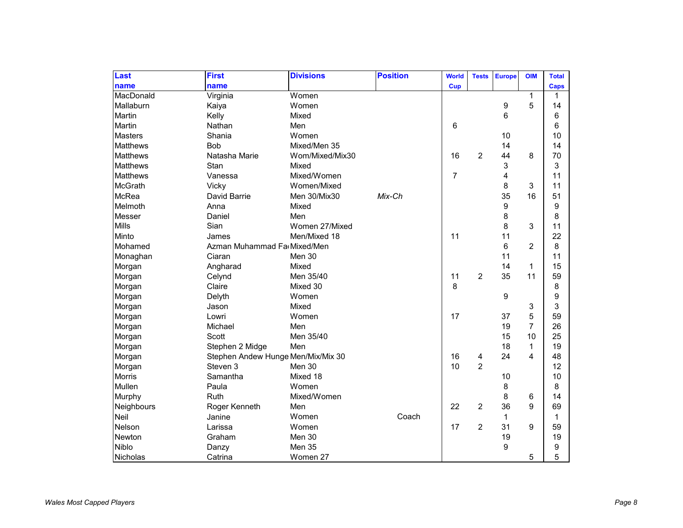| Last            | <b>First</b>                       | <b>Divisions</b> | <b>Position</b> | <b>World</b>   | <b>Tests</b>   | <b>Europe</b> | <b>OIM</b>     | <b>Total</b> |
|-----------------|------------------------------------|------------------|-----------------|----------------|----------------|---------------|----------------|--------------|
| name            | name                               |                  |                 | Cup            |                |               |                | <b>Caps</b>  |
| MacDonald       | Virginia                           | Women            |                 |                |                |               | 1              | 1            |
| Mallaburn       | Kaiya                              | Women            |                 |                |                | 9             | 5              | 14           |
| Martin          | Kelly                              | Mixed            |                 |                |                | 6             |                | 6            |
| Martin          | Nathan                             | Men              |                 | 6              |                |               |                | 6            |
| <b>Masters</b>  | Shania                             | Women            |                 |                |                | 10            |                | 10           |
| <b>Matthews</b> | Bob                                | Mixed/Men 35     |                 |                |                | 14            |                | 14           |
| <b>Matthews</b> | Natasha Marie                      | Wom/Mixed/Mix30  |                 | 16             | 2              | 44            | 8              | 70           |
| <b>Matthews</b> | Stan                               | Mixed            |                 |                |                | 3             |                | 3            |
| <b>Matthews</b> | Vanessa                            | Mixed/Women      |                 | $\overline{7}$ |                | 4             |                | 11           |
| McGrath         | Vicky                              | Women/Mixed      |                 |                |                | 8             | 3              | 11           |
| McRea           | David Barrie                       | Men 30/Mix30     | Mix-Ch          |                |                | 35            | 16             | 51           |
| Melmoth         | Anna                               | Mixed            |                 |                |                | 9             |                | 9            |
| Messer          | Daniel                             | Men              |                 |                |                | 8             |                | 8            |
| <b>Mills</b>    | Sian                               | Women 27/Mixed   |                 |                |                | 8             | 3              | 11           |
| Minto           | James                              | Men/Mixed 18     |                 | 11             |                | 11            |                | 22           |
| Mohamed         | Azman Muhammad Fa Mixed/Men        |                  |                 |                |                | 6             | $\overline{2}$ | 8            |
| Monaghan        | Ciaran                             | Men 30           |                 |                |                | 11            |                | 11           |
| Morgan          | Angharad                           | Mixed            |                 |                |                | 14            | 1              | 15           |
| Morgan          | Celynd                             | Men 35/40        |                 | 11             | $\overline{2}$ | 35            | 11             | 59           |
| Morgan          | Claire                             | Mixed 30         |                 | 8              |                |               |                | 8            |
| Morgan          | Delyth                             | Women            |                 |                |                | 9             |                | 9            |
| Morgan          | Jason                              | Mixed            |                 |                |                |               | 3              | 3            |
| Morgan          | Lowri                              | Women            |                 | 17             |                | 37            | 5              | 59           |
| Morgan          | Michael                            | Men              |                 |                |                | 19            | $\overline{7}$ | 26           |
| Morgan          | Scott                              | Men 35/40        |                 |                |                | 15            | 10             | 25           |
| Morgan          | Stephen 2 Midge                    | Men              |                 |                |                | 18            | 1              | 19           |
| Morgan          | Stephen Andew Hunge Men/Mix/Mix 30 |                  |                 | 16             | 4              | 24            | 4              | 48           |
| Morgan          | Steven 3                           | Men 30           |                 | 10             | $\overline{2}$ |               |                | 12           |
| <b>Morris</b>   | Samantha                           | Mixed 18         |                 |                |                | 10            |                | 10           |
| Mullen          | Paula                              | Women            |                 |                |                | 8             |                | 8            |
| Murphy          | Ruth                               | Mixed/Women      |                 |                |                | 8             | 6              | 14           |
| Neighbours      | Roger Kenneth                      | Men              |                 | 22             | 2              | 36            | 9              | 69           |
| Neil            | Janine                             | Women            | Coach           |                |                | $\mathbf{1}$  |                | $\mathbf 1$  |
| Nelson          | Larissa                            | Women            |                 | 17             | 2              | 31            | 9              | 59           |
| Newton          | Graham                             | Men 30           |                 |                |                | 19            |                | 19           |
| Niblo           | Danzy                              | Men 35           |                 |                |                | 9             |                | 9            |
| Nicholas        | Catrina                            | Women 27         |                 |                |                |               | 5              | 5            |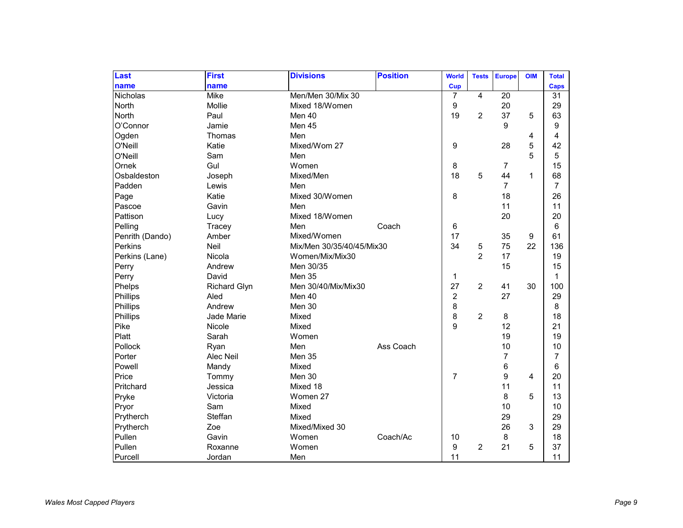| Last            | <b>First</b>        | <b>Divisions</b>          | <b>Position</b> | <b>World</b>   | <b>Tests</b>   | <b>Europe</b>  | <b>OIM</b>   | <b>Total</b>    |
|-----------------|---------------------|---------------------------|-----------------|----------------|----------------|----------------|--------------|-----------------|
| name            | name                |                           |                 | Cup            |                |                |              | Caps            |
| <b>Nicholas</b> | <b>Mike</b>         | Men/Men 30/Mix 30         |                 | 7              | $\overline{4}$ | 20             |              | 31              |
| North           | Mollie              | Mixed 18/Women            |                 | 9              |                | 20             |              | 29              |
| North           | Paul                | Men 40                    |                 | 19             | $\overline{c}$ | 37             | 5            | 63              |
| O'Connor        | Jamie               | Men 45                    |                 |                |                | 9              |              | 9               |
| Ogden           | Thomas              | Men                       |                 |                |                |                | 4            | 4               |
| O'Neill         | Katie               | Mixed/Wom 27              |                 | 9              |                | 28             | 5            | 42              |
| O'Neill         | Sam                 | Men                       |                 |                |                |                | 5            | 5               |
| Ornek           | Gul                 | Women                     |                 | 8              |                | 7              |              | 15              |
| Osbaldeston     | Joseph              | Mixed/Men                 |                 | 18             | 5              | 44             | $\mathbf{1}$ | 68              |
| Padden          | Lewis               | Men                       |                 |                |                | $\overline{7}$ |              | $\overline{7}$  |
| Page            | Katie               | Mixed 30/Women            |                 | 8              |                | 18             |              | 26              |
| Pascoe          | Gavin               | Men                       |                 |                |                | 11             |              | 11              |
| Pattison        | Lucy                | Mixed 18/Women            |                 |                |                | 20             |              | 20              |
| Pelling         | Tracey              | Men                       | Coach           | 6              |                |                |              | 6               |
| Penrith (Dando) | Amber               | Mixed/Women               |                 | 17             |                | 35             | 9            | 61              |
| <b>Perkins</b>  | Neil                | Mix/Men 30/35/40/45/Mix30 |                 | 34             | 5              | 75             | 22           | 136             |
| Perkins (Lane)  | Nicola              | Women/Mix/Mix30           |                 |                | $\overline{2}$ | 17             |              | 19              |
| Perry           | Andrew              | Men 30/35                 |                 |                |                | 15             |              | 15              |
| Perry           | David               | Men 35                    |                 | 1              |                |                |              | 1               |
| Phelps          | <b>Richard Glyn</b> | Men 30/40/Mix/Mix30       |                 | 27             | $\overline{c}$ | 41             | 30           | 100             |
| Phillips        | Aled                | Men 40                    |                 | $\overline{c}$ |                | 27             |              | 29              |
| Phillips        | Andrew              | Men 30                    |                 | 8              |                |                |              | 8               |
| Phillips        | Jade Marie          | Mixed                     |                 | 8              | $\overline{c}$ | 8              |              | 18              |
| Pike            | Nicole              | Mixed                     |                 | 9              |                | 12             |              | 21              |
| Platt           | Sarah               | Women                     |                 |                |                | 19             |              | 19              |
| Pollock         | Ryan                | Men                       | Ass Coach       |                |                | 10             |              | 10              |
| Porter          | Alec Neil           | Men 35                    |                 |                |                | $\overline{7}$ |              | $\overline{7}$  |
| Powell          | Mandy               | Mixed                     |                 |                |                | 6              |              | $6\phantom{1}6$ |
| Price           | Tommy               | Men 30                    |                 | $\overline{7}$ |                | 9              | 4            | 20              |
| Pritchard       | Jessica             | Mixed 18                  |                 |                |                | 11             |              | 11              |
| Pryke           | Victoria            | Women 27                  |                 |                |                | 8              | 5            | 13              |
| Pryor           | Sam                 | Mixed                     |                 |                |                | 10             |              | 10              |
| Prytherch       | Steffan             | Mixed                     |                 |                |                | 29             |              | 29              |
| Prytherch       | Zoe                 | Mixed/Mixed 30            |                 |                |                | 26             | 3            | 29              |
| Pullen          | Gavin               | Women                     | Coach/Ac        | 10             |                | 8              |              | 18              |
| Pullen          | Roxanne             | Women                     |                 | 9              | $\overline{2}$ | 21             | 5            | 37              |
| Purcell         | Jordan              | Men                       |                 | 11             |                |                |              | 11              |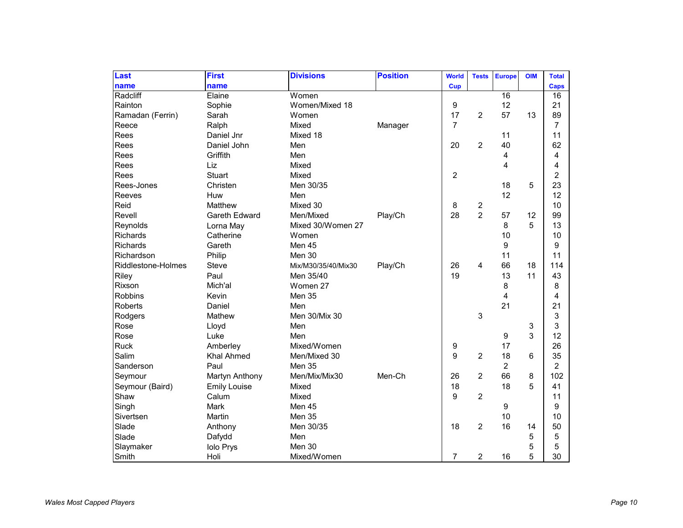| Last               | <b>First</b>        | <b>Divisions</b>    | <b>Position</b> | <b>World</b>   | <b>Tests</b>            | <b>Europe</b>  | <b>OIM</b> | <b>Total</b>   |
|--------------------|---------------------|---------------------|-----------------|----------------|-------------------------|----------------|------------|----------------|
| name               | name                |                     |                 | <b>Cup</b>     |                         |                |            | Caps           |
| Radcliff           | Elaine              | Women               |                 |                |                         | 16             |            | 16             |
| Rainton            | Sophie              | Women/Mixed 18      |                 | 9              |                         | 12             |            | 21             |
| Ramadan (Ferrin)   | Sarah               | Women               |                 | 17             | $\overline{2}$          | 57             | 13         | 89             |
| Reece              | Ralph               | Mixed               | Manager         | $\overline{7}$ |                         |                |            | $\overline{7}$ |
| Rees               | Daniel Jnr          | Mixed 18            |                 |                |                         | 11             |            | 11             |
| Rees               | Daniel John         | Men                 |                 | 20             | $\overline{2}$          | 40             |            | 62             |
| Rees               | Griffith            | Men                 |                 |                |                         | 4              |            | 4              |
| Rees               | Liz                 | Mixed               |                 |                |                         | 4              |            | 4              |
| Rees               | Stuart              | Mixed               |                 | $\overline{2}$ |                         |                |            | $\overline{c}$ |
| Rees-Jones         | Christen            | Men 30/35           |                 |                |                         | 18             | 5          | 23             |
| Reeves             | Huw                 | Men                 |                 |                |                         | 12             |            | 12             |
| Reid               | Matthew             | Mixed 30            |                 | 8              | $\overline{\mathbf{c}}$ |                |            | 10             |
| Revell             | Gareth Edward       | Men/Mixed           | Play/Ch         | 28             | $\overline{2}$          | 57             | 12         | 99             |
| Reynolds           | Lorna May           | Mixed 30/Women 27   |                 |                |                         | 8              | 5          | 13             |
| <b>Richards</b>    | Catherine           | Women               |                 |                |                         | 10             |            | 10             |
| Richards           | Gareth              | Men 45              |                 |                |                         | 9              |            | 9              |
| Richardson         | Philip              | Men 30              |                 |                |                         | 11             |            | 11             |
| Riddlestone-Holmes | <b>Steve</b>        | Mix/M30/35/40/Mix30 | Play/Ch         | 26             | 4                       | 66             | 18         | 114            |
| Riley              | Paul                | Men 35/40           |                 | 19             |                         | 13             | 11         | 43             |
| Rixson             | Mich'al             | Women 27            |                 |                |                         | 8              |            | 8              |
| <b>Robbins</b>     | Kevin               | Men 35              |                 |                |                         | 4              |            | 4              |
| Roberts            | Daniel              | Men                 |                 |                |                         | 21             |            | 21             |
| Rodgers            | Mathew              | Men 30/Mix 30       |                 |                | 3                       |                |            | 3              |
| Rose               | Lloyd               | Men                 |                 |                |                         |                | 3          | 3              |
| Rose               | Luke                | Men                 |                 |                |                         | 9              | 3          | 12             |
| <b>Ruck</b>        | Amberley            | Mixed/Women         |                 | 9              |                         | 17             |            | 26             |
| Salim              | <b>Khal Ahmed</b>   | Men/Mixed 30        |                 | 9              | $\overline{c}$          | 18             | 6          | 35             |
| Sanderson          | Paul                | Men 35              |                 |                |                         | $\overline{c}$ |            | $\overline{2}$ |
| Seymour            | Martyn Anthony      | Men/Mix/Mix30       | Men-Ch          | 26             | 2                       | 66             | 8          | 102            |
| Seymour (Baird)    | <b>Emily Louise</b> | Mixed               |                 | 18             |                         | 18             | 5          | 41             |
| Shaw               | Calum               | Mixed               |                 | 9              | 2                       |                |            | 11             |
| Singh              | Mark                | Men 45              |                 |                |                         | 9              |            | 9              |
| Sivertsen          | Martin              | Men 35              |                 |                |                         | 10             |            | 10             |
| Slade              | Anthony             | Men 30/35           |                 | 18             | $\overline{2}$          | 16             | 14         | 50             |
| Slade              | Dafydd              | Men                 |                 |                |                         |                | 5          | $\mathbf 5$    |
| Slaymaker          | <b>Iolo Prys</b>    | Men 30              |                 |                |                         |                | 5          | 5              |
| Smith              | Holi                | Mixed/Women         |                 | 7              | 2                       | 16             | 5          | 30             |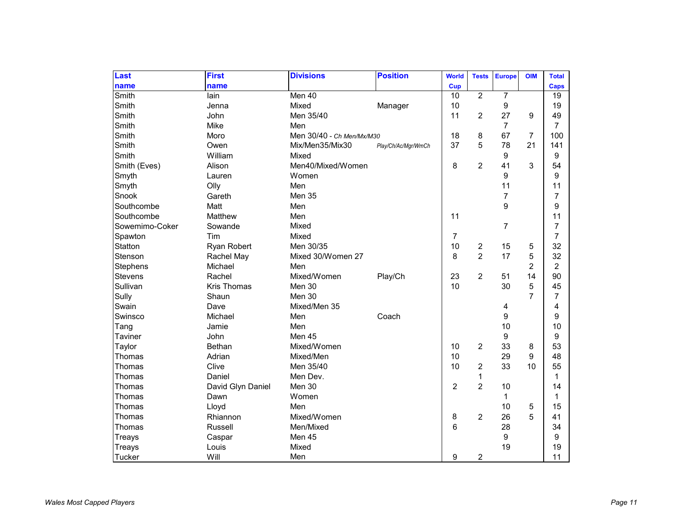| Last           | <b>First</b>       | <b>Divisions</b>          | <b>Position</b>     | <b>World</b>   | <b>Tests</b>   | <b>Europe</b>  | <b>OIM</b>     | <b>Total</b>   |
|----------------|--------------------|---------------------------|---------------------|----------------|----------------|----------------|----------------|----------------|
| name           | name               |                           |                     | <b>Cup</b>     |                |                |                | <b>Caps</b>    |
| Smith          | lain               | Men 40                    |                     | 10             | $\overline{2}$ | $\overline{7}$ |                | 19             |
| Smith          | Jenna              | Mixed                     | Manager             | 10             |                | 9              |                | 19             |
| Smith          | John               | Men 35/40                 |                     | 11             | 2              | 27             | 9              | 49             |
| Smith          | Mike               | Men                       |                     |                |                | $\overline{7}$ |                | $\overline{7}$ |
| Smith          | Moro               | Men 30/40 - Ch Men/Mx/M30 |                     | 18             | 8              | 67             | 7              | 100            |
| Smith          | Owen               | Mix/Men35/Mix30           | Play/Ch/Ac/Mgr/WmCh | 37             | 5              | 78             | 21             | 141            |
| Smith          | William            | Mixed                     |                     |                |                | 9              |                | 9              |
| Smith (Eves)   | Alison             | Men40/Mixed/Women         |                     | 8              | $\overline{2}$ | 41             | 3              | 54             |
| Smyth          | Lauren             | Women                     |                     |                |                | 9              |                | 9              |
| Smyth          | Olly               | Men                       |                     |                |                | 11             |                | 11             |
| Snook          | Gareth             | Men 35                    |                     |                |                | $\overline{7}$ |                | $\overline{7}$ |
| Southcombe     | Matt               | Men                       |                     |                |                | 9              |                | 9              |
| Southcombe     | Matthew            | Men                       |                     | 11             |                |                |                | 11             |
| Sowemimo-Coker | Sowande            | Mixed                     |                     |                |                | $\overline{7}$ |                | $\overline{7}$ |
| Spawton        | Tim                | Mixed                     |                     | $\overline{7}$ |                |                |                | $\overline{7}$ |
| Statton        | Ryan Robert        | Men 30/35                 |                     | 10             | 2              | 15             | 5              | 32             |
| Stenson        | Rachel May         | Mixed 30/Women 27         |                     | 8              | $\overline{2}$ | 17             | 5              | 32             |
| Stephens       | Michael            | Men                       |                     |                |                |                | $\overline{2}$ | $\overline{c}$ |
| <b>Stevens</b> | Rachel             | Mixed/Women               | Play/Ch             | 23             | $\overline{2}$ | 51             | 14             | 90             |
| Sullivan       | <b>Kris Thomas</b> | Men 30                    |                     | 10             |                | 30             | 5              | 45             |
| Sully          | Shaun              | Men 30                    |                     |                |                |                | $\overline{7}$ | $\overline{7}$ |
| Swain          | Dave               | Mixed/Men 35              |                     |                |                | 4              |                | 4              |
| Swinsco        | Michael            | Men                       | Coach               |                |                | 9              |                | 9              |
| Tang           | Jamie              | Men                       |                     |                |                | 10             |                | 10             |
| <b>Taviner</b> | John               | Men 45                    |                     |                |                | 9              |                | 9              |
| Taylor         | Bethan             | Mixed/Women               |                     | 10             | 2              | 33             | 8              | 53             |
| Thomas         | Adrian             | Mixed/Men                 |                     | 10             |                | 29             | 9              | 48             |
| Thomas         | Clive              | Men 35/40                 |                     | 10             | 2              | 33             | 10             | 55             |
| Thomas         | Daniel             | Men Dev.                  |                     |                | 1              |                |                | $\mathbf{1}$   |
| Thomas         | David Glyn Daniel  | Men 30                    |                     | $\overline{2}$ | $\overline{2}$ | 10             |                | 14             |
| Thomas         | Dawn               | Women                     |                     |                |                | 1              |                | $\mathbf 1$    |
| Thomas         | Lloyd              | Men                       |                     |                |                | 10             | 5              | 15             |
| Thomas         | Rhiannon           | Mixed/Women               |                     | 8              | 2              | 26             | 5              | 41             |
| Thomas         | Russell            | Men/Mixed                 |                     | 6              |                | 28             |                | 34             |
| Treays         | Caspar             | Men 45                    |                     |                |                | 9              |                | 9              |
| Treays         | Louis              | Mixed                     |                     |                |                | 19             |                | 19             |
| Tucker         | Will               | Men                       |                     | 9              | 2              |                |                | 11             |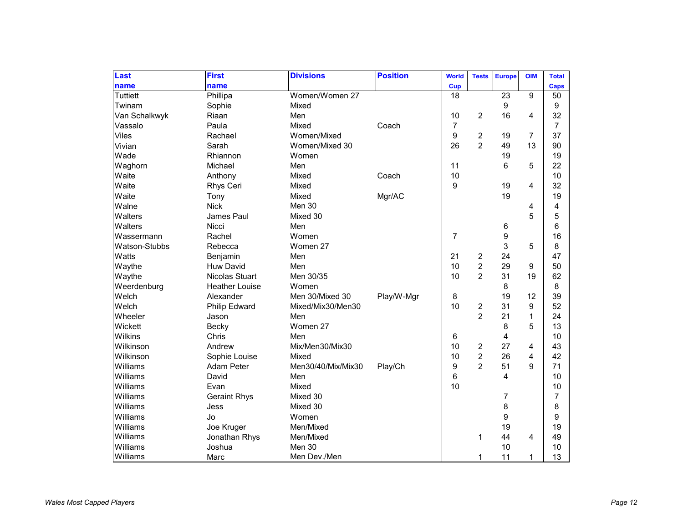| Last            | <b>First</b>          | <b>Divisions</b>   | <b>Position</b> | <b>World</b>   | <b>Tests</b>   | <b>Europe</b>           | <b>OIM</b>     | <b>Total</b>   |
|-----------------|-----------------------|--------------------|-----------------|----------------|----------------|-------------------------|----------------|----------------|
| name            | name                  |                    |                 | Cup            |                |                         |                | Caps           |
| <b>Tuttiett</b> | Phillipa              | Women/Women 27     |                 | 18             |                | 23                      | $\overline{9}$ | 50             |
| Twinam          | Sophie                | Mixed              |                 |                |                | 9                       |                | 9              |
| Van Schalkwyk   | Riaan                 | Men                |                 | 10             | 2              | 16                      | 4              | 32             |
| Vassalo         | Paula                 | Mixed              | Coach           | $\overline{7}$ |                |                         |                | $\overline{7}$ |
| Viles           | Rachael               | Women/Mixed        |                 | 9              | 2              | 19                      | 7              | 37             |
| Vivian          | Sarah                 | Women/Mixed 30     |                 | 26             | $\overline{2}$ | 49                      | 13             | 90             |
| Wade            | Rhiannon              | Women              |                 |                |                | 19                      |                | 19             |
| Waghorn         | Michael               | Men                |                 | 11             |                | 6                       | 5              | 22             |
| Waite           | Anthony               | Mixed              | Coach           | 10             |                |                         |                | 10             |
| Waite           | Rhys Ceri             | Mixed              |                 | 9              |                | 19                      | 4              | 32             |
| Waite           | Tony                  | Mixed              | Mgr/AC          |                |                | 19                      |                | 19             |
| Walne           | <b>Nick</b>           | Men 30             |                 |                |                |                         | 4              | 4              |
| Walters         | James Paul            | Mixed 30           |                 |                |                |                         | 5              | 5              |
| Walters         | Nicci                 | Men                |                 |                |                | 6                       |                | 6              |
| Wassermann      | Rachel                | Women              |                 | $\overline{7}$ |                | 9                       |                | 16             |
| Watson-Stubbs   | Rebecca               | Women 27           |                 |                |                | 3                       | 5              | 8              |
| Watts           | Benjamin              | Men                |                 | 21             | 2              | 24                      |                | 47             |
| Waythe          | <b>Huw David</b>      | Men                |                 | 10             | $\overline{c}$ | 29                      | 9              | 50             |
| Waythe          | <b>Nicolas Stuart</b> | Men 30/35          |                 | 10             | $\overline{2}$ | 31                      | 19             | 62             |
| Weerdenburg     | <b>Heather Louise</b> | Women              |                 |                |                | 8                       |                | 8              |
| Welch           | Alexander             | Men 30/Mixed 30    | Play/W-Mgr      | 8              |                | 19                      | 12             | 39             |
| Welch           | <b>Philip Edward</b>  | Mixed/Mix30/Men30  |                 | 10             | 2              | 31                      | 9              | 52             |
| Wheeler         | Jason                 | Men                |                 |                | $\overline{2}$ | 21                      | 1              | 24             |
| Wickett         | Becky                 | Women 27           |                 |                |                | 8                       | 5              | 13             |
| Wilkins         | Chris                 | Men                |                 | 6              |                | 4                       |                | 10             |
| Wilkinson       | Andrew                | Mix/Men30/Mix30    |                 | 10             | 2              | 27                      | 4              | 43             |
| Wilkinson       | Sophie Louise         | Mixed              |                 | 10             | $\overline{2}$ | 26                      | 4              | 42             |
| Williams        | <b>Adam Peter</b>     | Men30/40/Mix/Mix30 | Play/Ch         | 9              | $\overline{2}$ | 51                      | 9              | 71             |
| Williams        | David                 | Men                |                 | 6              |                | $\overline{\mathbf{4}}$ |                | 10             |
| Williams        | Evan                  | Mixed              |                 | 10             |                |                         |                | 10             |
| Williams        | <b>Geraint Rhys</b>   | Mixed 30           |                 |                |                | 7                       |                | $\overline{7}$ |
| Williams        | Jess                  | Mixed 30           |                 |                |                | 8                       |                | 8              |
| Williams        | Jo                    | Women              |                 |                |                | 9                       |                | 9              |
| Williams        | Joe Kruger            | Men/Mixed          |                 |                |                | 19                      |                | 19             |
| Williams        | Jonathan Rhys         | Men/Mixed          |                 |                | 1              | 44                      | 4              | 49             |
| Williams        | Joshua                | Men 30             |                 |                |                | 10                      |                | 10             |
| Williams        | Marc                  | Men Dev./Men       |                 |                | 1              | 11                      | 1              | 13             |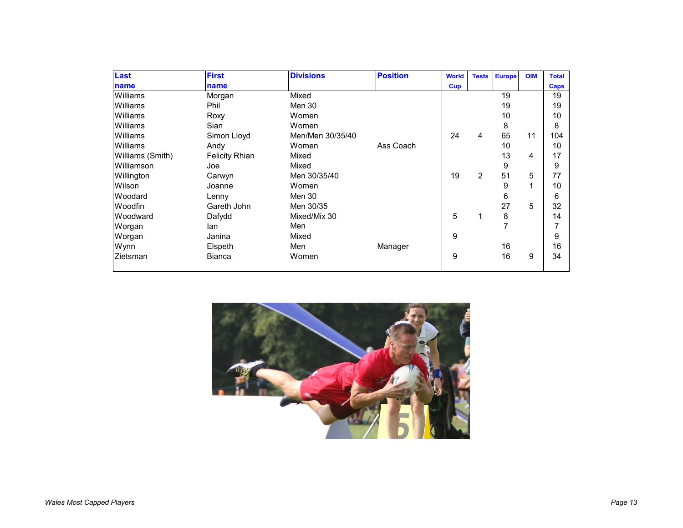| Last             | <b>First</b>          | <b>Divisions</b> | <b>Position</b> | <b>World</b> | <b>Tests</b>   | <b>Europe</b> | <b>OIM</b> | <b>Total</b> |
|------------------|-----------------------|------------------|-----------------|--------------|----------------|---------------|------------|--------------|
| name             | name                  |                  |                 | <b>Cup</b>   |                |               |            | Caps         |
| Williams         | Morgan                | Mixed            |                 |              |                | 19            |            | 19           |
| Williams         | Phil                  | Men 30           |                 |              |                | 19            |            | 19           |
| Williams         | Roxy                  | Women            |                 |              |                | 10            |            | 10           |
| Williams         | Sian                  | Women            |                 |              |                | 8             |            | 8            |
| Williams         | Simon Lloyd           | Men/Men 30/35/40 |                 | 24           | 4              | 65            | 11         | 104          |
| Williams         | Andy                  | Women            | Ass Coach       |              |                | 10            |            | 10           |
| Williams (Smith) | <b>Felicity Rhian</b> | Mixed            |                 |              |                | 13            | 4          | 17           |
| Williamson       | Joe                   | Mixed            |                 |              |                | 9             |            | 9            |
| Willington       | Carwyn                | Men 30/35/40     |                 | 19           | $\overline{2}$ | 51            | 5          | 77           |
| Wilson           | Joanne                | Women            |                 |              |                | 9             | 1          | 10           |
| Woodard          | Lenny                 | Men 30           |                 |              |                | 6             |            | 6            |
| <b>Woodfin</b>   | Gareth John           | Men 30/35        |                 |              |                | 27            | 5          | 32           |
| Woodward         | Dafydd                | Mixed/Mix 30     |                 | 5            | 1              | 8             |            | 14           |
| Worgan           | lan                   | Men              |                 |              |                | 7             |            | 7            |
| Worgan           | Janina                | Mixed            |                 | 9            |                |               |            | 9            |
| Wynn             | Elspeth               | Men              | Manager         |              |                | 16            |            | 16           |
| Zietsman         | <b>Bianca</b>         | Women            |                 | 9            |                | 16            | 9          | 34           |
|                  |                       |                  |                 |              |                |               |            |              |

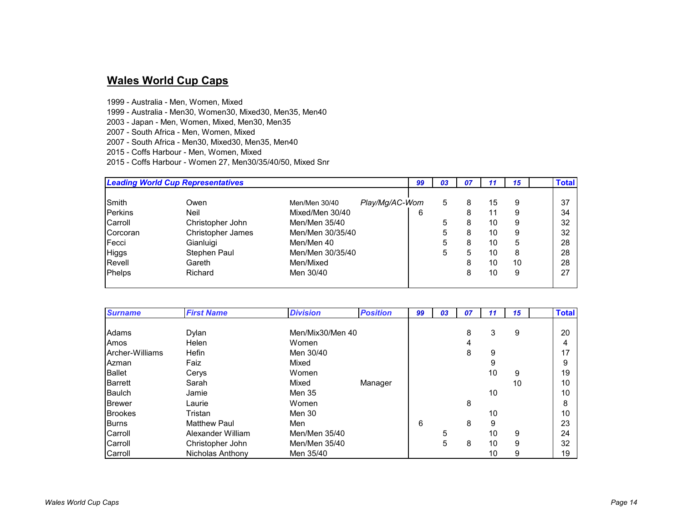### **Wales World Cup Caps**

- 1999 Australia Men, Women, Mixed
- 1999 Australia Men30, Women30, Mixed30, Men35, Men40
- 2003 Japan Men, Women, Mixed, Men30, Men35
- 2007 South Africa Men, Women, Mixed
- 2007 South Africa Men30, Mixed30, Men35, Men40
- 2015 Coffs Harbour Men, Women, Mixed
- 2015 Coffs Harbour Women 27, Men30/35/40/50, Mixed Snr

|              | <b>Leading World Cup Representatives</b> |                  |                | 03 | -07 |    | 15 | <b>Total</b> |
|--------------|------------------------------------------|------------------|----------------|----|-----|----|----|--------------|
| Smith        | Owen                                     | Men/Men 30/40    | Play/Mg/AC-Wom | 5  | 8   | 15 | 9  | 37           |
| Perkins      | Neil                                     | Mixed/Men 30/40  | 6              |    | 8   | 11 | 9  | 34           |
| Carroll      | Christopher John                         | Men/Men 35/40    |                | 5  | 8   | 10 | 9  | 32           |
| Corcoran     | <b>Christopher James</b>                 | Men/Men 30/35/40 |                | 5  | 8   | 10 | 9  | 32           |
| Fecci        | Gianluigi                                | Men/Men 40       |                | 5  | 8   | 10 | 5  | 28           |
| <b>Higgs</b> | Stephen Paul                             | Men/Men 30/35/40 |                | 5  | 5   | 10 | 8  | 28           |
| Revell       | Gareth                                   | Men/Mixed        |                |    | 8   | 10 | 10 | 28           |
| Phelps       | Richard                                  | Men 30/40        |                |    | 8   | 10 | 9  | 27           |

| <b>Surname</b>  | <b>First Name</b>   | <b>Division</b>  | <b>Position</b> | 99 | 03 | 07 | 11 | 15 | <b>Total</b> |
|-----------------|---------------------|------------------|-----------------|----|----|----|----|----|--------------|
| Adams           | Dylan               | Men/Mix30/Men 40 |                 |    |    | 8  | 3  | 9  | 20           |
| Amos            | Helen               | Women            |                 |    |    | 4  |    |    | 4            |
| Archer-Williams | Hefin               | Men 30/40        |                 |    |    | 8  | 9  |    | 17           |
| Azman           | Faiz                | Mixed            |                 |    |    |    | 9  |    | 9            |
| <b>Ballet</b>   | Cerys               | Women            |                 |    |    |    | 10 | 9  | 19           |
| <b>Barrett</b>  | Sarah               | Mixed            | Manager         |    |    |    |    | 10 | 10           |
| <b>Baulch</b>   | Jamie               | Men 35           |                 |    |    |    | 10 |    | 10           |
| <b>Brewer</b>   | Laurie              | Women            |                 |    |    | 8  |    |    | 8            |
| <b>Brookes</b>  | Tristan             | Men 30           |                 |    |    |    | 10 |    | 10           |
| <b>Burns</b>    | <b>Matthew Paul</b> | Men              |                 | 6  |    | 8  | 9  |    | 23           |
| Carroll         | Alexander William   | Men/Men 35/40    |                 |    | 5  |    | 10 | 9  | 24           |
| Carroll         | Christopher John    | Men/Men 35/40    |                 |    | 5  | 8  | 10 | 9  | 32           |
| Carroll         | Nicholas Anthony    | Men 35/40        |                 |    |    |    | 10 | 9  | 19           |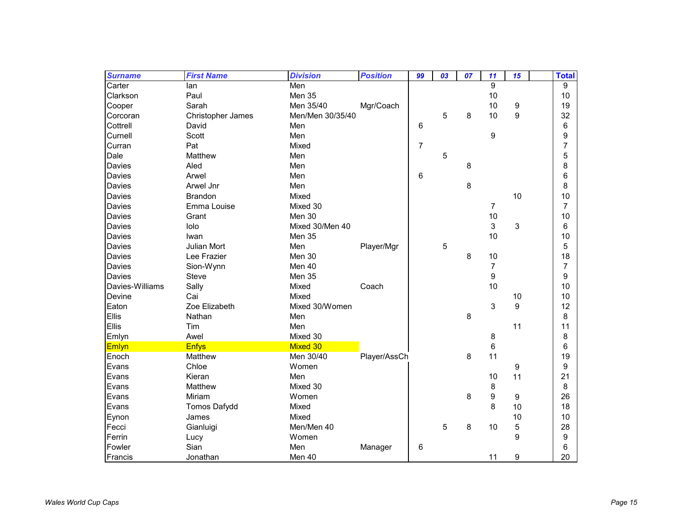| <b>Surname</b>  | <b>First Name</b>   | <b>Division</b>  | <b>Position</b> | 99             | 03 | 07 | 11               | 15 | <b>Total</b>   |
|-----------------|---------------------|------------------|-----------------|----------------|----|----|------------------|----|----------------|
| Carter          | lan                 | Men              |                 |                |    |    | 9                |    | 9              |
| Clarkson        | Paul                | Men 35           |                 |                |    |    | 10               |    | 10             |
| Cooper          | Sarah               | Men 35/40        | Mgr/Coach       |                |    |    | 10               | 9  | 19             |
| Corcoran        | Christopher James   | Men/Men 30/35/40 |                 |                | 5  | 8  | 10               | 9  | 32             |
| Cottrell        | David               | Men              |                 | 6              |    |    |                  |    | 6              |
| Curnell         | Scott               | Men              |                 |                |    |    | 9                |    | 9              |
| Curran          | Pat                 | Mixed            |                 | $\overline{7}$ |    |    |                  |    | 7              |
| Dale            | Matthew             | Men              |                 |                | 5  |    |                  |    | 5              |
| Davies          | Aled                | Men              |                 |                |    | 8  |                  |    | 8              |
| Davies          | Arwel               | Men              |                 | 6              |    |    |                  |    | 6              |
| <b>Davies</b>   | Arwel Jnr           | Men              |                 |                |    | 8  |                  |    | 8              |
| <b>Davies</b>   | Brandon             | Mixed            |                 |                |    |    |                  | 10 | 10             |
| Davies          | Emma Louise         | Mixed 30         |                 |                |    |    | 7                |    | $\overline{7}$ |
| Davies          | Grant               | Men 30           |                 |                |    |    | 10               |    | 10             |
| Davies          | lolo                | Mixed 30/Men 40  |                 |                |    |    | 3                | 3  | 6              |
| <b>Davies</b>   | Iwan                | Men 35           |                 |                |    |    | 10               |    | 10             |
| <b>Davies</b>   | Julian Mort         | Men              | Player/Mgr      |                | 5  |    |                  |    | 5              |
| <b>Davies</b>   | Lee Frazier         | Men 30           |                 |                |    | 8  | 10               |    | 18             |
| Davies          | Sion-Wynn           | Men 40           |                 |                |    |    | 7                |    | 7              |
| <b>Davies</b>   | <b>Steve</b>        | Men 35           |                 |                |    |    | $\boldsymbol{9}$ |    | 9              |
| Davies-Williams | Sally               | Mixed            | Coach           |                |    |    | 10               |    | 10             |
| Devine          | Cai                 | Mixed            |                 |                |    |    |                  | 10 | 10             |
| Eaton           | Zoe Elizabeth       | Mixed 30/Women   |                 |                |    |    | 3                | 9  | 12             |
| Ellis           | Nathan              | Men              |                 |                |    | 8  |                  |    | 8              |
| Ellis           | Tim                 | Men              |                 |                |    |    |                  | 11 | 11             |
| Emlyn           | Awel                | Mixed 30         |                 |                |    |    | 8                |    | 8              |
| Emlyn           | <b>Enfys</b>        | Mixed 30         |                 |                |    |    | 6                |    | 6              |
| Enoch           | Matthew             | Men 30/40        | Player/AssCh    |                |    | 8  | 11               |    | 19             |
| Evans           | Chloe               | Women            |                 |                |    |    |                  | 9  | 9              |
| Evans           | Kieran              | Men              |                 |                |    |    | 10               | 11 | 21             |
| Evans           | Matthew             | Mixed 30         |                 |                |    |    | 8                |    | 8              |
| Evans           | Miriam              | Women            |                 |                |    | 8  | 9                | 9  | 26             |
| Evans           | <b>Tomos Dafydd</b> | Mixed            |                 |                |    |    | 8                | 10 | 18             |
| Eynon           | James               | Mixed            |                 |                |    |    |                  | 10 | 10             |
| Fecci           | Gianluigi           | Men/Men 40       |                 |                | 5  | 8  | 10               | 5  | 28             |
| Ferrin          | Lucy                | Women            |                 |                |    |    |                  | 9  | 9              |
| Fowler          | Sian                | Men              | Manager         | 6              |    |    |                  |    | 6              |
| Francis         | Jonathan            | Men 40           |                 |                |    |    | 11               | 9  | 20             |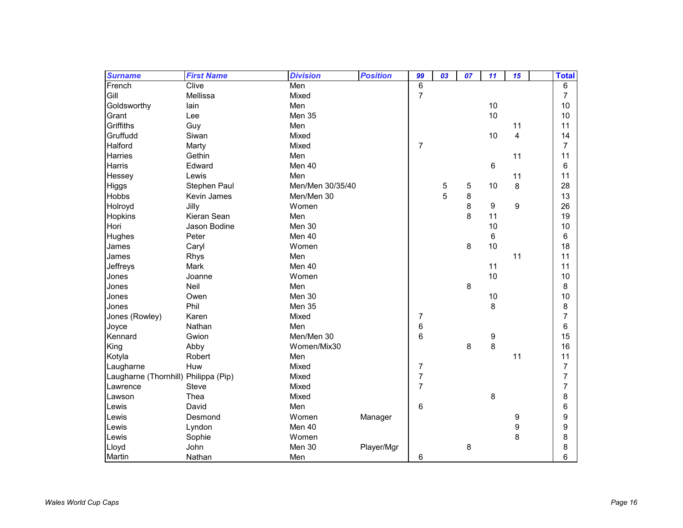| <b>Surname</b>                       | <b>First Name</b> | <b>Division</b>  | <b>Position</b> | 99             | 03 | 07 | 11 | 15               | <b>Total</b>   |
|--------------------------------------|-------------------|------------------|-----------------|----------------|----|----|----|------------------|----------------|
| French                               | Clive             | Men              |                 | 6              |    |    |    |                  | 6              |
| Gill                                 | Mellissa          | Mixed            |                 | $\overline{7}$ |    |    |    |                  | $\overline{7}$ |
| Goldsworthy                          | lain              | Men              |                 |                |    |    | 10 |                  | 10             |
| Grant                                | Lee               | Men 35           |                 |                |    |    | 10 |                  | 10             |
| Griffiths                            | Guy               | Men              |                 |                |    |    |    | 11               | 11             |
| Gruffudd                             | Siwan             | Mixed            |                 |                |    |    | 10 | 4                | 14             |
| Halford                              | Marty             | Mixed            |                 | 7              |    |    |    |                  | $\overline{7}$ |
| <b>Harries</b>                       | Gethin            | Men              |                 |                |    |    |    | 11               | 11             |
| <b>Harris</b>                        | Edward            | Men 40           |                 |                |    |    | 6  |                  | 6              |
| Hessey                               | Lewis             | Men              |                 |                |    |    |    | 11               | 11             |
| Higgs                                | Stephen Paul      | Men/Men 30/35/40 |                 |                | 5  | 5  | 10 | 8                | 28             |
| Hobbs                                | Kevin James       | Men/Men 30       |                 |                | 5  | 8  |    |                  | 13             |
| Holroyd                              | Jilly             | Women            |                 |                |    | 8  | 9  | $\boldsymbol{9}$ | 26             |
| <b>Hopkins</b>                       | Kieran Sean       | Men              |                 |                |    | 8  | 11 |                  | 19             |
| Hori                                 | Jason Bodine      | Men 30           |                 |                |    |    | 10 |                  | 10             |
| Hughes                               | Peter             | Men 40           |                 |                |    |    | 6  |                  | 6              |
| James                                | Caryl             | Women            |                 |                |    | 8  | 10 |                  | 18             |
| James                                | Rhys              | Men              |                 |                |    |    |    | 11               | 11             |
| Jeffreys                             | Mark              | Men 40           |                 |                |    |    | 11 |                  | 11             |
| Jones                                | Joanne            | Women            |                 |                |    |    | 10 |                  | 10             |
| Jones                                | Neil              | Men              |                 |                |    | 8  |    |                  | 8              |
| Jones                                | Owen              | Men 30           |                 |                |    |    | 10 |                  | 10             |
| Jones                                | Phil              | Men 35           |                 |                |    |    | 8  |                  | 8              |
| Jones (Rowley)                       | Karen             | Mixed            |                 | $\overline{7}$ |    |    |    |                  | 7              |
| Joyce                                | Nathan            | Men              |                 | 6              |    |    |    |                  | 6              |
| Kennard                              | Gwion             | Men/Men 30       |                 | 6              |    |    | 9  |                  | 15             |
| King                                 | Abby              | Women/Mix30      |                 |                |    | 8  | 8  |                  | 16             |
| Kotyla                               | Robert            | Men              |                 |                |    |    |    | 11               | 11             |
| Laugharne                            | Huw               | Mixed            |                 | 7              |    |    |    |                  | 7              |
| Laugharne (Thornhill) Philippa (Pip) |                   | Mixed            |                 | $\overline{7}$ |    |    |    |                  | 7              |
| Lawrence                             | <b>Steve</b>      | Mixed            |                 | $\overline{7}$ |    |    |    |                  | 7              |
| Lawson                               | Thea              | Mixed            |                 |                |    |    | 8  |                  | 8              |
| Lewis                                | David             | Men              |                 | 6              |    |    |    |                  | 6              |
| Lewis                                | Desmond           | Women            | Manager         |                |    |    |    | 9                | 9              |
| Lewis                                | Lyndon            | Men 40           |                 |                |    |    |    | 9                | 9              |
| Lewis                                | Sophie            | Women            |                 |                |    |    |    | 8                | 8              |
| Lloyd                                | John              | Men 30           | Player/Mgr      |                |    | 8  |    |                  | 8              |
| Martin                               | Nathan            | Men              |                 | 6              |    |    |    |                  | 6              |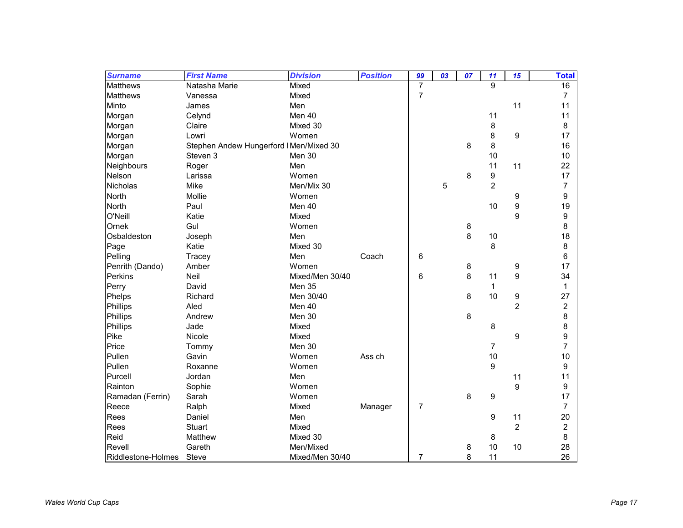| <b>Surname</b>     | <b>First Name</b>                      | <b>Division</b> | <b>Position</b> | 99             | 03 | 07 | 11             | 15             | <b>Total</b>     |
|--------------------|----------------------------------------|-----------------|-----------------|----------------|----|----|----------------|----------------|------------------|
| <b>Matthews</b>    | Natasha Marie                          | Mixed           |                 | $\overline{7}$ |    |    | 9              |                | 16               |
| <b>Matthews</b>    | Vanessa                                | Mixed           |                 | $\overline{7}$ |    |    |                |                | $\overline{7}$   |
| Minto              | James                                  | Men             |                 |                |    |    |                | 11             | 11               |
| Morgan             | Celynd                                 | Men 40          |                 |                |    |    | 11             |                | 11               |
| Morgan             | Claire                                 | Mixed 30        |                 |                |    |    | 8              |                | 8                |
| Morgan             | Lowri                                  | Women           |                 |                |    |    | 8              | 9              | 17               |
| Morgan             | Stephen Andew Hungerford IMen/Mixed 30 |                 |                 |                |    | 8  | 8              |                | 16               |
| Morgan             | Steven 3                               | Men 30          |                 |                |    |    | 10             |                | 10               |
| Neighbours         | Roger                                  | Men             |                 |                |    |    | 11             | 11             | 22               |
| Nelson             | Larissa                                | Women           |                 |                |    | 8  | 9              |                | 17               |
| Nicholas           | Mike                                   | Men/Mix 30      |                 |                | 5  |    | $\overline{c}$ |                | $\overline{7}$   |
| North              | Mollie                                 | Women           |                 |                |    |    |                | 9              | 9                |
| North              | Paul                                   | Men 40          |                 |                |    |    | 10             | 9              | 19               |
| O'Neill            | Katie                                  | Mixed           |                 |                |    |    |                | 9              | 9                |
| Ornek              | Gul                                    | Women           |                 |                |    | 8  |                |                | 8                |
| Osbaldeston        | Joseph                                 | Men             |                 |                |    | 8  | $10$           |                | 18               |
| Page               | Katie                                  | Mixed 30        |                 |                |    |    | 8              |                | 8                |
| Pelling            | Tracey                                 | Men             | Coach           | 6              |    |    |                |                | 6                |
| Penrith (Dando)    | Amber                                  | Women           |                 |                |    | 8  |                | 9              | 17               |
| Perkins            | Neil                                   | Mixed/Men 30/40 |                 | 6              |    | 8  | 11             | 9              | 34               |
| Perry              | David                                  | Men 35          |                 |                |    |    | $\mathbf{1}$   |                | $\mathbf{1}$     |
| Phelps             | Richard                                | Men 30/40       |                 |                |    | 8  | 10             | 9              | 27               |
| Phillips           | Aled                                   | Men 40          |                 |                |    |    |                | $\overline{2}$ | 2                |
| Phillips           | Andrew                                 | Men 30          |                 |                |    | 8  |                |                | 8                |
| Phillips           | Jade                                   | Mixed           |                 |                |    |    | 8              |                | 8                |
| Pike               | Nicole                                 | Mixed           |                 |                |    |    |                | 9              | 9                |
| Price              | Tommy                                  | Men 30          |                 |                |    |    | $\overline{7}$ |                | 7                |
| Pullen             | Gavin                                  | Women           | Ass ch          |                |    |    | 10             |                | 10               |
| Pullen             | Roxanne                                | Women           |                 |                |    |    | $9\,$          |                | 9                |
| Purcell            | Jordan                                 | Men             |                 |                |    |    |                | 11             | 11               |
| Rainton            | Sophie                                 | Women           |                 |                |    |    |                | 9              | $\boldsymbol{9}$ |
| Ramadan (Ferrin)   | Sarah                                  | Women           |                 |                |    | 8  | 9              |                | 17               |
| Reece              | Ralph                                  | Mixed           | Manager         | $\overline{7}$ |    |    |                |                | 7                |
| Rees               | Daniel                                 | Men             |                 |                |    |    | 9              | 11             | 20               |
| Rees               | <b>Stuart</b>                          | Mixed           |                 |                |    |    |                | $\overline{c}$ | $\overline{2}$   |
| Reid               | Matthew                                | Mixed 30        |                 |                |    |    | 8              |                | 8                |
| Revell             | Gareth                                 | Men/Mixed       |                 |                |    | 8  | 10             | 10             | 28               |
| Riddlestone-Holmes | Steve                                  | Mixed/Men 30/40 |                 | 7              |    | 8  | 11             |                | 26               |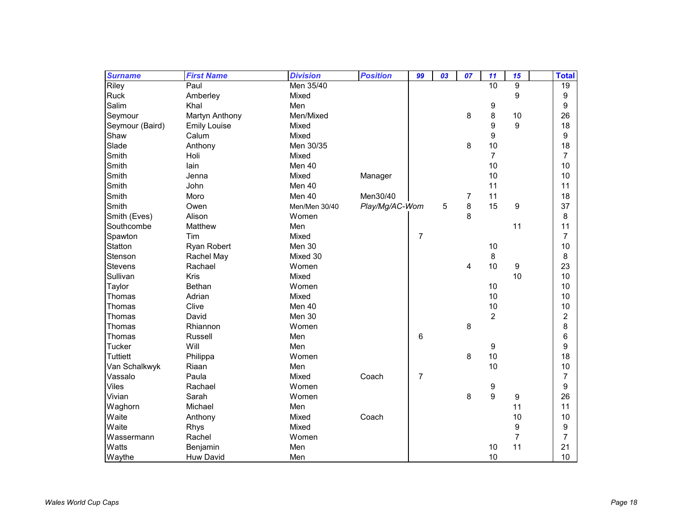| <b>Surname</b>  | <b>First Name</b>   | <b>Division</b> | <b>Position</b> | 99 | 03 | 07             | 11             | 15 | <b>Total</b>            |
|-----------------|---------------------|-----------------|-----------------|----|----|----------------|----------------|----|-------------------------|
| Riley           | Paul                | Men 35/40       |                 |    |    |                | 10             | 9  | 19                      |
| Ruck            | Amberley            | Mixed           |                 |    |    |                |                | 9  | $\boldsymbol{9}$        |
| Salim           | Khal                | Men             |                 |    |    |                | 9              |    | $\boldsymbol{9}$        |
| Seymour         | Martyn Anthony      | Men/Mixed       |                 |    |    | 8              | 8              | 10 | 26                      |
| Seymour (Baird) | <b>Emily Louise</b> | Mixed           |                 |    |    |                | 9              | 9  | 18                      |
| Shaw            | Calum               | Mixed           |                 |    |    |                | 9              |    | 9                       |
| Slade           | Anthony             | Men 30/35       |                 |    |    | 8              | 10             |    | 18                      |
| Smith           | Holi                | Mixed           |                 |    |    |                | $\overline{7}$ |    | $\overline{7}$          |
| Smith           | lain                | Men 40          |                 |    |    |                | 10             |    | 10                      |
| Smith           | Jenna               | Mixed           | Manager         |    |    |                | 10             |    | 10                      |
| Smith           | John                | Men 40          |                 |    |    |                | 11             |    | 11                      |
| Smith           | Moro                | Men 40          | Men30/40        |    |    | 7              | 11             |    | 18                      |
| Smith           | Owen                | Men/Men 30/40   | Play/Mg/AC-Wom  |    | 5  | 8              | 15             | 9  | 37                      |
| Smith (Eves)    | Alison              | Women           |                 |    |    | 8              |                |    | 8                       |
| Southcombe      | Matthew             | Men             |                 |    |    |                |                | 11 | 11                      |
| Spawton         | Tim                 | Mixed           |                 | 7  |    |                |                |    | $\overline{7}$          |
| Statton         | Ryan Robert         | Men 30          |                 |    |    |                | 10             |    | 10                      |
| Stenson         | Rachel May          | Mixed 30        |                 |    |    |                | 8              |    | 8                       |
| Stevens         | Rachael             | Women           |                 |    |    | $\overline{4}$ | 10             | 9  | 23                      |
| Sullivan        | Kris                | Mixed           |                 |    |    |                |                | 10 | 10                      |
| Taylor          | <b>Bethan</b>       | Women           |                 |    |    |                | 10             |    | 10                      |
| Thomas          | Adrian              | Mixed           |                 |    |    |                | 10             |    | 10                      |
| Thomas          | Clive               | Men 40          |                 |    |    |                | 10             |    | 10                      |
| Thomas          | David               | Men 30          |                 |    |    |                | $\overline{2}$ |    | $\overline{\mathbf{c}}$ |
| Thomas          | Rhiannon            | Women           |                 |    |    | 8              |                |    | 8                       |
| Thomas          | Russell             | Men             |                 | 6  |    |                |                |    | 6                       |
| Tucker          | Will                | Men             |                 |    |    |                | 9              |    | 9                       |
| <b>Tuttiett</b> | Philippa            | Women           |                 |    |    | 8              | 10             |    | 18                      |
| Van Schalkwyk   | Riaan               | Men             |                 |    |    |                | 10             |    | 10                      |
| Vassalo         | Paula               | Mixed           | Coach           | 7  |    |                |                |    | $\overline{7}$          |
| <b>Viles</b>    | Rachael             | Women           |                 |    |    |                | 9              |    | $\boldsymbol{9}$        |
| Vivian          | Sarah               | Women           |                 |    |    | 8              | 9              | 9  | 26                      |
| Waghorn         | Michael             | Men             |                 |    |    |                |                | 11 | 11                      |
| Waite           | Anthony             | Mixed           | Coach           |    |    |                |                | 10 | 10                      |
| Waite           | Rhys                | Mixed           |                 |    |    |                |                | 9  | $\boldsymbol{9}$        |
| Wassermann      | Rachel              | Women           |                 |    |    |                |                | 7  | $\overline{7}$          |
| Watts           | Benjamin            | Men             |                 |    |    |                | 10             | 11 | 21                      |
| Waythe          | <b>Huw David</b>    | Men             |                 |    |    |                | 10             |    | 10                      |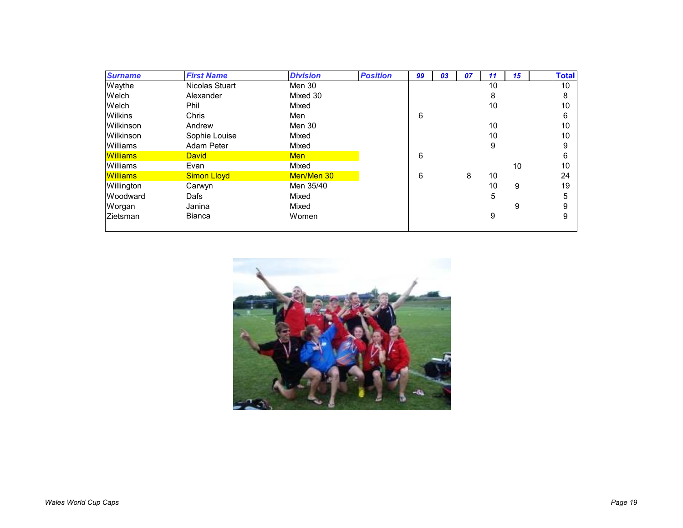| <b>Surname</b>  | <b>First Name</b>  | <b>Division</b> | <b>Position</b> | 99 | 03 | 07 | 11 | 15 | <b>Total</b> |
|-----------------|--------------------|-----------------|-----------------|----|----|----|----|----|--------------|
| Waythe          | Nicolas Stuart     | Men 30          |                 |    |    |    | 10 |    | 10           |
| Welch           | Alexander          | Mixed 30        |                 |    |    |    | 8  |    | 8            |
| Welch           | Phil               | Mixed           |                 |    |    |    | 10 |    | 10           |
| <b>Wilkins</b>  | <b>Chris</b>       | Men             |                 | 6  |    |    |    |    | 6            |
| Wilkinson       | Andrew             | Men 30          |                 |    |    |    | 10 |    | 10           |
| Wilkinson       | Sophie Louise      | Mixed           |                 |    |    |    | 10 |    | 10           |
| Williams        | Adam Peter         | Mixed           |                 |    |    |    | 9  |    | 9            |
| <b>Williams</b> | <b>David</b>       | <b>Men</b>      |                 | 6  |    |    |    |    | 6            |
| Williams        | Evan               | Mixed           |                 |    |    |    |    | 10 | 10           |
| <b>Williams</b> | <b>Simon Lloyd</b> | Men/Men 30      |                 | 6  |    | 8  | 10 |    | 24           |
| Willington      | Carwyn             | Men 35/40       |                 |    |    |    | 10 | 9  | 19           |
| Woodward        | Dafs               | Mixed           |                 |    |    |    | 5  |    | 5            |
| Worgan          | Janina             | Mixed           |                 |    |    |    |    | 9  | 9            |
| Zietsman        | <b>Bianca</b>      | Women           |                 |    |    |    | 9  |    | 9            |
|                 |                    |                 |                 |    |    |    |    |    |              |

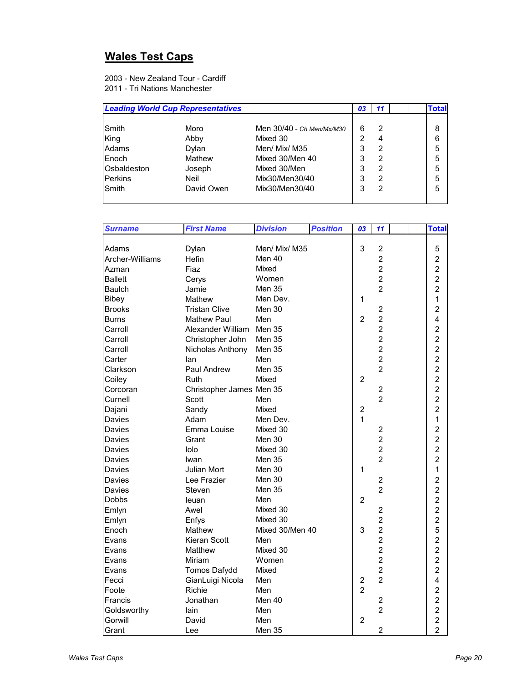# **Wales Test Caps**

2003 - New Zealand Tour - Cardiff 2011 - Tri Nations Manchester

|                | <b>Leading World Cup Representatives</b> |                           | 03 | 11 | Гоtal |
|----------------|------------------------------------------|---------------------------|----|----|-------|
| Smith          | Moro                                     | Men 30/40 - Ch Men/Mx/M30 | 6  | 2  | 8     |
| King           | Abby                                     | Mixed 30                  | 2  | 4  | 6     |
| Adams          | Dylan                                    | Men/ Mix/ M35             | 3  | 2  | 5     |
| Enoch          | Mathew                                   | Mixed 30/Men 40           | 3  | 2  | 5     |
| Osbaldeston    | Joseph                                   | Mixed 30/Men              | 3  | 2  | 5     |
| <b>Perkins</b> | Neil                                     | Mix30/Men30/40            | 3  | 2  | 5     |
| Smith          | David Owen                               | Mix30/Men30/40            | 3  | 2  | 5     |
|                |                                          |                           |    |    |       |

| <b>Surname</b>  | <b>First Name</b>        | <b>Division</b> | <b>Position</b> | 03             | 11                      | <b>Total</b>   |
|-----------------|--------------------------|-----------------|-----------------|----------------|-------------------------|----------------|
|                 |                          |                 |                 |                |                         |                |
| Adams           | Dylan                    | Men/ Mix/ M35   |                 | 3              | $\overline{2}$          | 5              |
| Archer-Williams | Hefin                    | Men 40          |                 |                | $\overline{c}$          | $\overline{2}$ |
| Azman           | Fiaz                     | Mixed           |                 |                | $\overline{2}$          | $\overline{2}$ |
| <b>Ballett</b>  | Cerys                    | Women           |                 |                | $\overline{2}$          | $\overline{c}$ |
| <b>Baulch</b>   | Jamie                    | Men 35          |                 |                | $\overline{2}$          | $\overline{2}$ |
| Bibey           | Mathew                   | Men Dev.        |                 | 1              |                         | 1              |
| <b>Brooks</b>   | <b>Tristan Clive</b>     | Men 30          |                 |                | $\overline{2}$          | $\overline{2}$ |
| <b>Burns</b>    | <b>Mathew Paul</b>       | Men             |                 | $\overline{2}$ | $\overline{2}$          | 4              |
| Carroll         | Alexander William Men 35 |                 |                 |                | $\overline{2}$          | $\overline{c}$ |
| Carroll         | Christopher John         | Men 35          |                 |                | $\overline{2}$          | $\overline{2}$ |
| Carroll         | Nicholas Anthony         | Men 35          |                 |                | $\overline{2}$          | $\overline{c}$ |
| Carter          | lan                      | Men             |                 |                | $\overline{2}$          | $\overline{a}$ |
| Clarkson        | Paul Andrew              | Men 35          |                 |                | $\overline{2}$          | $\overline{a}$ |
| Coiley          | Ruth                     | Mixed           |                 | $\overline{2}$ |                         | $\overline{c}$ |
| Corcoran        | Christopher James Men 35 |                 |                 |                | $\overline{2}$          | $\overline{2}$ |
| Curnell         | Scott                    | Men             |                 |                | $\overline{2}$          | $\overline{2}$ |
| Dajani          | Sandy                    | Mixed           |                 | $\overline{2}$ |                         | $\overline{2}$ |
| Davies          | Adam                     | Men Dev.        |                 | $\mathbf{1}$   |                         | 1              |
| Davies          | Emma Louise              | Mixed 30        |                 |                | $\overline{c}$          | $\overline{c}$ |
| Davies          | Grant                    | Men 30          |                 |                | $\overline{c}$          | $\overline{c}$ |
| Davies          | lolo                     | Mixed 30        |                 |                | $\overline{2}$          | $\overline{2}$ |
| Davies          | Iwan                     | Men 35          |                 |                | $\overline{2}$          | $\overline{2}$ |
| Davies          | Julian Mort              | Men 30          |                 | 1              |                         | 1              |
| Davies          | Lee Frazier              | Men 30          |                 |                | $\overline{c}$          | $\overline{2}$ |
| Davies          | Steven                   | Men 35          |                 |                | $\overline{2}$          | $\overline{c}$ |
| Dobbs           | leuan                    | Men             |                 | $\overline{2}$ |                         | $\overline{c}$ |
| Emlyn           | Awel                     | Mixed 30        |                 |                | $\overline{c}$          | $\overline{c}$ |
| Emlyn           | Enfys                    | Mixed 30        |                 |                | $\overline{c}$          | $\overline{c}$ |
| Enoch           | Mathew                   | Mixed 30/Men 40 |                 | 3              | $\overline{c}$          | 5              |
| Evans           | Kieran Scott             | Men             |                 |                | $\overline{2}$          | $\overline{2}$ |
| Evans           | Matthew                  | Mixed 30        |                 |                | $\overline{2}$          | $\overline{c}$ |
| Evans           | Miriam                   | Women           |                 |                | $\overline{2}$          | $\overline{2}$ |
| Evans           | Tomos Dafydd             | Mixed           |                 |                | $\overline{2}$          | $\overline{2}$ |
| Fecci           | GianLuigi Nicola         | Men             |                 | $\overline{c}$ | $\overline{2}$          | 4              |
| Foote           | Richie                   | Men             |                 | $\overline{2}$ |                         | $\overline{c}$ |
| Francis         | Jonathan                 | Men 40          |                 |                | $\overline{\mathbf{c}}$ | $\overline{c}$ |
| Goldsworthy     | lain                     | Men             |                 |                | $\overline{2}$          | $\overline{2}$ |
| Gorwill         | David                    | Men             |                 | $\overline{2}$ |                         | $\overline{c}$ |
| Grant           | Lee                      | Men 35          |                 |                | $\overline{2}$          | $\overline{2}$ |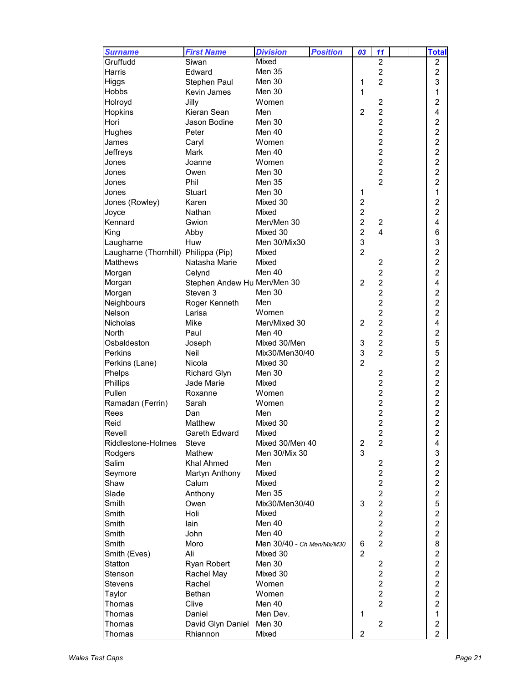| <b>Surname</b>                       | <b>First Name</b>           | <b>Division</b>           | <b>Position</b> | 03                      | 11                                        |  | <b>Total</b>            |
|--------------------------------------|-----------------------------|---------------------------|-----------------|-------------------------|-------------------------------------------|--|-------------------------|
| Gruffudd                             | Siwan                       | Mixed                     |                 |                         | $\overline{2}$                            |  | 2                       |
| Harris                               | Edward                      | Men 35                    |                 |                         | $\boldsymbol{2}$                          |  | $\overline{c}$          |
| Higgs                                | Stephen Paul                | Men 30                    |                 | 1                       | $\overline{2}$                            |  | 3                       |
| Hobbs                                | Kevin James                 | Men 30                    |                 | 1                       |                                           |  | 1                       |
| Holroyd                              | Jilly                       | Women                     |                 |                         | $\overline{c}$                            |  | $\overline{c}$          |
| Hopkins                              | Kieran Sean                 | Men                       |                 | $\overline{2}$          | $\overline{c}$                            |  | 4                       |
| Hori                                 | Jason Bodine                | Men 30                    |                 |                         | $\overline{2}$                            |  | $\overline{c}$          |
| Hughes                               | Peter                       | Men 40                    |                 |                         | $\overline{2}$                            |  | $\overline{\mathbf{c}}$ |
| James                                | Caryl                       | Women                     |                 |                         | $\overline{2}$                            |  | $\overline{c}$          |
| Jeffreys                             | Mark                        | Men 40                    |                 |                         | $\overline{2}$                            |  | $\overline{c}$          |
| Jones                                | Joanne                      | Women                     |                 |                         | $\overline{2}$                            |  | $\overline{c}$          |
| Jones                                | Owen                        | Men 30                    |                 |                         | $\overline{c}$                            |  | $\overline{c}$          |
| Jones                                | Phil                        | Men 35                    |                 |                         | $\overline{2}$                            |  | $\overline{2}$          |
| Jones                                | <b>Stuart</b>               | Men 30                    |                 | 1                       |                                           |  | 1                       |
| Jones (Rowley)                       | Karen                       | Mixed 30                  |                 | $\overline{\mathbf{c}}$ |                                           |  | $\overline{c}$          |
| Joyce                                | Nathan                      | Mixed                     |                 | $\overline{2}$          |                                           |  | $\overline{c}$          |
| Kennard                              | Gwion                       | Men/Men 30                |                 | $\overline{2}$          | $\overline{c}$                            |  | $\overline{\mathbf{4}}$ |
| King                                 | Abby                        | Mixed 30                  |                 | $\overline{2}$          | $\overline{4}$                            |  | 6                       |
| Laugharne                            | Huw                         | Men 30/Mix30              |                 | 3                       |                                           |  | 3                       |
| Laugharne (Thornhill) Philippa (Pip) |                             | Mixed                     |                 | $\overline{2}$          |                                           |  | $\overline{2}$          |
| <b>Matthews</b>                      | Natasha Marie               | Mixed                     |                 |                         | $\overline{c}$                            |  | $\overline{2}$          |
| Morgan                               | Celynd                      | Men 40                    |                 |                         | $\overline{2}$                            |  | $\overline{2}$          |
| Morgan                               | Stephen Andew Hu Men/Men 30 |                           |                 | $\overline{2}$          | $\overline{c}$                            |  | 4                       |
| Morgan                               | Steven 3                    | Men 30                    |                 |                         | $\overline{2}$                            |  | $\overline{c}$          |
|                                      |                             | Men                       |                 |                         | $\overline{2}$                            |  | $\overline{c}$          |
| Neighbours<br>Nelson                 | Roger Kenneth               | Women                     |                 |                         | $\overline{2}$                            |  | $\overline{2}$          |
|                                      | Larisa<br>Mike              |                           |                 |                         | $\overline{c}$                            |  | 4                       |
| Nicholas                             |                             | Men/Mixed 30              |                 | $\overline{2}$          | $\overline{2}$                            |  |                         |
| North                                | Paul                        | Men 40                    |                 |                         |                                           |  | $\overline{c}$          |
| Osbaldeston                          | Joseph                      | Mixed 30/Men              |                 | 3                       | $\overline{\mathbf{c}}$<br>$\overline{2}$ |  | 5                       |
| <b>Perkins</b>                       | <b>Neil</b>                 | Mix30/Men30/40            |                 | 3<br>$\overline{2}$     |                                           |  | 5                       |
| Perkins (Lane)                       | Nicola                      | Mixed 30                  |                 |                         |                                           |  | $\overline{c}$          |
| Phelps                               | <b>Richard Glyn</b>         | Men 30                    |                 |                         | $\overline{c}$                            |  | $\overline{c}$          |
| Phillips                             | Jade Marie                  | Mixed                     |                 |                         | $\overline{\mathbf{c}}$                   |  | $\overline{c}$          |
| Pullen                               | Roxanne                     | Women                     |                 |                         | $\overline{2}$                            |  | $\overline{c}$          |
| Ramadan (Ferrin)                     | Sarah                       | Women                     |                 |                         | $\overline{c}$                            |  | $\overline{c}$          |
| Rees                                 | Dan                         | Men                       |                 |                         | $\overline{c}$                            |  | $\overline{c}$          |
| Reid                                 | Matthew                     | Mixed 30                  |                 |                         | $\overline{c}$                            |  | $\overline{c}$          |
| Revell                               | Gareth Edward               | Mixed                     |                 |                         | $\overline{c}$                            |  | $\overline{c}$          |
| Riddlestone-Holmes                   | Steve                       | Mixed 30/Men 40           |                 | $\overline{c}$          | $\overline{2}$                            |  | 4                       |
| Rodgers                              | Mathew                      | Men 30/Mix 30             |                 | 3                       |                                           |  | 3                       |
| Salim                                | <b>Khal Ahmed</b>           | Men                       |                 |                         | $\overline{c}$                            |  | $\boldsymbol{2}$        |
| Seymore                              | Martyn Anthony              | Mixed                     |                 |                         | $\overline{\mathbf{c}}$                   |  | $\overline{\mathbf{c}}$ |
| Shaw                                 | Calum                       | Mixed                     |                 |                         | $\overline{c}$                            |  | $\overline{c}$          |
| Slade                                | Anthony                     | <b>Men 35</b>             |                 |                         | $\overline{c}$                            |  | $\overline{\mathbf{c}}$ |
| Smith                                | Owen                        | Mix30/Men30/40            |                 | 3                       | $\overline{c}$                            |  | 5                       |
| Smith                                | Holi                        | Mixed                     |                 |                         | $\overline{c}$                            |  | 2                       |
| Smith                                | lain                        | Men 40                    |                 |                         | $\overline{c}$                            |  | $\overline{c}$          |
| Smith                                | John                        | Men 40                    |                 |                         | $\boldsymbol{2}$                          |  | 2                       |
| Smith                                | Moro                        | Men 30/40 - Ch Men/Mx/M30 |                 | 6                       | $\overline{2}$                            |  | 8                       |
| Smith (Eves)                         | Ali                         | Mixed 30                  |                 | $\overline{2}$          |                                           |  | $\overline{\mathbf{c}}$ |
| Statton                              | Ryan Robert                 | Men 30                    |                 |                         | $\overline{\mathbf{c}}$                   |  | $\overline{c}$          |
| Stenson                              | Rachel May                  | Mixed 30                  |                 |                         | $\overline{c}$                            |  | $\overline{2}$          |
| Stevens                              | Rachel                      | Women                     |                 |                         | $\overline{c}$                            |  | $\overline{2}$          |
| Taylor                               | Bethan                      | Women                     |                 |                         | $\overline{c}$                            |  | $\overline{c}$          |
| Thomas                               | Clive                       | Men 40                    |                 |                         | $\overline{2}$                            |  | $\overline{c}$          |
| Thomas                               | Daniel                      | Men Dev.                  |                 | 1                       |                                           |  | $\mathbf{1}$            |
| Thomas                               | David Glyn Daniel Men 30    |                           |                 |                         | $\overline{c}$                            |  | $\overline{\mathbf{c}}$ |
| Thomas                               | Rhiannon                    | Mixed                     |                 | $\overline{c}$          |                                           |  | $\overline{2}$          |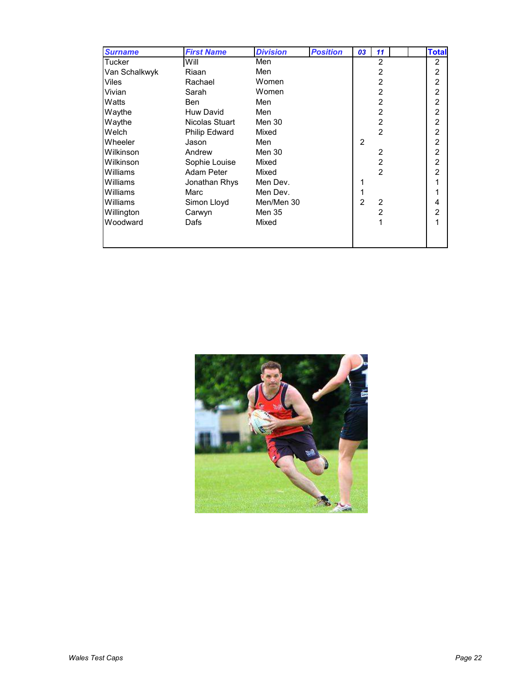| <b>Surname</b> | <b>First Name</b> | <b>Division</b> | <b>Position</b> | 03             | 11             | <b>Total</b>   |
|----------------|-------------------|-----------------|-----------------|----------------|----------------|----------------|
| Tucker         | Will              | Men             |                 |                | $\overline{2}$ | $\overline{2}$ |
| Van Schalkwyk  | Riaan             | Men             |                 |                | 2              | $\overline{c}$ |
| Viles          | Rachael           | Women           |                 |                | 2              | $\overline{2}$ |
| Vivian         | Sarah             | Women           |                 |                | $\overline{2}$ | $\overline{2}$ |
| Watts          | Ben               | Men             |                 |                | 2              | $\overline{c}$ |
| Waythe         | Huw David         | Men             |                 |                | $\overline{2}$ | $\overline{2}$ |
| Waythe         | Nicolas Stuart    | Men 30          |                 |                | $\overline{2}$ | $\overline{c}$ |
| Welch          | Philip Edward     | Mixed           |                 |                | $\overline{2}$ | $\overline{2}$ |
| Wheeler        | Jason             | Men             |                 | 2              |                | $\overline{2}$ |
| Wilkinson      | Andrew            | Men 30          |                 |                | 2              | $\overline{2}$ |
| Wilkinson      | Sophie Louise     | Mixed           |                 |                | $\overline{2}$ | $\overline{2}$ |
| Williams       | Adam Peter        | Mixed           |                 |                | $\mathfrak{p}$ | $\overline{2}$ |
| Williams       | Jonathan Rhys     | Men Dev.        |                 |                |                |                |
| Williams       | Marc              | Men Dev.        |                 |                |                |                |
| Williams       | Simon Lloyd       | Men/Men 30      |                 | $\overline{2}$ | 2              | 4              |
| Willington     | Carwyn            | Men 35          |                 |                | 2              | $\overline{2}$ |
| Woodward       | Dafs              | Mixed           |                 |                | 1              | 1              |
|                |                   |                 |                 |                |                |                |
|                |                   |                 |                 |                |                |                |

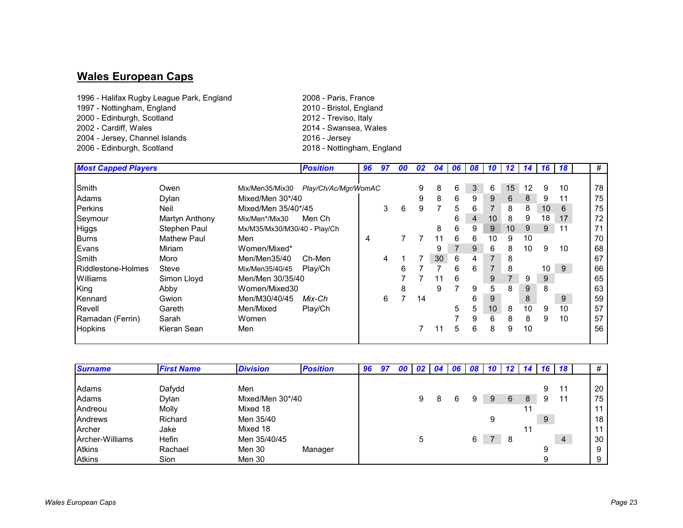#### **Wales European Caps**

- 1996 Halifax Rugby League Park, England 2008 Paris, France 1997 - Nottingham, England2000 - Edinburgh, Scotland2002 - Cardiff, Wales2004 - Jersey, Channel Islands 2006 - Edinburgh, Scotland
	- 2010 Bristol, England 2012 - Treviso, Italy 2014 - Swansea, Wales 2018 - Nottingham, England

| <b>Most Capped Players</b> |                    |                              | <b>Position</b>      | 96 | 97 | 00 | 02 | 04 | 06 |   |                |    |    |                 | 08 10 12 14 16 18 | #  |
|----------------------------|--------------------|------------------------------|----------------------|----|----|----|----|----|----|---|----------------|----|----|-----------------|-------------------|----|
|                            |                    |                              |                      |    |    |    |    |    |    |   |                |    |    |                 |                   |    |
| Smith                      | Owen               | Mix/Men35/Mix30              | Play/Ch/Ac/Mgr/WomAC |    |    |    | 9  | 8  | 6  | 3 | 6              | 15 | 12 | 9               | 10                | 78 |
| Adams                      | Dylan              | Mixed/Men 30*/40             |                      |    |    |    | 9  | 8  | 6  | 9 | 9              | 6  | 8  | 9               |                   | 75 |
| <b>Perkins</b>             | Neil               | Mixed/Men 35/40*/45          |                      |    | 3  | 6  | 9  |    | 5  | 6 | $\overline{7}$ | 8  | 8  | 10              | 6                 | 75 |
| Seymour                    | Martyn Anthony     | Mix/Men*/Mix30               | Men Ch               |    |    |    |    |    | 6  | 4 | 10             | 8  | 9  | 18              | 17                | 72 |
| <b>Higgs</b>               | Stephen Paul       | Mx/M35/Mx30/M30/40 - Play/Ch |                      |    |    |    |    | 8  | 6  | 9 | 9              | 10 | 9  | 9               | 11                | 71 |
| <b>Burns</b>               | <b>Mathew Paul</b> | Men                          |                      | 4  |    |    |    | 11 | 6  | 6 | 10             | 9  | 10 |                 |                   | 70 |
| Evans                      | Miriam             | Women/Mixed*                 |                      |    |    |    |    | 9  |    | 9 | 6              | 8  | 10 | 9               | 10                | 68 |
| Smith                      | Moro               | Men/Men35/40                 | Ch-Men               |    | 4  |    |    | 30 | 6  | 4 | $\overline{7}$ | 8  |    |                 |                   | 67 |
| Riddlestone-Holmes         | Steve              | Mix/Men35/40/45              | Play/Ch              |    |    | 6  |    |    | 6  | 6 | $\overline{7}$ | 8  |    | 10 <sup>°</sup> | 9                 | 66 |
| Williams                   | Simon Lloyd        | Men/Men 30/35/40             |                      |    |    |    |    | 11 | 6  |   | 9              |    | 9  | 9               |                   | 65 |
| King                       | Abby               | Women/Mixed30                |                      |    |    | 8  |    | 9  |    | 9 | 5              | 8  | 9  | 8               |                   | 63 |
| Kennard                    | Gwion              | Men/M30/40/45                | Mix-Ch               |    | 6  |    | 14 |    |    | 6 | 9              |    | 8  |                 | 9                 | 59 |
| Revell                     | Gareth             | Men/Mixed                    | Play/Ch              |    |    |    |    |    | 5  | 5 | 10             | 8  | 10 | 9               | 10                | 57 |
| Ramadan (Ferrin)           | Sarah              | Women                        |                      |    |    |    |    |    |    | 9 | 6              | 8  | 8  | 9               | 10                | 57 |
| <b>Hopkins</b>             | Kieran Sean        | Men                          |                      |    |    |    |    |    | 5  | 6 | 8              | 9  | 10 |                 |                   | 56 |

| <b>Surname</b>  | <b>First Name</b> | <b>Division</b>  | <b>Position</b> | 96 | 97 | 00 |   | $02 \mid 04$ | <b>O6</b> I | 08 | 1U | -12 |   | 16 | -18            | #  |
|-----------------|-------------------|------------------|-----------------|----|----|----|---|--------------|-------------|----|----|-----|---|----|----------------|----|
|                 |                   |                  |                 |    |    |    |   |              |             |    |    |     |   |    |                |    |
| Adams           | Dafydd            | Men              |                 |    |    |    |   |              |             |    |    |     |   | 9  |                | 20 |
| Adams           | Dylan             | Mixed/Men 30*/40 |                 |    |    |    | 9 | 8            |             | 9  | 9  | 6   | 8 | 9  | 11             | 75 |
| Andreou         | Molly             | Mixed 18         |                 |    |    |    |   |              |             |    |    |     |   |    |                | 11 |
| Andrews         | Richard           | Men 35/40        |                 |    |    |    |   |              |             |    | 9  |     |   | 9  |                | 18 |
| Archer          | Jake              | Mixed 18         |                 |    |    |    |   |              |             |    |    |     |   |    |                | 11 |
| Archer-Williams | <b>Hefin</b>      | Men 35/40/45     |                 |    |    |    | 5 |              |             | 6. |    | 8   |   |    | $\overline{4}$ | 30 |
| <b>Atkins</b>   | Rachael           | Men 30           | Manager         |    |    |    |   |              |             |    |    |     |   |    |                | 9  |
| <b>Atkins</b>   | <b>Sion</b>       | Men 30           |                 |    |    |    |   |              |             |    |    |     |   | a  |                | 9  |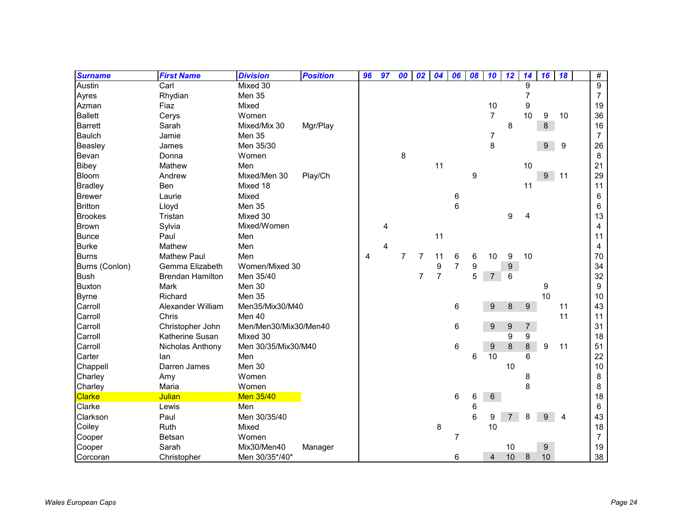| <b>Surname</b> | <b>First Name</b>       | <b>Division</b>       | <b>Position</b> | 96 | 97 | 00             | 02             | 04             | 06             | 08 | 10               | 12             | 14             | 16          | 18 | $\#$           |
|----------------|-------------------------|-----------------------|-----------------|----|----|----------------|----------------|----------------|----------------|----|------------------|----------------|----------------|-------------|----|----------------|
| Austin         | Carl                    | Mixed 30              |                 |    |    |                |                |                |                |    |                  |                | 9              |             |    | $\overline{9}$ |
| Ayres          | Rhydian                 | Men 35                |                 |    |    |                |                |                |                |    |                  |                | 7              |             |    | $\overline{7}$ |
| Azman          | Fiaz                    | Mixed                 |                 |    |    |                |                |                |                |    | 10               |                | 9              |             |    | 19             |
| <b>Ballett</b> | Cerys                   | Women                 |                 |    |    |                |                |                |                |    | $\overline{7}$   |                | 10             | 9           | 10 | 36             |
| Barrett        | Sarah                   | Mixed/Mix 30          | Mgr/Play        |    |    |                |                |                |                |    |                  | 8              |                | 8           |    | 16             |
| <b>Baulch</b>  | Jamie                   | Men 35                |                 |    |    |                |                |                |                |    | $\boldsymbol{7}$ |                |                |             |    | $\overline{7}$ |
| <b>Beasley</b> | James                   | Men 35/30             |                 |    |    |                |                |                |                |    | 8                |                |                | 9           | 9  | 26             |
| Bevan          | Donna                   | Women                 |                 |    |    | 8              |                |                |                |    |                  |                |                |             |    | 8              |
| <b>Bibey</b>   | Mathew                  | Men                   |                 |    |    |                |                | 11             |                |    |                  |                | 10             |             |    | 21             |
| Bloom          | Andrew                  | Mixed/Men 30          | Play/Ch         |    |    |                |                |                |                | 9  |                  |                |                | $9^{\circ}$ | 11 | 29             |
| <b>Bradley</b> | Ben                     | Mixed 18              |                 |    |    |                |                |                |                |    |                  |                | 11             |             |    | 11             |
| <b>Brewer</b>  | Laurie                  | Mixed                 |                 |    |    |                |                |                | 6              |    |                  |                |                |             |    | 6              |
| <b>Britton</b> | Lloyd                   | Men 35                |                 |    |    |                |                |                | 6              |    |                  |                |                |             |    | 6              |
| <b>Brookes</b> | Tristan                 | Mixed 30              |                 |    |    |                |                |                |                |    |                  | 9              | 4              |             |    | 13             |
| <b>Brown</b>   | Sylvia                  | Mixed/Women           |                 |    | 4  |                |                |                |                |    |                  |                |                |             |    | 4              |
| <b>Bunce</b>   | Paul                    | Men                   |                 |    |    |                |                | 11             |                |    |                  |                |                |             |    | 11             |
| <b>Burke</b>   | Mathew                  | Men                   |                 |    | 4  |                |                |                |                |    |                  |                |                |             |    | 4              |
| <b>Burns</b>   | <b>Mathew Paul</b>      | Men                   |                 | 4  |    | $\overline{7}$ | $\overline{7}$ | 11             | 6              | 6  | 10               | 9              | 10             |             |    | 70             |
| Burns (Conlon) | Gemma Elizabeth         | Women/Mixed 30        |                 |    |    |                |                | 9              | $\overline{7}$ | 9  |                  | 9              |                |             |    | 34             |
| <b>Bush</b>    | <b>Brendan Hamilton</b> | Men 35/40             |                 |    |    |                | $\overline{7}$ | $\overline{7}$ |                | 5  | $\overline{7}$   | 6              |                |             |    | 32             |
| <b>Buxton</b>  | Mark                    | Men 30                |                 |    |    |                |                |                |                |    |                  |                |                | 9           |    | 9              |
| <b>Byrne</b>   | Richard                 | Men 35                |                 |    |    |                |                |                |                |    |                  |                |                | 10          |    | 10             |
| Carroll        | Alexander William       | Men35/Mix30/M40       |                 |    |    |                |                |                | 6              |    | 9                | 8              | 9              |             | 11 | 43             |
| Carroll        | Chris                   | Men 40                |                 |    |    |                |                |                |                |    |                  |                |                |             | 11 | 11             |
| Carroll        | Christopher John        | Men/Men30/Mix30/Men40 |                 |    |    |                |                |                | 6              |    | 9                | 9              | $\overline{7}$ |             |    | 31             |
| Carroll        | Katherine Susan         | Mixed 30              |                 |    |    |                |                |                |                |    |                  | 9              | 9              |             |    | 18             |
| Carroll        | Nicholas Anthony        | Men 30/35/Mix30/M40   |                 |    |    |                |                |                | 6              |    | $\boldsymbol{9}$ | $\bf 8$        | 8              | 9           | 11 | 51             |
| Carter         | lan                     | Men                   |                 |    |    |                |                |                |                | 6  | 10               |                | 6              |             |    | 22             |
| Chappell       | Darren James            | Men 30                |                 |    |    |                |                |                |                |    |                  | 10             |                |             |    | 10             |
| Charley        | Amy                     | Women                 |                 |    |    |                |                |                |                |    |                  |                | 8              |             |    | 8              |
| Charley        | Maria                   | Women                 |                 |    |    |                |                |                |                |    |                  |                | 8              |             |    | 8              |
| <b>Clarke</b>  | Julian                  | Men 35/40             |                 |    |    |                |                |                | 6              | 6  | 6                |                |                |             |    | 18             |
| Clarke         | Lewis                   | Men                   |                 |    |    |                |                |                |                | 6  |                  |                |                |             |    | 6              |
| Clarkson       | Paul                    | Men 30/35/40          |                 |    |    |                |                |                |                | 6  | 9                | $\overline{7}$ | 8              | 9           | 4  | 43             |
| Coiley         | Ruth                    | Mixed                 |                 |    |    |                |                | 8              |                |    | 10               |                |                |             |    | 18             |
| Cooper         | Betsan                  | Women                 |                 |    |    |                |                |                | $\overline{7}$ |    |                  |                |                |             |    | $\overline{7}$ |
| Cooper         | Sarah                   | Mix30/Men40           | Manager         |    |    |                |                |                |                |    |                  | 10             |                | 9           |    | 19             |
| Corcoran       | Christopher             | Men 30/35*/40*        |                 |    |    |                |                |                | 6              |    | 4                | 10             | 8              | 10          |    | 38             |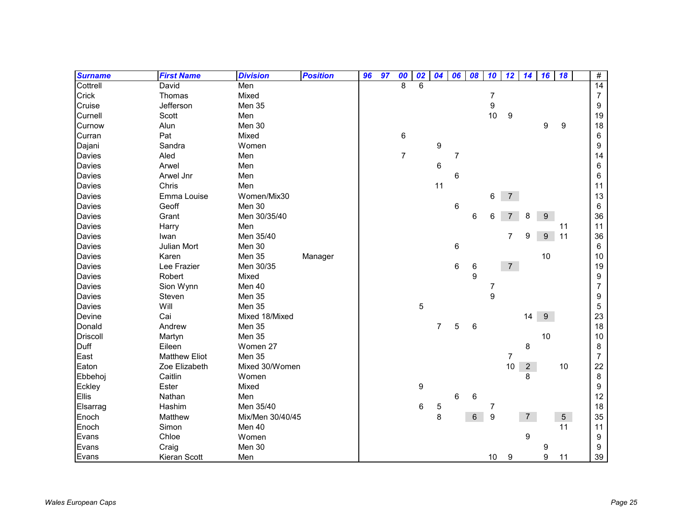| <b>Surname</b>  | <b>First Name</b>    | <b>Division</b>  | <b>Position</b> | 96 | 97 | 00             | 02               | 04             | 06             | 08 | 10               | 12             | 14             | 16 | 18              | #              |
|-----------------|----------------------|------------------|-----------------|----|----|----------------|------------------|----------------|----------------|----|------------------|----------------|----------------|----|-----------------|----------------|
| Cottrell        | David                | Men              |                 |    |    | 8              | 6                |                |                |    |                  |                |                |    |                 | 14             |
| Crick           | Thomas               | Mixed            |                 |    |    |                |                  |                |                |    | $\overline{7}$   |                |                |    |                 | $\overline{7}$ |
| Cruise          | Jefferson            | Men 35           |                 |    |    |                |                  |                |                |    | $\boldsymbol{9}$ |                |                |    |                 | 9              |
| Curnell         | Scott                | Men              |                 |    |    |                |                  |                |                |    | 10               | 9              |                |    |                 | 19             |
| Curnow          | Alun                 | Men 30           |                 |    |    |                |                  |                |                |    |                  |                |                | 9  | 9               | 18             |
| Curran          | Pat                  | Mixed            |                 |    |    | 6              |                  |                |                |    |                  |                |                |    |                 | 6              |
| Dajani          | Sandra               | Women            |                 |    |    |                |                  | 9              |                |    |                  |                |                |    |                 | 9              |
| <b>Davies</b>   | Aled                 | Men              |                 |    |    | $\overline{7}$ |                  |                | $\overline{7}$ |    |                  |                |                |    |                 | 14             |
| <b>Davies</b>   | Arwel                | Men              |                 |    |    |                |                  | 6              |                |    |                  |                |                |    |                 | 6              |
| <b>Davies</b>   | Arwel Jnr            | Men              |                 |    |    |                |                  |                | 6              |    |                  |                |                |    |                 | 6              |
| <b>Davies</b>   | Chris                | Men              |                 |    |    |                |                  | 11             |                |    |                  |                |                |    |                 | 11             |
| <b>Davies</b>   | Emma Louise          | Women/Mix30      |                 |    |    |                |                  |                |                |    | 6                | $\overline{7}$ |                |    |                 | 13             |
| Davies          | Geoff                | Men 30           |                 |    |    |                |                  |                | 6              |    |                  |                |                |    |                 | 6              |
| Davies          | Grant                | Men 30/35/40     |                 |    |    |                |                  |                |                | 6  | 6                |                | 8              | 9  |                 | 36             |
| Davies          | Harry                | Men              |                 |    |    |                |                  |                |                |    |                  |                |                |    | 11              | 11             |
| <b>Davies</b>   | Iwan                 | Men 35/40        |                 |    |    |                |                  |                |                |    |                  | $\overline{7}$ | 9              | 9  | 11              | 36             |
| <b>Davies</b>   | Julian Mort          | Men 30           |                 |    |    |                |                  |                | 6              |    |                  |                |                |    |                 | 6              |
| <b>Davies</b>   | Karen                | Men 35           | Manager         |    |    |                |                  |                |                |    |                  |                |                | 10 |                 | 10             |
| Davies          | Lee Frazier          | Men 30/35        |                 |    |    |                |                  |                | 6              | 6  |                  | 7 <sup>7</sup> |                |    |                 | 19             |
| <b>Davies</b>   | Robert               | Mixed            |                 |    |    |                |                  |                |                | 9  |                  |                |                |    |                 | 9              |
| <b>Davies</b>   | Sion Wynn            | Men 40           |                 |    |    |                |                  |                |                |    | 7                |                |                |    |                 | $\overline{7}$ |
| Davies          | Steven               | Men 35           |                 |    |    |                |                  |                |                |    | 9                |                |                |    |                 | 9              |
| Davies          | Will                 | Men 35           |                 |    |    |                | 5                |                |                |    |                  |                |                |    |                 | 5              |
| Devine          | Cai                  | Mixed 18/Mixed   |                 |    |    |                |                  |                |                |    |                  |                | 14             | 9  |                 | 23             |
| Donald          | Andrew               | Men 35           |                 |    |    |                |                  | $\overline{7}$ | 5              | 6  |                  |                |                |    |                 | 18             |
| <b>Driscoll</b> | Martyn               | Men 35           |                 |    |    |                |                  |                |                |    |                  |                |                | 10 |                 | 10             |
| Duff            | Eileen               | Women 27         |                 |    |    |                |                  |                |                |    |                  |                | 8              |    |                 | 8              |
| East            | <b>Matthew Eliot</b> | Men 35           |                 |    |    |                |                  |                |                |    |                  | 7              |                |    |                 | $\overline{7}$ |
| Eaton           | Zoe Elizabeth        | Mixed 30/Women   |                 |    |    |                |                  |                |                |    |                  | 10             | $\sqrt{2}$     |    | 10              | 22             |
| Ebbehoj         | Caitlin              | Women            |                 |    |    |                |                  |                |                |    |                  |                | 8              |    |                 | 8              |
| Eckley          | Ester                | Mixed            |                 |    |    |                | $\boldsymbol{9}$ |                |                |    |                  |                |                |    |                 | 9              |
| Ellis           | Nathan               | Men              |                 |    |    |                |                  |                | $6\phantom{1}$ | 6  |                  |                |                |    |                 | 12             |
| Elsarrag        | Hashim               | Men 35/40        |                 |    |    |                | 6                | 5              |                |    | 7                |                |                |    |                 | 18             |
| Enoch           | Matthew              | Mix/Men 30/40/45 |                 |    |    |                |                  | 8              |                | 6  | $\boldsymbol{9}$ |                | $\overline{7}$ |    | $5\phantom{.0}$ | 35             |
| Enoch           | Simon                | Men 40           |                 |    |    |                |                  |                |                |    |                  |                |                |    | 11              | 11             |
| Evans           | Chloe                | Women            |                 |    |    |                |                  |                |                |    |                  |                | 9              |    |                 | 9              |
| Evans           | Craig                | Men 30           |                 |    |    |                |                  |                |                |    |                  |                |                | 9  |                 | 9              |
| Evans           | Kieran Scott         | Men              |                 |    |    |                |                  |                |                |    | 10               | 9              |                | 9  | 11              | 39             |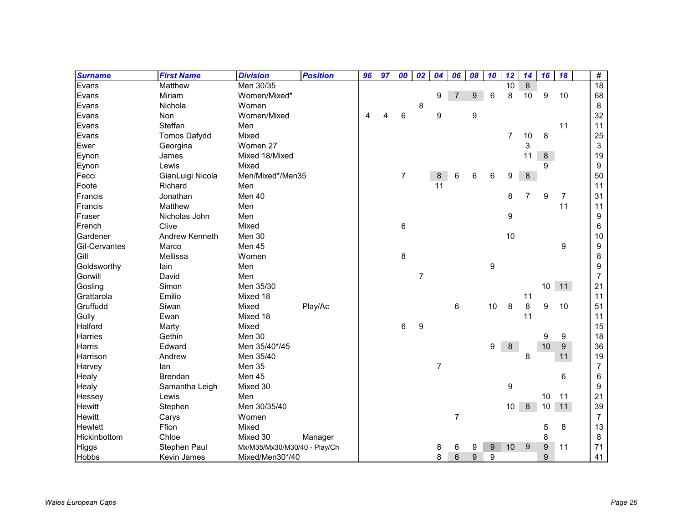| <b>Surname</b> | <b>First Name</b>   | <b>Division</b>              | <b>Position</b> | 96 | 97 | 00 | 02             | 04             | 06             | 08 | 10               | 12             | 14             | 16               | 18             | #               |
|----------------|---------------------|------------------------------|-----------------|----|----|----|----------------|----------------|----------------|----|------------------|----------------|----------------|------------------|----------------|-----------------|
| Evans          | Matthew             | Men 30/35                    |                 |    |    |    |                |                |                |    |                  | 10             | 8              |                  |                | $\overline{18}$ |
| Evans          | Miriam              | Women/Mixed*                 |                 |    |    |    |                | 9              | $\overline{7}$ | 9  | 6                | 8              | 10             | 9                | 10             | 68              |
| Evans          | Nichola             | Women                        |                 |    |    |    | 8              |                |                |    |                  |                |                |                  |                | 8               |
| Evans          | Non                 | Women/Mixed                  |                 | 4  | Δ  | 6  |                | 9              |                | 9  |                  |                |                |                  |                | 32              |
| Evans          | Steffan             | Men                          |                 |    |    |    |                |                |                |    |                  |                |                |                  | 11             | 11              |
| Evans          | <b>Tomos Dafydd</b> | Mixed                        |                 |    |    |    |                |                |                |    |                  | $\overline{7}$ | 10             | 8                |                | 25              |
| Ewer           | Georgina            | Women 27                     |                 |    |    |    |                |                |                |    |                  |                | 3              |                  |                | 3               |
| Eynon          | James               | Mixed 18/Mixed               |                 |    |    |    |                |                |                |    |                  |                | 11             | 8                |                | 19              |
| Eynon          | Lewis               | Mixed                        |                 |    |    |    |                |                |                |    |                  |                |                | 9                |                | 9               |
| Fecci          | GianLuigi Nicola    | Men/Mixed*/Men35             |                 |    |    | 7  |                | 8              | 6              | 6  | 6                | 9              | 8              |                  |                | 50              |
| Foote          | Richard             | Men                          |                 |    |    |    |                | 11             |                |    |                  |                |                |                  |                | 11              |
| Francis        | Jonathan            | Men 40                       |                 |    |    |    |                |                |                |    |                  | 8              | $\overline{7}$ | $\boldsymbol{9}$ | $\overline{7}$ | 31              |
| Francis        | Matthew             | Men                          |                 |    |    |    |                |                |                |    |                  |                |                |                  | 11             | 11              |
| Fraser         | Nicholas John       | Men                          |                 |    |    |    |                |                |                |    |                  | 9              |                |                  |                | 9               |
| French         | Clive               | Mixed                        |                 |    |    | 6  |                |                |                |    |                  |                |                |                  |                | 6               |
| Gardener       | Andrew Kenneth      | Men 30                       |                 |    |    |    |                |                |                |    |                  | 10             |                |                  |                | 10              |
| Gil-Cervantes  | Marco               | Men 45                       |                 |    |    |    |                |                |                |    |                  |                |                |                  | 9              | 9               |
| Gill           | Mellissa            | Women                        |                 |    |    | 8  |                |                |                |    |                  |                |                |                  |                | 8               |
| Goldsworthy    | lain                | Men                          |                 |    |    |    |                |                |                |    | $\boldsymbol{9}$ |                |                |                  |                | 9               |
| Gorwill        | David               | Men                          |                 |    |    |    | $\overline{7}$ |                |                |    |                  |                |                |                  |                | $\overline{7}$  |
| Gosling        | Simon               | Men 35/30                    |                 |    |    |    |                |                |                |    |                  |                |                | $10$             | 11             | 21              |
| Grattarola     | Emilio              | Mixed 18                     |                 |    |    |    |                |                |                |    |                  |                | 11             |                  |                | 11              |
| Gruffudd       | Siwan               | Mixed                        | Play/Ac         |    |    |    |                |                | 6              |    | 10               | 8              | 8              | 9                | 10             | 51              |
| Gully          | Ewan                | Mixed 18                     |                 |    |    |    |                |                |                |    |                  |                | 11             |                  |                | 11              |
| Halford        | Marty               | Mixed                        |                 |    |    | 6  | 9              |                |                |    |                  |                |                |                  |                | 15              |
| Harries        | Gethin              | Men 30                       |                 |    |    |    |                |                |                |    |                  |                |                | 9                | 9              | 18              |
| <b>Harris</b>  | Edward              | Men 35/40*/45                |                 |    |    |    |                |                |                |    | 9                | 8              |                | $10$             | $9\,$          | 36              |
| Harrison       | Andrew              | Men 35/40                    |                 |    |    |    |                |                |                |    |                  |                | 8              |                  | 11             | 19              |
| Harvey         | lan                 | <b>Men 35</b>                |                 |    |    |    |                | $\overline{7}$ |                |    |                  |                |                |                  |                | $\overline{7}$  |
| Healy          | Brendan             | Men 45                       |                 |    |    |    |                |                |                |    |                  |                |                |                  | 6              | 6               |
| Healy          | Samantha Leigh      | Mixed 30                     |                 |    |    |    |                |                |                |    |                  | 9              |                |                  |                | 9               |
| Hessey         | Lewis               | Men                          |                 |    |    |    |                |                |                |    |                  |                |                | 10               | 11             | 21              |
| <b>Hewitt</b>  | Stephen             | Men 30/35/40                 |                 |    |    |    |                |                |                |    |                  | 10             | 8              | 10               | 11             | 39              |
| <b>Hewitt</b>  | Carys               | Women                        |                 |    |    |    |                |                | $\overline{7}$ |    |                  |                |                |                  |                | $\overline{7}$  |
| Hewlett        | Ffion               | Mixed                        |                 |    |    |    |                |                |                |    |                  |                |                | 5                | 8              | 13              |
| Hickinbottom   | Chloe               | Mixed 30                     | Manager         |    |    |    |                |                |                |    |                  |                |                | 8                |                | 8               |
| <b>Higgs</b>   | Stephen Paul        | Mx/M35/Mx30/M30/40 - Play/Ch |                 |    |    |    |                | 8              | 6              | 9  | 9                | 10             | 9              | 9                | 11             | 71              |
| <b>Hobbs</b>   | Kevin James         | Mixed/Men30*/40              |                 |    |    |    |                | 8              | 6              | 9  | 9                |                |                | 9                |                | 41              |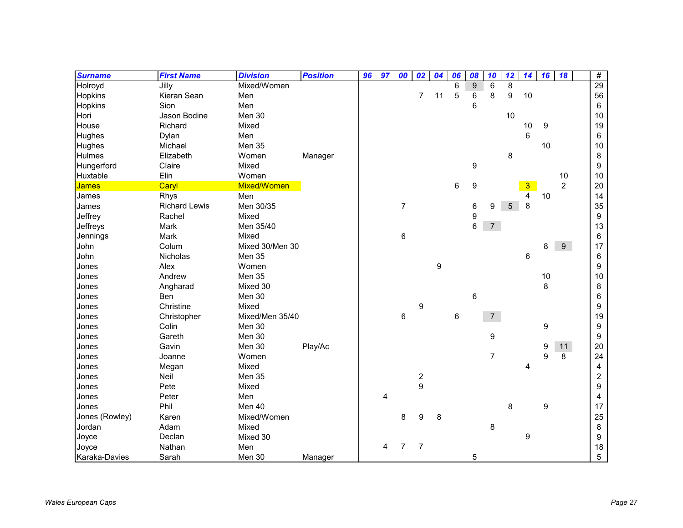| <b>Surname</b> | <b>First Name</b>    | <b>Division</b> | <b>Position</b> | 96 | 97 | 00             | 02                                    | 04               | 06              | 08               | 10             | 12 | 14 | 16 | 18             | $\#$ |
|----------------|----------------------|-----------------|-----------------|----|----|----------------|---------------------------------------|------------------|-----------------|------------------|----------------|----|----|----|----------------|------|
| Holroyd        | Jilly                | Mixed/Women     |                 |    |    |                |                                       |                  | 6               | 9                | 6              | 8  |    |    |                | 29   |
| Hopkins        | Kieran Sean          | Men             |                 |    |    |                | $\overline{7}$                        | 11               | 5               | 6                | 8              | 9  | 10 |    |                | 56   |
| Hopkins        | Sion                 | Men             |                 |    |    |                |                                       |                  |                 | $6\phantom{1}$   |                |    |    |    |                | 6    |
| Hori           | Jason Bodine         | Men 30          |                 |    |    |                |                                       |                  |                 |                  |                | 10 |    |    |                | 10   |
| House          | Richard              | Mixed           |                 |    |    |                |                                       |                  |                 |                  |                |    | 10 | 9  |                | 19   |
| <b>Hughes</b>  | Dylan                | Men             |                 |    |    |                |                                       |                  |                 |                  |                |    | 6  |    |                | 6    |
| Hughes         | Michael              | Men 35          |                 |    |    |                |                                       |                  |                 |                  |                |    |    | 10 |                | 10   |
| Hulmes         | Elizabeth            | Women           | Manager         |    |    |                |                                       |                  |                 |                  |                | 8  |    |    |                | 8    |
| Hungerford     | Claire               | Mixed           |                 |    |    |                |                                       |                  |                 | $\boldsymbol{9}$ |                |    |    |    |                | 9    |
| Huxtable       | Elin                 | Women           |                 |    |    |                |                                       |                  |                 |                  |                |    |    |    | 10             | 10   |
| <b>James</b>   | Caryl                | Mixed/Women     |                 |    |    |                |                                       |                  | 6               | 9                |                |    | 3  |    | $\overline{2}$ | 20   |
| James          | Rhys                 | Men             |                 |    |    |                |                                       |                  |                 |                  |                |    | 4  | 10 |                | 14   |
| James          | <b>Richard Lewis</b> | Men 30/35       |                 |    |    | $\overline{7}$ |                                       |                  |                 | 6                | 9              | 5  | 8  |    |                | 35   |
| Jeffrey        | Rachel               | Mixed           |                 |    |    |                |                                       |                  |                 | $\boldsymbol{9}$ |                |    |    |    |                | 9    |
| Jeffreys       | Mark                 | Men 35/40       |                 |    |    |                |                                       |                  |                 | $6\phantom{1}$   | $\overline{7}$ |    |    |    |                | 13   |
| Jennings       | Mark                 | Mixed           |                 |    |    | 6              |                                       |                  |                 |                  |                |    |    |    |                | 6    |
| John           | Colum                | Mixed 30/Men 30 |                 |    |    |                |                                       |                  |                 |                  |                |    |    | 8  | 9              | 17   |
| John           | Nicholas             | Men 35          |                 |    |    |                |                                       |                  |                 |                  |                |    | 6  |    |                | 6    |
| Jones          | Alex                 | Women           |                 |    |    |                |                                       | $\boldsymbol{9}$ |                 |                  |                |    |    |    |                | 9    |
| Jones          | Andrew               | <b>Men 35</b>   |                 |    |    |                |                                       |                  |                 |                  |                |    |    | 10 |                | 10   |
| Jones          | Angharad             | Mixed 30        |                 |    |    |                |                                       |                  |                 |                  |                |    |    | 8  |                | 8    |
| Jones          | <b>Ben</b>           | Men 30          |                 |    |    |                |                                       |                  |                 | 6                |                |    |    |    |                | 6    |
| Jones          | Christine            | Mixed           |                 |    |    |                | 9                                     |                  |                 |                  |                |    |    |    |                | 9    |
| Jones          | Christopher          | Mixed/Men 35/40 |                 |    |    | 6              |                                       |                  | $6\phantom{1}6$ |                  | 7 <sup>1</sup> |    |    |    |                | 19   |
| Jones          | Colin                | Men 30          |                 |    |    |                |                                       |                  |                 |                  |                |    |    | 9  |                | 9    |
| Jones          | Gareth               | Men 30          |                 |    |    |                |                                       |                  |                 |                  | 9              |    |    |    |                | 9    |
| Jones          | Gavin                | Men 30          | Play/Ac         |    |    |                |                                       |                  |                 |                  |                |    |    | 9  | 11             | 20   |
| Jones          | Joanne               | Women           |                 |    |    |                |                                       |                  |                 |                  | $\overline{7}$ |    |    | 9  | 8              | 24   |
| Jones          | Megan                | Mixed           |                 |    |    |                |                                       |                  |                 |                  |                |    | 4  |    |                | 4    |
| Jones          | Neil                 | Men 35          |                 |    |    |                | $\begin{array}{c} 2 \\ 9 \end{array}$ |                  |                 |                  |                |    |    |    |                | 2    |
| Jones          | Pete                 | Mixed           |                 |    |    |                |                                       |                  |                 |                  |                |    |    |    |                | 9    |
| Jones          | Peter                | Men             |                 |    | 4  |                |                                       |                  |                 |                  |                |    |    |    |                | 4    |
| Jones          | Phil                 | Men 40          |                 |    |    |                |                                       |                  |                 |                  |                | 8  |    | 9  |                | 17   |
| Jones (Rowley) | Karen                | Mixed/Women     |                 |    |    | 8              | 9                                     | 8                |                 |                  |                |    |    |    |                | 25   |
| Jordan         | Adam                 | Mixed           |                 |    |    |                |                                       |                  |                 |                  | 8              |    |    |    |                | 8    |
| Joyce          | Declan               | Mixed 30        |                 |    |    |                |                                       |                  |                 |                  |                |    | 9  |    |                | 9    |
| Joyce          | Nathan               | Men             |                 |    | 4  | 7              | $\overline{7}$                        |                  |                 |                  |                |    |    |    |                | 18   |
| Karaka-Davies  | Sarah                | Men 30          | Manager         |    |    |                |                                       |                  |                 | 5                |                |    |    |    |                | 5    |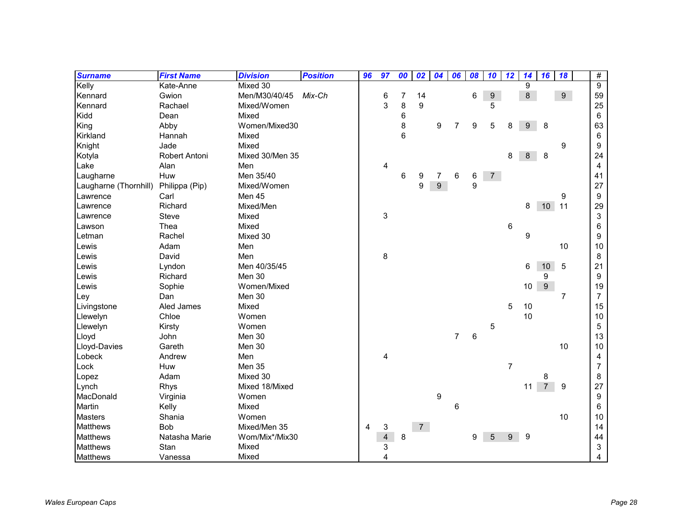| <b>Surname</b>        | <b>First Name</b> | <b>Division</b> | <b>Position</b> | 96 | 97                      | 00 | 02             | 04             | 06             | 08 | 10               | 12             | 14              | 16              | 18             | #              |
|-----------------------|-------------------|-----------------|-----------------|----|-------------------------|----|----------------|----------------|----------------|----|------------------|----------------|-----------------|-----------------|----------------|----------------|
| Kelly                 | Kate-Anne         | Mixed 30        |                 |    |                         |    |                |                |                |    |                  |                | 9               |                 |                | 9              |
| Kennard               | Gwion             | Men/M30/40/45   | Mix-Ch          |    | 6                       | 7  | 14             |                |                | 6  | $\boldsymbol{9}$ |                | $\,8\,$         |                 | $9\,$          | 59             |
| Kennard               | Rachael           | Mixed/Women     |                 |    | 3                       | 8  | 9              |                |                |    | 5                |                |                 |                 |                | 25             |
| Kidd                  | Dean              | Mixed           |                 |    |                         | 6  |                |                |                |    |                  |                |                 |                 |                | $6\phantom{1}$ |
| King                  | Abby              | Women/Mixed30   |                 |    |                         | 8  |                | 9              | 7              | 9  | 5                | 8              | 9               | 8               |                | 63             |
| Kirkland              | Hannah            | Mixed           |                 |    |                         | 6  |                |                |                |    |                  |                |                 |                 |                | 6              |
| Knight                | Jade              | Mixed           |                 |    |                         |    |                |                |                |    |                  |                |                 |                 | 9              | 9              |
| Kotyla                | Robert Antoni     | Mixed 30/Men 35 |                 |    |                         |    |                |                |                |    |                  | 8              | $\bf 8$         | 8               |                | 24             |
| Lake                  | Alan              | Men             |                 |    | $\overline{4}$          |    |                |                |                |    |                  |                |                 |                 |                | $\overline{4}$ |
| Laugharne             | Huw               | Men 35/40       |                 |    |                         | 6  | 9              | 7              | 6              | 6  | $7^{\circ}$      |                |                 |                 |                | 41             |
| Laugharne (Thornhill) | Philippa (Pip)    | Mixed/Women     |                 |    |                         |    | 9              | $\overline{9}$ |                | 9  |                  |                |                 |                 |                | 27             |
| Lawrence              | Carl              | Men 45          |                 |    |                         |    |                |                |                |    |                  |                |                 |                 | 9              | 9              |
| Lawrence              | Richard           | Mixed/Men       |                 |    |                         |    |                |                |                |    |                  |                | 8               | 10 <sup>°</sup> | 11             | 29             |
| Lawrence              | Steve             | Mixed           |                 |    | 3                       |    |                |                |                |    |                  |                |                 |                 |                | 3              |
| Lawson                | Thea              | Mixed           |                 |    |                         |    |                |                |                |    |                  | 6              |                 |                 |                | 6              |
| Letman                | Rachel            | Mixed 30        |                 |    |                         |    |                |                |                |    |                  |                | 9               |                 |                | 9              |
| Lewis                 | Adam              | Men             |                 |    |                         |    |                |                |                |    |                  |                |                 |                 | 10             | 10             |
| Lewis                 | David             | Men             |                 |    | 8                       |    |                |                |                |    |                  |                |                 |                 |                | 8              |
| Lewis                 | Lyndon            | Men 40/35/45    |                 |    |                         |    |                |                |                |    |                  |                | 6               | 10              | 5              | 21             |
| Lewis                 | Richard           | Men 30          |                 |    |                         |    |                |                |                |    |                  |                |                 | 9               |                | 9              |
| Lewis                 | Sophie            | Women/Mixed     |                 |    |                         |    |                |                |                |    |                  |                | 10 <sup>°</sup> | $9\,$           |                | 19             |
| Ley                   | Dan               | Men 30          |                 |    |                         |    |                |                |                |    |                  |                |                 |                 | $\overline{7}$ | $\overline{7}$ |
| Livingstone           | Aled James        | Mixed           |                 |    |                         |    |                |                |                |    |                  | 5              | 10              |                 |                | 15             |
| Llewelyn              | Chloe             | Women           |                 |    |                         |    |                |                |                |    |                  |                | 10              |                 |                | 10             |
| Llewelyn              | Kirsty            | Women           |                 |    |                         |    |                |                |                |    | 5                |                |                 |                 |                | 5              |
| Lloyd                 | John              | Men 30          |                 |    |                         |    |                |                | $\overline{7}$ | 6  |                  |                |                 |                 |                | 13             |
| Lloyd-Davies          | Gareth            | Men 30          |                 |    |                         |    |                |                |                |    |                  |                |                 |                 | 10             | 10             |
| Lobeck                | Andrew            | Men             |                 |    | 4                       |    |                |                |                |    |                  |                |                 |                 |                | 4              |
| Lock                  | Huw               | Men 35          |                 |    |                         |    |                |                |                |    |                  | $\overline{7}$ |                 |                 |                | $\overline{7}$ |
| Lopez                 | Adam              | Mixed 30        |                 |    |                         |    |                |                |                |    |                  |                |                 | 8               |                | 8              |
| Lynch                 | Rhys              | Mixed 18/Mixed  |                 |    |                         |    |                |                |                |    |                  |                | 11              | $\overline{7}$  | 9              | 27             |
| MacDonald             | Virginia          | Women           |                 |    |                         |    |                | 9              |                |    |                  |                |                 |                 |                | 9              |
| Martin                | Kelly             | Mixed           |                 |    |                         |    |                |                | 6              |    |                  |                |                 |                 |                | 6              |
| <b>Masters</b>        | Shania            | Women           |                 |    |                         |    |                |                |                |    |                  |                |                 |                 | 10             | 10             |
| <b>Matthews</b>       | Bob               | Mixed/Men 35    |                 | 4  | 3                       |    | 7 <sup>7</sup> |                |                |    |                  |                |                 |                 |                | 14             |
| <b>Matthews</b>       | Natasha Marie     | Wom/Mix*/Mix30  |                 |    | $\overline{\mathbf{4}}$ | 8  |                |                |                | 9  | 5                | 9              | 9               |                 |                | 44             |
| <b>Matthews</b>       | Stan              | Mixed           |                 |    | 3                       |    |                |                |                |    |                  |                |                 |                 |                | 3              |
| <b>Matthews</b>       | Vanessa           | Mixed           |                 |    | 4                       |    |                |                |                |    |                  |                |                 |                 |                | 4              |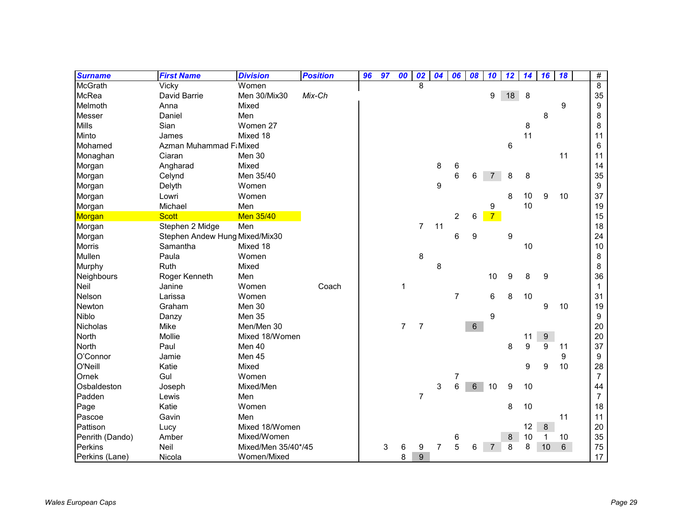| <b>Surname</b>  | <b>First Name</b>              | <b>Division</b>     | <b>Position</b> | 96 | 97 | 00             | 02             | 04 | 06             | 08             | 10             | 12 | 14 | 16               | 18 | #                |
|-----------------|--------------------------------|---------------------|-----------------|----|----|----------------|----------------|----|----------------|----------------|----------------|----|----|------------------|----|------------------|
| <b>McGrath</b>  | Vicky                          | Women               |                 |    |    |                | 8              |    |                |                |                |    |    |                  |    | 8                |
| <b>McRea</b>    | David Barrie                   | Men 30/Mix30        | Mix-Ch          |    |    |                |                |    |                |                | 9              | 18 | 8  |                  |    | 35               |
| Melmoth         | Anna                           | Mixed               |                 |    |    |                |                |    |                |                |                |    |    |                  | 9  | $\boldsymbol{9}$ |
| Messer          | Daniel                         | Men                 |                 |    |    |                |                |    |                |                |                |    |    | 8                |    | 8                |
| <b>Mills</b>    | Sian                           | Women 27            |                 |    |    |                |                |    |                |                |                |    | 8  |                  |    | 8                |
| Minto           | James                          | Mixed 18            |                 |    |    |                |                |    |                |                |                |    | 11 |                  |    | 11               |
| Mohamed         | Azman Muhammad F: Mixed        |                     |                 |    |    |                |                |    |                |                |                | 6  |    |                  |    | 6                |
| Monaghan        | Ciaran                         | Men 30              |                 |    |    |                |                |    |                |                |                |    |    |                  | 11 | 11               |
| Morgan          | Angharad                       | Mixed               |                 |    |    |                |                | 8  | 6              |                |                |    |    |                  |    | 14               |
| Morgan          | Celynd                         | Men 35/40           |                 |    |    |                |                |    | 6              | 6              | 7              | 8  | 8  |                  |    | 35               |
| Morgan          | Delyth                         | Women               |                 |    |    |                |                | 9  |                |                |                |    |    |                  |    | $\boldsymbol{9}$ |
| Morgan          | Lowri                          | Women               |                 |    |    |                |                |    |                |                |                | 8  | 10 | 9                | 10 | 37               |
| Morgan          | Michael                        | Men                 |                 |    |    |                |                |    |                |                | 9              |    | 10 |                  |    | 19               |
| Morgan          | <b>Scott</b>                   | <b>Men 35/40</b>    |                 |    |    |                |                |    | $\overline{c}$ | 6              | $\overline{7}$ |    |    |                  |    | 15               |
| Morgan          | Stephen 2 Midge                | Men                 |                 |    |    |                | $\overline{7}$ | 11 |                |                |                |    |    |                  |    | 18               |
| Morgan          | Stephen Andew Hung Mixed/Mix30 |                     |                 |    |    |                |                |    | 6              | 9              |                | 9  |    |                  |    | 24               |
| <b>Morris</b>   | Samantha                       | Mixed 18            |                 |    |    |                |                |    |                |                |                |    | 10 |                  |    | 10               |
| Mullen          | Paula                          | Women               |                 |    |    |                | 8              |    |                |                |                |    |    |                  |    | 8                |
| Murphy          | Ruth                           | Mixed               |                 |    |    |                |                | 8  |                |                |                |    |    |                  |    | 8                |
| Neighbours      | Roger Kenneth                  | Men                 |                 |    |    |                |                |    |                |                | 10             | 9  | 8  | 9                |    | 36               |
| Neil            | Janine                         | Women               | Coach           |    |    | 1              |                |    |                |                |                |    |    |                  |    | $\mathbf{1}$     |
| Nelson          | Larissa                        | Women               |                 |    |    |                |                |    | $\overline{7}$ |                | 6              | 8  | 10 |                  |    | 31               |
| Newton          | Graham                         | Men 30              |                 |    |    |                |                |    |                |                |                |    |    | 9                | 10 | 19               |
| Niblo           | Danzy                          | Men 35              |                 |    |    |                |                |    |                |                | 9              |    |    |                  |    | 9                |
| <b>Nicholas</b> | Mike                           | Men/Men 30          |                 |    |    | $\overline{7}$ | $\overline{7}$ |    |                | $6\phantom{a}$ |                |    |    |                  |    | 20               |
| North           | Mollie                         | Mixed 18/Women      |                 |    |    |                |                |    |                |                |                |    | 11 | 9                |    | 20               |
| North           | Paul                           | Men 40              |                 |    |    |                |                |    |                |                |                | 8  | 9  | 9                | 11 | 37               |
| O'Connor        | Jamie                          | Men 45              |                 |    |    |                |                |    |                |                |                |    |    |                  | 9  | $\boldsymbol{9}$ |
| O'Neill         | Katie                          | Mixed               |                 |    |    |                |                |    |                |                |                |    | 9  | $\boldsymbol{9}$ | 10 | 28               |
| Ornek           | Gul                            | Women               |                 |    |    |                |                |    | 7              |                |                |    |    |                  |    | $\boldsymbol{7}$ |
| Osbaldeston     | Joseph                         | Mixed/Men           |                 |    |    |                |                | 3  | 6              | 6              | 10             | 9  | 10 |                  |    | 44               |
| Padden          | Lewis                          | Men                 |                 |    |    |                | $\overline{7}$ |    |                |                |                |    |    |                  |    | $\overline{7}$   |
| Page            | Katie                          | Women               |                 |    |    |                |                |    |                |                |                | 8  | 10 |                  |    | 18               |
| Pascoe          | Gavin                          | Men                 |                 |    |    |                |                |    |                |                |                |    |    |                  | 11 | 11               |
| Pattison        | Lucy                           | Mixed 18/Women      |                 |    |    |                |                |    |                |                |                |    | 12 | 8                |    | 20               |
| Penrith (Dando) | Amber                          | Mixed/Women         |                 |    |    |                |                |    | 6              |                |                | 8  | 10 | $\mathbf{1}$     | 10 | 35               |
| Perkins         | Neil                           | Mixed/Men 35/40*/45 |                 |    | 3  | 6              | 9              | 7  | 5              | 6              | $\overline{7}$ | 8  | 8  | 10               | 6  | 75               |
| Perkins (Lane)  | Nicola                         | Women/Mixed         |                 |    |    | 8              | 9              |    |                |                |                |    |    |                  |    | 17               |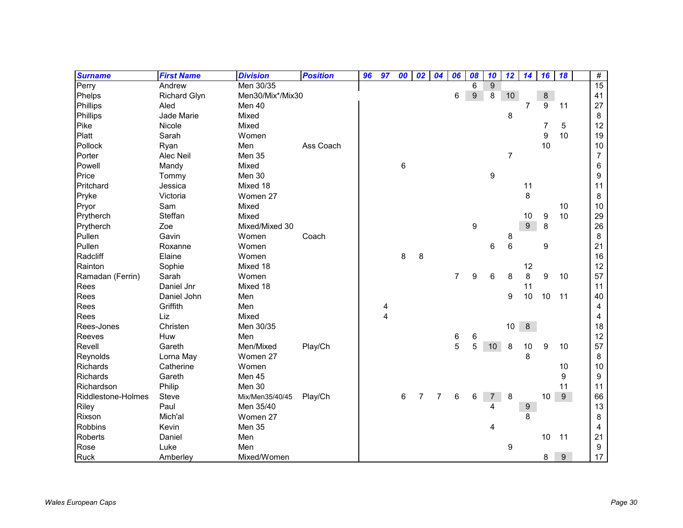| <b>Surname</b>     | <b>First Name</b>   | <b>Division</b>  | <b>Position</b> | 96 | 97 | 00 | 02             | 04             | 06             | 08 | 10             | 12              | 14               | 16 | 18    | $\#$           |
|--------------------|---------------------|------------------|-----------------|----|----|----|----------------|----------------|----------------|----|----------------|-----------------|------------------|----|-------|----------------|
| Perry              | Andrew              | Men 30/35        |                 |    |    |    |                |                |                | 6  | 9              |                 |                  |    |       | 15             |
| Phelps             | <b>Richard Glyn</b> | Men30/Mix*/Mix30 |                 |    |    |    |                |                | 6              | 9  | 8              | 10 <sup>°</sup> |                  | 8  |       | 41             |
| Phillips           | Aled                | Men 40           |                 |    |    |    |                |                |                |    |                |                 | $\overline{7}$   | 9  | 11    | 27             |
| Phillips           | Jade Marie          | Mixed            |                 |    |    |    |                |                |                |    |                | 8               |                  |    |       | 8              |
| Pike               | Nicole              | Mixed            |                 |    |    |    |                |                |                |    |                |                 |                  | 7  | 5     | 12             |
| Platt              | Sarah               | Women            |                 |    |    |    |                |                |                |    |                |                 |                  | 9  | 10    | 19             |
| Pollock            | Ryan                | Men              | Ass Coach       |    |    |    |                |                |                |    |                |                 |                  | 10 |       | 10             |
| Porter             | Alec Neil           | Men 35           |                 |    |    |    |                |                |                |    |                | $\overline{7}$  |                  |    |       | $\overline{7}$ |
| Powell             | Mandy               | Mixed            |                 |    |    | 6  |                |                |                |    |                |                 |                  |    |       | 6              |
| Price              | Tommy               | Men 30           |                 |    |    |    |                |                |                |    | 9              |                 |                  |    |       | 9              |
| Pritchard          | Jessica             | Mixed 18         |                 |    |    |    |                |                |                |    |                |                 | 11               |    |       | 11             |
| Pryke              | Victoria            | Women 27         |                 |    |    |    |                |                |                |    |                |                 | 8                |    |       | 8              |
| Pryor              | Sam                 | Mixed            |                 |    |    |    |                |                |                |    |                |                 |                  |    | 10    | 10             |
| Prytherch          | Steffan             | Mixed            |                 |    |    |    |                |                |                |    |                |                 | 10               | 9  | 10    | 29             |
| Prytherch          | Zoe                 | Mixed/Mixed 30   |                 |    |    |    |                |                |                | 9  |                |                 | 9                | 8  |       | 26             |
| Pullen             | Gavin               | Women            | Coach           |    |    |    |                |                |                |    |                | 8               |                  |    |       | 8              |
| Pullen             | Roxanne             | Women            |                 |    |    |    |                |                |                |    | 6              | 6               |                  | 9  |       | 21             |
| Radcliff           | Elaine              | Women            |                 |    |    | 8  | 8              |                |                |    |                |                 |                  |    |       | 16             |
| Rainton            | Sophie              | Mixed 18         |                 |    |    |    |                |                |                |    |                |                 | 12               |    |       | 12             |
| Ramadan (Ferrin)   | Sarah               | Women            |                 |    |    |    |                |                | $\overline{7}$ | 9  | 6              | 8               | 8                | 9  | 10    | 57             |
| Rees               | Daniel Jnr          | Mixed 18         |                 |    |    |    |                |                |                |    |                |                 | 11               |    |       | 11             |
| Rees               | Daniel John         | Men              |                 |    |    |    |                |                |                |    |                | 9               | 10               | 10 | 11    | 40             |
| Rees               | Griffith            | Men              |                 |    | 4  |    |                |                |                |    |                |                 |                  |    |       | 4              |
| Rees               | Liz                 | Mixed            |                 |    | 4  |    |                |                |                |    |                |                 |                  |    |       | $\overline{4}$ |
| Rees-Jones         | Christen            | Men 30/35        |                 |    |    |    |                |                |                |    |                | 10              | 8                |    |       | 18             |
| Reeves             | Huw                 | Men              |                 |    |    |    |                |                | 6              | 6  |                |                 |                  |    |       | 12             |
| Revell             | Gareth              | Men/Mixed        | Play/Ch         |    |    |    |                |                | 5              | 5  | 10             | 8               | 10               | 9  | 10    | 57             |
| Reynolds           | Lorna May           | Women 27         |                 |    |    |    |                |                |                |    |                |                 | 8                |    |       | 8              |
| Richards           | Catherine           | Women            |                 |    |    |    |                |                |                |    |                |                 |                  |    | 10    | 10             |
| <b>Richards</b>    | Gareth              | Men 45           |                 |    |    |    |                |                |                |    |                |                 |                  |    | 9     | 9              |
| Richardson         | Philip              | Men 30           |                 |    |    |    |                |                |                |    |                |                 |                  |    | 11    | 11             |
| Riddlestone-Holmes | Steve               | Mix/Men35/40/45  | Play/Ch         |    |    | 6  | $\overline{7}$ | $\overline{7}$ | 6              | 6  | $\overline{7}$ | 8               |                  | 10 | $9\,$ | 66             |
| Riley              | Paul                | Men 35/40        |                 |    |    |    |                |                |                |    |                |                 | $\boldsymbol{9}$ |    |       | 13             |
| Rixson             | Mich'al             | Women 27         |                 |    |    |    |                |                |                |    |                |                 | 8                |    |       | 8              |
| <b>Robbins</b>     | Kevin               | Men 35           |                 |    |    |    |                |                |                |    | 4              |                 |                  |    |       | 4              |
| Roberts            | Daniel              | Men              |                 |    |    |    |                |                |                |    |                |                 |                  | 10 | 11    | 21             |
| Rose               | Luke                | Men              |                 |    |    |    |                |                |                |    |                | 9               |                  |    |       | 9              |
| <b>Ruck</b>        | Amberley            | Mixed/Women      |                 |    |    |    |                |                |                |    |                |                 |                  | 8  | 9     | 17             |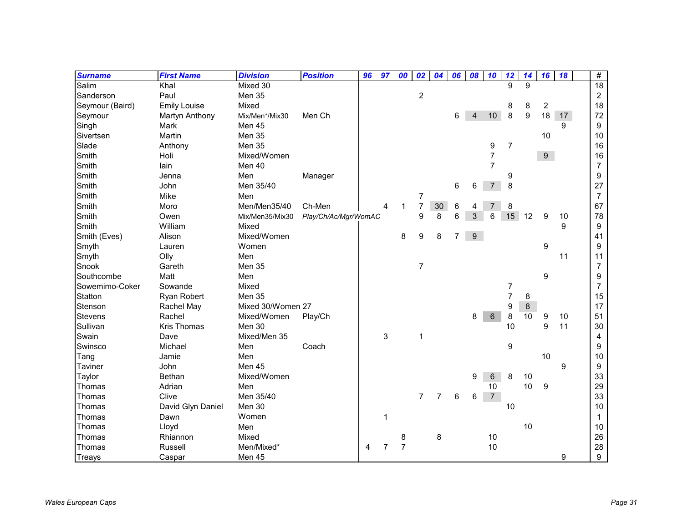| <b>Surname</b>  | <b>First Name</b>   | <b>Division</b>   | <b>Position</b>      | 96 | 97             | 00             | 02               | 04             | 06             | 08               | 10              | 12             | 14      | 16             | 18 | #                |
|-----------------|---------------------|-------------------|----------------------|----|----------------|----------------|------------------|----------------|----------------|------------------|-----------------|----------------|---------|----------------|----|------------------|
| Salim           | Khal                | Mixed 30          |                      |    |                |                |                  |                |                |                  |                 | 9              | 9       |                |    | $\overline{18}$  |
| Sanderson       | Paul                | Men 35            |                      |    |                |                | $\overline{c}$   |                |                |                  |                 |                |         |                |    | $\overline{c}$   |
| Seymour (Baird) | <b>Emily Louise</b> | Mixed             |                      |    |                |                |                  |                |                |                  |                 | 8              | 8       | $\overline{c}$ |    | 18               |
| Seymour         | Martyn Anthony      | Mix/Men*/Mix30    | Men Ch               |    |                |                |                  |                | 6              | $\overline{4}$   | 10 <sup>1</sup> | 8              | 9       | 18             | 17 | 72               |
| Singh           | Mark                | Men 45            |                      |    |                |                |                  |                |                |                  |                 |                |         |                | 9  | 9                |
| Sivertsen       | Martin              | Men 35            |                      |    |                |                |                  |                |                |                  |                 |                |         | 10             |    | 10               |
| Slade           | Anthony             | Men 35            |                      |    |                |                |                  |                |                |                  | 9               | $\overline{7}$ |         |                |    | 16               |
| Smith           | Holi                | Mixed/Women       |                      |    |                |                |                  |                |                |                  | $\overline{7}$  |                |         | 9 <sup>1</sup> |    | 16               |
| Smith           | lain                | Men 40            |                      |    |                |                |                  |                |                |                  | $\overline{7}$  |                |         |                |    | $\overline{7}$   |
| Smith           | Jenna               | Men               | Manager              |    |                |                |                  |                |                |                  |                 | 9              |         |                |    | 9                |
| Smith           | John                | Men 35/40         |                      |    |                |                |                  |                | 6              | 6                | $\overline{7}$  | 8              |         |                |    | 27               |
| Smith           | Mike                | Men               |                      |    |                |                | $\boldsymbol{7}$ |                |                |                  |                 |                |         |                |    | $\overline{7}$   |
| Smith           | Moro                | Men/Men35/40      | Ch-Men               |    | 4              | $\mathbf{1}$   | $\overline{7}$   | $30\,$         | 6              | 4                |                 | 8              |         |                |    | 67               |
| Smith           | Owen                | Mix/Men35/Mix30   | Play/Ch/Ac/Mgr/WomAC |    |                |                | 9                | 8              | 6              | 3                | 6               | 15             | 12      | 9              | 10 | 78               |
| Smith           | William             | Mixed             |                      |    |                |                |                  |                |                |                  |                 |                |         |                | 9  | 9                |
| Smith (Eves)    | Alison              | Mixed/Women       |                      |    |                | 8              | 9                | 8              | $\overline{7}$ | $\boldsymbol{9}$ |                 |                |         |                |    | 41               |
| Smyth           | Lauren              | Women             |                      |    |                |                |                  |                |                |                  |                 |                |         | 9              |    | 9                |
| Smyth           | Olly                | Men               |                      |    |                |                |                  |                |                |                  |                 |                |         |                | 11 | 11               |
| Snook           | Gareth              | <b>Men 35</b>     |                      |    |                |                | $\overline{7}$   |                |                |                  |                 |                |         |                |    | $\overline{7}$   |
| Southcombe      | Matt                | Men               |                      |    |                |                |                  |                |                |                  |                 |                |         | 9              |    | 9                |
| Sowemimo-Coker  | Sowande             | Mixed             |                      |    |                |                |                  |                |                |                  |                 | 7              |         |                |    | $\overline{7}$   |
| Statton         | Ryan Robert         | Men 35            |                      |    |                |                |                  |                |                |                  |                 | $\overline{7}$ | 8       |                |    | 15               |
| Stenson         | Rachel May          | Mixed 30/Women 27 |                      |    |                |                |                  |                |                |                  |                 | 9              | $\bf 8$ |                |    | 17               |
| <b>Stevens</b>  | Rachel              | Mixed/Women       | Play/Ch              |    |                |                |                  |                |                | 8                | 6               | 8              | 10      | 9              | 10 | 51               |
| Sullivan        | <b>Kris Thomas</b>  | Men 30            |                      |    |                |                |                  |                |                |                  |                 | 10             |         | 9              | 11 | 30               |
| Swain           | Dave                | Mixed/Men 35      |                      |    | 3              |                | 1                |                |                |                  |                 |                |         |                |    | 4                |
| Swinsco         | Michael             | Men               | Coach                |    |                |                |                  |                |                |                  |                 | 9              |         |                |    | 9                |
| Tang            | Jamie               | Men               |                      |    |                |                |                  |                |                |                  |                 |                |         | 10             |    | 10               |
| Taviner         | John                | Men 45            |                      |    |                |                |                  |                |                |                  |                 |                |         |                | 9  | 9                |
| Taylor          | Bethan              | Mixed/Women       |                      |    |                |                |                  |                |                | 9                | 6               | 8              | 10      |                |    | 33               |
| Thomas          | Adrian              | Men               |                      |    |                |                |                  |                |                |                  | 10              |                | 10      | 9              |    | 29               |
| Thomas          | Clive               | Men 35/40         |                      |    |                |                | $\overline{7}$   | $\overline{7}$ | 6              | 6                | $\overline{7}$  |                |         |                |    | 33               |
| Thomas          | David Glyn Daniel   | Men 30            |                      |    |                |                |                  |                |                |                  |                 | 10             |         |                |    | 10               |
| Thomas          | Dawn                | Women             |                      |    | $\mathbf 1$    |                |                  |                |                |                  |                 |                |         |                |    | $\mathbf{1}$     |
| Thomas          | Lloyd               | Men               |                      |    |                |                |                  |                |                |                  |                 |                | 10      |                |    | 10               |
| Thomas          | Rhiannon            | Mixed             |                      |    |                | 8              |                  | 8              |                |                  | 10              |                |         |                |    | 26               |
| Thomas          | Russell             | Men/Mixed*        |                      | 4  | $\overline{7}$ | $\overline{7}$ |                  |                |                |                  | 10              |                |         |                |    | 28               |
| Treays          | Caspar              | Men 45            |                      |    |                |                |                  |                |                |                  |                 |                |         |                | 9  | $\boldsymbol{9}$ |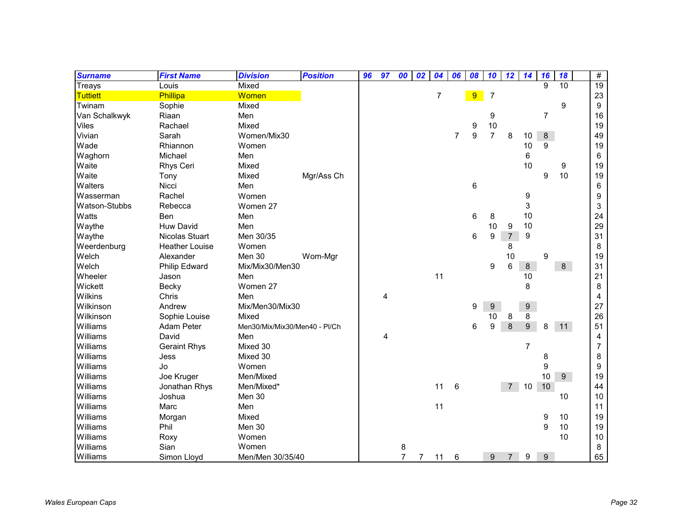| <b>Surname</b>       | <b>First Name</b>     | <b>Division</b>               | <b>Position</b> | 96 | 97             | 00             | 02          | 04             | 06             | 08 | 10             | 12             | 14      | 16             | 18 | $\#$            |
|----------------------|-----------------------|-------------------------------|-----------------|----|----------------|----------------|-------------|----------------|----------------|----|----------------|----------------|---------|----------------|----|-----------------|
| Treays               | Louis                 | Mixed                         |                 |    |                |                |             |                |                |    |                |                |         | 9              | 10 | $\overline{19}$ |
| <b>Tuttiett</b>      | Phillipa              | Women                         |                 |    |                |                |             | $\overline{7}$ |                | 9  | $\overline{7}$ |                |         |                |    | 23              |
| Twinam               | Sophie                | Mixed                         |                 |    |                |                |             |                |                |    |                |                |         |                | 9  | 9               |
| Van Schalkwyk        | Riaan                 | Men                           |                 |    |                |                |             |                |                |    | 9              |                |         | 7              |    | 16              |
| <b>Viles</b>         | Rachael               | Mixed                         |                 |    |                |                |             |                |                | 9  | 10             |                |         |                |    | 19              |
| Vivian               | Sarah                 | Women/Mix30                   |                 |    |                |                |             |                | $\overline{7}$ | 9  | $\overline{7}$ | 8              | 10      | $8\phantom{1}$ |    | 49              |
| Wade                 | Rhiannon              | Women                         |                 |    |                |                |             |                |                |    |                |                | 10      | 9              |    | 19              |
| Waghorn              | Michael               | Men                           |                 |    |                |                |             |                |                |    |                |                | 6       |                |    | 6               |
| Waite                | Rhys Ceri             | Mixed                         |                 |    |                |                |             |                |                |    |                |                | 10      |                | 9  | 19              |
| Waite                | Tony                  | Mixed                         | Mgr/Ass Ch      |    |                |                |             |                |                |    |                |                |         | 9              | 10 | 19              |
| Walters              | Nicci                 | Men                           |                 |    |                |                |             |                |                | 6  |                |                |         |                |    | 6               |
| Wasserman            | Rachel                | Women                         |                 |    |                |                |             |                |                |    |                |                | 9       |                |    | 9               |
| <b>Watson-Stubbs</b> | Rebecca               | Women 27                      |                 |    |                |                |             |                |                |    |                |                | 3       |                |    | 3               |
| Watts                | Ben                   | Men                           |                 |    |                |                |             |                |                | 6  | 8              |                | 10      |                |    | 24              |
| Waythe               | <b>Huw David</b>      | Men                           |                 |    |                |                |             |                |                |    | 10             | 9              | 10      |                |    | 29              |
| Waythe               | Nicolas Stuart        | Men 30/35                     |                 |    |                |                |             |                |                | 6  | 9              | $\overline{7}$ | 9       |                |    | 31              |
| Weerdenburg          | <b>Heather Louise</b> | Women                         |                 |    |                |                |             |                |                |    |                | 8              |         |                |    | 8               |
| Welch                | Alexander             | Men 30                        | Wom-Mgr         |    |                |                |             |                |                |    |                | 10             |         | 9              |    | 19              |
| Welch                | Philip Edward         | Mix/Mix30/Men30               |                 |    |                |                |             |                |                |    | 9              | 6              | $\bf 8$ |                | 8  | 31              |
| Wheeler              | Jason                 | Men                           |                 |    |                |                |             | 11             |                |    |                |                | 10      |                |    | 21              |
| Wickett              | Becky                 | Women 27                      |                 |    |                |                |             |                |                |    |                |                | 8       |                |    | 8               |
| Wilkins              | Chris                 | Men                           |                 |    | $\overline{4}$ |                |             |                |                |    |                |                |         |                |    | 4               |
| Wilkinson            | Andrew                | Mix/Men30/Mix30               |                 |    |                |                |             |                |                | 9  | 9              |                | 9       |                |    | 27              |
| Wilkinson            | Sophie Louise         | Mixed                         |                 |    |                |                |             |                |                |    | 10             | 8              | 8       |                |    | 26              |
| Williams             | Adam Peter            | Men30/Mix/Mix30/Men40 - PI/Ch |                 |    |                |                |             |                |                | 6  | 9              | $\,8\,$        | 9       | 8              | 11 | 51              |
| Williams             | David                 | Men                           |                 |    | 4              |                |             |                |                |    |                |                |         |                |    | 4               |
| Williams             | <b>Geraint Rhys</b>   | Mixed 30                      |                 |    |                |                |             |                |                |    |                |                | 7       |                |    | 7               |
| Williams             | Jess                  | Mixed 30                      |                 |    |                |                |             |                |                |    |                |                |         | 8              |    | 8               |
| Williams             | Jo                    | Women                         |                 |    |                |                |             |                |                |    |                |                |         | 9              |    | 9               |
| Williams             | Joe Kruger            | Men/Mixed                     |                 |    |                |                |             |                |                |    |                |                |         | 10             | 9  | 19              |
| Williams             | Jonathan Rhys         | Men/Mixed*                    |                 |    |                |                |             | 11             | 6              |    |                | $7^{\circ}$    | 10      | 10             |    | 44              |
| Williams             | Joshua                | Men 30                        |                 |    |                |                |             |                |                |    |                |                |         |                | 10 | 10              |
| Williams             | Marc                  | Men                           |                 |    |                |                |             | 11             |                |    |                |                |         |                |    | 11              |
| Williams             | Morgan                | Mixed                         |                 |    |                |                |             |                |                |    |                |                |         | 9              | 10 | 19              |
| Williams             | Phil                  | Men 30                        |                 |    |                |                |             |                |                |    |                |                |         | 9              | 10 | 19              |
| Williams             | Roxy                  | Women                         |                 |    |                |                |             |                |                |    |                |                |         |                | 10 | 10              |
| Williams             | Sian                  | Women                         |                 |    |                | 8              |             |                |                |    |                |                |         |                |    | 8               |
| Williams             | Simon Lloyd           | Men/Men 30/35/40              |                 |    |                | $\overline{7}$ | $7^{\circ}$ | 11             | 6              |    | 9              | $\overline{7}$ | 9       | 9              |    | 65              |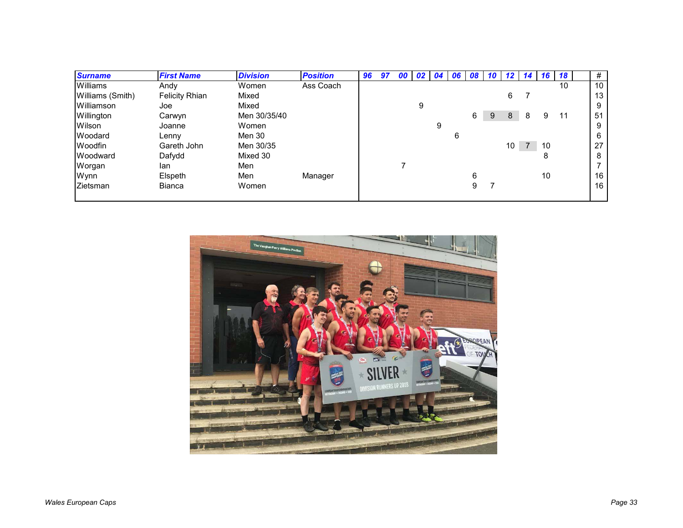| <b>Surname</b>   | <b>First Name</b>     | <b>Division</b> | <b>Position</b> | 96 | 97 | 00 | <b>02</b> l | 04 | 06 | 08 |   | $10$ 12 | <b>14</b>      | 16 | 18 | #  |
|------------------|-----------------------|-----------------|-----------------|----|----|----|-------------|----|----|----|---|---------|----------------|----|----|----|
| Williams         | Andy                  | Women           | Ass Coach       |    |    |    |             |    |    |    |   |         |                |    | 10 | 10 |
| Williams (Smith) | <b>Felicity Rhian</b> | Mixed           |                 |    |    |    |             |    |    |    |   | 6       |                |    |    | 13 |
| Williamson       | Joe                   | Mixed           |                 |    |    |    | 9           |    |    |    |   |         |                |    |    | 9  |
| Willington       | Carwyn                | Men 30/35/40    |                 |    |    |    |             |    |    | 6  | 9 | 8       | 8              | 9  | 11 | 51 |
| Wilson           | Joanne                | Women           |                 |    |    |    |             | 9  |    |    |   |         |                |    |    | 9  |
| Woodard          | Lenny                 | Men 30          |                 |    |    |    |             |    | 6  |    |   |         |                |    |    | 6  |
| Woodfin          | Gareth John           | Men 30/35       |                 |    |    |    |             |    |    |    |   | 10      | $\overline{7}$ | 10 |    | 27 |
| Woodward         | Dafydd                | Mixed 30        |                 |    |    |    |             |    |    |    |   |         |                | 8  |    | 8  |
| Worgan           | lan                   | Men             |                 |    |    |    |             |    |    |    |   |         |                |    |    |    |
| Wynn             | Elspeth               | Men             | Manager         |    |    |    |             |    |    | 6  |   |         |                | 10 |    | 16 |
| Zietsman         | <b>Bianca</b>         | Women           |                 |    |    |    |             |    |    | 9  |   |         |                |    |    | 16 |
|                  |                       |                 |                 |    |    |    |             |    |    |    |   |         |                |    |    |    |

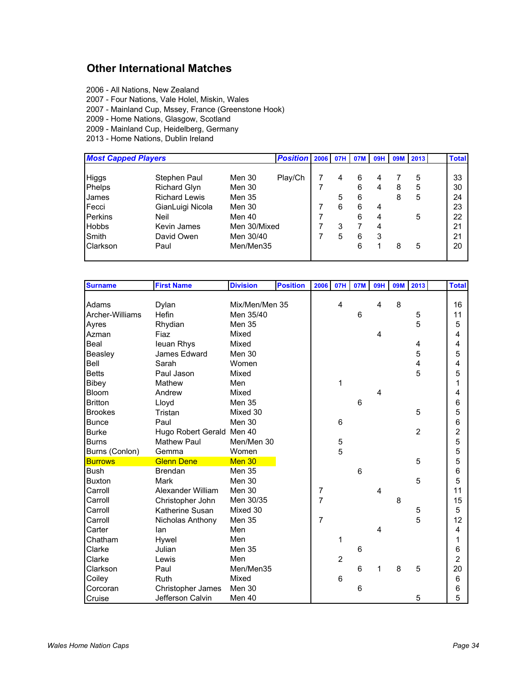### **Other International Matches**

- 2006 All Nations, New Zealand
- 2007 Four Nations, Vale Holel, Miskin, Wales
- 2007 Mainland Cup, Mssey, France (Greenstone Hook)
- 2009 Home Nations, Glasgow, Scotland
- 2009 Mainland Cup, Heidelberg, Germany
- 2013 Home Nations, Dublin Ireland

| <b>Most Capped Players</b> |                      |               | Position 2006 07H |   | 07M | <b>09H</b> | <b>09M</b> | 2013 | <b>Total</b> |
|----------------------------|----------------------|---------------|-------------------|---|-----|------------|------------|------|--------------|
| Higgs                      | Stephen Paul         | Men 30        | Play/Ch           | 4 | 6   | 4          |            | 5    | 33           |
| Phelps                     | <b>Richard Glyn</b>  | Men 30        |                   |   | 6   |            | 8          | 5    | 30           |
| James                      | <b>Richard Lewis</b> | <b>Men 35</b> |                   | 5 | 6   |            | 8          | 5    | 24           |
| Fecci                      | GianLuigi Nicola     | Men 30        |                   | 6 | 6   | 4          |            |      | 23           |
| <b>Perkins</b>             | Neil                 | Men 40        |                   |   | 6   | 4          |            | 5    | 22           |
| <b>Hobbs</b>               | <b>Kevin James</b>   | Men 30/Mixed  |                   | 3 |     | 4          |            |      | 21           |
| Smith                      | David Owen           | Men 30/40     |                   | 5 | 6   | 3          |            |      | 21           |
| <b>Clarkson</b>            | Paul                 | Men/Men35     |                   |   | 6   |            | 8          | 5    | 20           |

| <b>Surname</b>  | <b>First Name</b>         | <b>Division</b> | <b>Position</b> | 2006             | 07H            | 07M            | <b>09H</b>              | <b>09M</b> | 2013           | <b>Total</b>    |
|-----------------|---------------------------|-----------------|-----------------|------------------|----------------|----------------|-------------------------|------------|----------------|-----------------|
|                 |                           |                 |                 |                  |                |                |                         |            |                |                 |
| Adams           | Dylan                     | Mix/Men/Men 35  |                 |                  | $\overline{4}$ |                | 4                       | 8          |                | 16              |
| Archer-Williams | Hefin                     | Men 35/40       |                 |                  |                | 6              |                         |            | 5              | 11              |
| Ayres           | Rhydian                   | Men 35          |                 |                  |                |                |                         |            | 5              | 5               |
| Azman           | Fiaz                      | Mixed           |                 |                  |                |                | 4                       |            |                | 4               |
| Beal            | leuan Rhys                | Mixed           |                 |                  |                |                |                         |            | $\overline{4}$ | 4               |
| Beasley         | James Edward              | Men 30          |                 |                  |                |                |                         |            | 5              | 5               |
| Bell            | Sarah                     | Women           |                 |                  |                |                |                         |            | 4              | 4               |
| <b>Betts</b>    | Paul Jason                | Mixed           |                 |                  |                |                |                         |            | 5              | 5               |
| Bibey           | Mathew                    | Men             |                 |                  | 1              |                |                         |            |                | 1               |
| <b>Bloom</b>    | Andrew                    | Mixed           |                 |                  |                |                | 4                       |            |                | 4               |
| <b>Britton</b>  | Lloyd                     | Men 35          |                 |                  |                | 6              |                         |            |                | 6               |
| <b>Brookes</b>  | Tristan                   | Mixed 30        |                 |                  |                |                |                         |            | 5              | 5               |
| <b>Bunce</b>    | Paul                      | Men 30          |                 |                  | $6\phantom{1}$ |                |                         |            |                | $6\phantom{1}6$ |
| <b>Burke</b>    | Hugo Robert Gerald Men 40 |                 |                 |                  |                |                |                         |            | $\overline{2}$ | $\overline{c}$  |
| <b>Burns</b>    | <b>Mathew Paul</b>        | Men/Men 30      |                 |                  | 5              |                |                         |            |                | 5               |
| Burns (Conlon)  | Gemma                     | Women           |                 |                  | 5              |                |                         |            |                | 5               |
| <b>Burrows</b>  | <b>Glenn Dene</b>         | Men 30          |                 |                  |                |                |                         |            | 5              | 5               |
| <b>Bush</b>     | <b>Brendan</b>            | <b>Men 35</b>   |                 |                  |                | $6\phantom{1}$ |                         |            |                | 6               |
| <b>Buxton</b>   | <b>Mark</b>               | Men 30          |                 |                  |                |                |                         |            | 5              | 5               |
| Carroll         | Alexander William         | Men 30          |                 | $\boldsymbol{7}$ |                |                | $\overline{\mathbf{4}}$ |            |                | 11              |
| Carroll         | Christopher John          | Men 30/35       |                 | 7                |                |                |                         | 8          |                | 15              |
| Carroll         | Katherine Susan           | Mixed 30        |                 |                  |                |                |                         |            |                | 5               |
| Carroll         | Nicholas Anthony          | Men 35          |                 | $\overline{7}$   |                |                |                         |            | 5<br>5         | 12              |
| Carter          | lan                       | Men             |                 |                  |                |                | 4                       |            |                | 4               |
| Chatham         | Hywel                     | Men             |                 |                  | 1              |                |                         |            |                | 1               |
| Clarke          | Julian                    | <b>Men 35</b>   |                 |                  |                | 6              |                         |            |                | $\,6$           |
| Clarke          | Lewis                     | Men             |                 |                  | $\overline{2}$ |                |                         |            |                | $\overline{2}$  |
| Clarkson        | Paul                      | Men/Men35       |                 |                  |                | 6              |                         | 8          | 5              | 20              |
| Coiley          | <b>Ruth</b>               | Mixed           |                 |                  | $6\phantom{1}$ |                |                         |            |                | $6\phantom{1}$  |
| Corcoran        | Christopher James         | Men 30          |                 |                  |                | 6              |                         |            |                | 6               |
| Cruise          | Jefferson Calvin          | Men 40          |                 |                  |                |                |                         |            | 5              | 5               |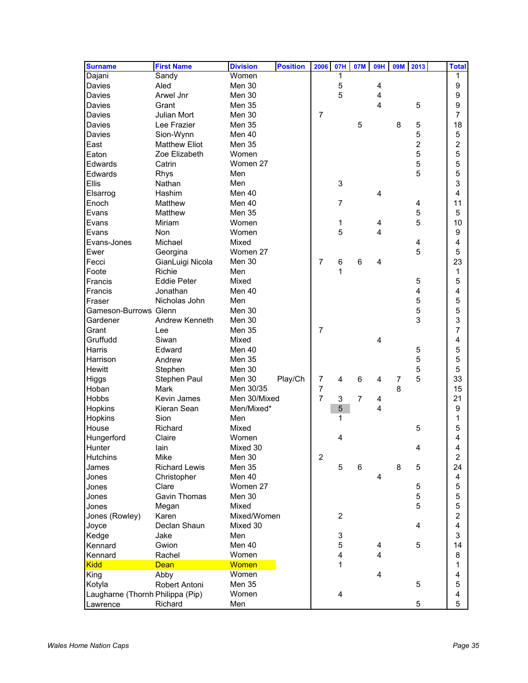| <b>Surname</b>                   | <b>First Name</b>    | <b>Division</b> | <b>Position</b> | 2006           | 07H                                      | 07M            | <b>09H</b>              | <b>09M</b> | 2013           | <b>Total</b>        |
|----------------------------------|----------------------|-----------------|-----------------|----------------|------------------------------------------|----------------|-------------------------|------------|----------------|---------------------|
| Dajani                           | Sandy                | Women           |                 |                | 1                                        |                |                         |            |                |                     |
| Davies                           | Aled                 | Men 30          |                 |                | $\mathbf 5$                              |                | 4                       |            |                | $\boldsymbol{9}$    |
| Davies                           | Arwel Jnr            | Men 30          |                 |                | 5                                        |                | $\overline{\mathbf{4}}$ |            |                | 9                   |
| Davies                           | Grant                | Men 35          |                 |                |                                          |                | 4                       |            | 5              | 9                   |
| Davies                           | <b>Julian Mort</b>   | Men 30          |                 | $\overline{7}$ |                                          |                |                         |            |                | 7                   |
| <b>Davies</b>                    | Lee Frazier          | Men 35          |                 |                |                                          | 5              |                         | 8          | 5              | 18                  |
| Davies                           | Sion-Wynn            | Men 40          |                 |                |                                          |                |                         |            | 5              | 5                   |
| East                             | <b>Matthew Eliot</b> | Men 35          |                 |                |                                          |                |                         |            | $\overline{c}$ | 2                   |
| Eaton                            | Zoe Elizabeth        | Women           |                 |                |                                          |                |                         |            | 5              | 5                   |
| Edwards                          | Catrin               | Women 27        |                 |                |                                          |                |                         |            | 5              | 5                   |
| Edwards                          | Rhys                 | Men             |                 |                |                                          |                |                         |            | 5              | 5                   |
| <b>Ellis</b>                     | Nathan               | Men             |                 |                | $\ensuremath{\mathsf{3}}$                |                |                         |            |                | 3                   |
| Elsarrog                         | Hashim               | Men 40          |                 |                |                                          |                | 4                       |            |                | $\overline{4}$      |
| Enoch                            | Matthew              | Men 40          |                 |                | $\overline{7}$                           |                |                         |            | 4              | 11                  |
| Evans                            | Matthew              | Men 35          |                 |                |                                          |                |                         |            | 5              | 5                   |
| Evans                            | Miriam               | Women           |                 |                | 1                                        |                | 4                       |            | 5              | 10                  |
| Evans                            | Non                  | Women           |                 |                | 5                                        |                | 4                       |            |                | 9                   |
| Evans-Jones                      | Michael              | Mixed           |                 |                |                                          |                |                         |            | 4              | $\overline{4}$      |
| Ewer                             | Georgina             | Women 27        |                 |                |                                          |                |                         |            | 5              | 5                   |
| Fecci                            | GianLuigi Nicola     | Men 30          |                 | $\overline{7}$ | $\,6$                                    | 6              | 4                       |            |                | 23                  |
| Foote                            | Richie               | Men             |                 |                | 1                                        |                |                         |            |                | 1                   |
| Francis                          | <b>Eddie Peter</b>   | Mixed           |                 |                |                                          |                |                         |            | 5              | 5                   |
| Francis                          | Jonathan             | Men 40          |                 |                |                                          |                |                         |            | 4              | 4                   |
| Fraser                           | Nicholas John        | Men             |                 |                |                                          |                |                         |            | 5              | 5                   |
| <b>Gameson-Burrows Glenn</b>     |                      | Men 30          |                 |                |                                          |                |                         |            | 5              | 5                   |
| Gardener                         | Andrew Kenneth       | Men 30          |                 |                |                                          |                |                         |            | 3              | 3                   |
| Grant                            | Lee                  | Men 35          |                 | $\overline{7}$ |                                          |                |                         |            |                | 7                   |
| Gruffudd                         | Siwan                | Mixed           |                 |                |                                          |                | 4                       |            |                | $\overline{4}$      |
| Harris                           | Edward               | Men 40          |                 |                |                                          |                |                         |            | 5              | 5                   |
| Harrison                         | Andrew               | Men 35          |                 |                |                                          |                |                         |            | 5              | 5                   |
| Hewitt                           | Stephen              | Men 30          |                 |                |                                          |                |                         |            | 5              | 5                   |
| Higgs                            | Stephen Paul         | Men 30          | Play/Ch         | $\overline{7}$ | $\overline{4}$                           | 6              | 4                       | 7          | 5              | 33                  |
| Hoban                            | <b>Mark</b>          | Men 30/35       |                 | 7              |                                          |                |                         | 8          |                | 15                  |
| <b>Hobbs</b>                     | <b>Kevin James</b>   | Men 30/Mixed    |                 | $\overline{7}$ | 3                                        | $\overline{7}$ | 4                       |            |                | 21                  |
| <b>Hopkins</b>                   | Kieran Sean          | Men/Mixed*      |                 |                | 5                                        |                | $\overline{4}$          |            |                | 9                   |
| Hopkins                          | Sion                 | Men             |                 |                | 1                                        |                |                         |            |                | 1                   |
| House                            | Richard              | Mixed           |                 |                |                                          |                |                         |            | 5              | 5                   |
| Hungerford                       | Claire               | Women           |                 |                | 4                                        |                |                         |            |                | 4                   |
| Hunter                           | lain                 | Mixed 30        |                 |                |                                          |                |                         |            | 4              |                     |
| Hutchins                         | Mike                 | Men 30          |                 | $\overline{2}$ |                                          |                |                         |            |                | 4<br>$\overline{c}$ |
| James                            | <b>Richard Lewis</b> | Men 35          |                 |                | 5                                        | 6              |                         | 8          | 5              | 24                  |
| Jones                            | Christopher          | Men 40          |                 |                |                                          |                | 4                       |            |                | 4                   |
| Jones                            | Clare                | Women 27        |                 |                |                                          |                |                         |            | 5              | 5                   |
| Jones                            | <b>Gavin Thomas</b>  | Men 30          |                 |                |                                          |                |                         |            | 5              | 5                   |
| Jones                            | Megan                | Mixed           |                 |                |                                          |                |                         |            | 5              | 5                   |
| Jones (Rowley)                   | Karen                | Mixed/Women     |                 |                | $\overline{c}$                           |                |                         |            |                | $\overline{c}$      |
|                                  | Declan Shaun         | Mixed 30        |                 |                |                                          |                |                         |            | 4              | $\overline{4}$      |
| Joyce                            |                      | Men             |                 |                |                                          |                |                         |            |                | 3                   |
| Kedge                            | Jake                 |                 |                 |                | $\ensuremath{\mathsf{3}}$<br>$\mathbf 5$ |                |                         |            | 5              |                     |
| Kennard                          | Gwion                | Men 40          |                 |                | $\overline{\mathbf{4}}$                  |                | 4<br>4                  |            |                | 14                  |
| Kennard<br>Kidd                  | Rachel               | Women           |                 |                |                                          |                |                         |            |                | 8                   |
|                                  | <b>Dean</b>          | <b>Women</b>    |                 |                | $\mathbf{1}$                             |                |                         |            |                | 1                   |
| King                             | Abby                 | Women           |                 |                |                                          |                | 4                       |            |                | 4                   |
| Kotyla                           | Robert Antoni        | Men 35          |                 |                |                                          |                |                         |            | 5              | 5                   |
| Laugharne (Thornh Philippa (Pip) |                      | Women           |                 |                | 4                                        |                |                         |            |                | 4                   |
| Lawrence                         | Richard              | Men             |                 |                |                                          |                |                         |            | 5              | 5                   |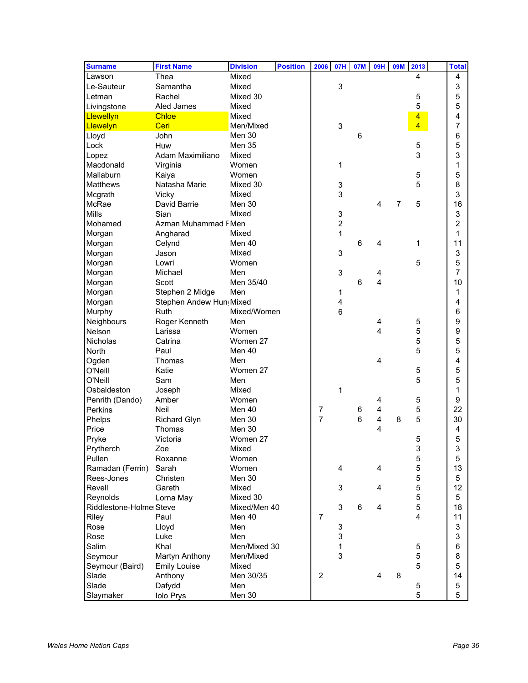| <b>Surname</b>          | <b>First Name</b>        | <b>Division</b> | <b>Position</b> | 2006           | 07H                     | 07M | <b>09H</b>     | <b>09M</b> | 2013           | <b>Total</b>     |  |
|-------------------------|--------------------------|-----------------|-----------------|----------------|-------------------------|-----|----------------|------------|----------------|------------------|--|
| Lawson                  | Thea                     | Mixed           |                 |                |                         |     |                |            | 4              | 4                |  |
| Le-Sauteur              | Samantha                 | Mixed           |                 |                | 3                       |     |                |            |                | 3                |  |
| Letman                  | Rachel                   | Mixed 30        |                 |                |                         |     |                |            | 5              | 5                |  |
| Livingstone             | Aled James               | Mixed           |                 |                |                         |     |                |            | 5              | 5                |  |
| Llewellyn               | <b>Chloe</b>             | Mixed           |                 |                |                         |     |                |            | $\overline{4}$ | 4                |  |
| Llewelyn                | Ceri                     | Men/Mixed       |                 |                | 3                       |     |                |            | $\overline{4}$ | $\overline{7}$   |  |
| Lloyd                   | John                     | Men 30          |                 |                |                         | 6   |                |            |                | 6                |  |
| Lock                    | Huw                      | Men 35          |                 |                |                         |     |                |            | 5              | 5                |  |
| Lopez                   | Adam Maximiliano         | Mixed           |                 |                |                         |     |                |            | 3              | 3                |  |
| Macdonald               | Virginia                 | Women           |                 |                | 1                       |     |                |            |                | 1                |  |
| Mallaburn               | Kaiya                    | Women           |                 |                |                         |     |                |            | 5              | 5                |  |
| <b>Matthews</b>         | Natasha Marie            | Mixed 30        |                 |                | 3                       |     |                |            | 5              | 8                |  |
| Mcgrath                 | Vicky                    | Mixed           |                 |                | 3                       |     |                |            |                | 3                |  |
| McRae                   | David Barrie             | Men 30          |                 |                |                         |     | 4              | 7          | 5              | 16               |  |
| <b>Mills</b>            | Sian                     | Mixed           |                 |                |                         |     |                |            |                | 3                |  |
|                         |                          |                 |                 |                | 3                       |     |                |            |                |                  |  |
| Mohamed                 | Azman Muhammad F Men     | Mixed           |                 |                | $\overline{\mathbf{c}}$ |     |                |            |                | $\overline{c}$   |  |
| Morgan                  | Angharad                 |                 |                 |                | 1                       |     |                |            |                | 1                |  |
| Morgan                  | Celynd                   | Men 40          |                 |                |                         | 6   | 4              |            | 1              | 11               |  |
| Morgan                  | Jason                    | Mixed           |                 |                | 3                       |     |                |            |                | 3                |  |
| Morgan                  | Lowri                    | Women           |                 |                |                         |     |                |            | 5              | 5                |  |
| Morgan                  | Michael                  | Men             |                 |                | 3                       |     | 4              |            |                | $\overline{7}$   |  |
| Morgan                  | Scott                    | Men 35/40       |                 |                |                         | 6   | 4              |            |                | 10               |  |
| Morgan                  | Stephen 2 Midge          | Men             |                 |                | 1                       |     |                |            |                | 1                |  |
| Morgan                  | Stephen Andew Hun, Mixed |                 |                 |                | 4                       |     |                |            |                | 4                |  |
| Murphy                  | Ruth                     | Mixed/Women     |                 |                | 6                       |     |                |            |                | 6                |  |
| Neighbours              | Roger Kenneth            | Men             |                 |                |                         |     | 4              |            | 5              | 9                |  |
| Nelson                  | Larissa                  | Women           |                 |                |                         |     | 4              |            | 5              | 9                |  |
| <b>Nicholas</b>         | Catrina                  | Women 27        |                 |                |                         |     |                |            | 5              | 5                |  |
| North                   | Paul                     | Men 40          |                 |                |                         |     |                |            | 5              | 5                |  |
| Ogden                   | Thomas                   | Men             |                 |                |                         |     | $\overline{4}$ |            |                | 4                |  |
| O'Neill                 | Katie                    | Women 27        |                 |                |                         |     |                |            | 5              | 5                |  |
| O'Neill                 | Sam                      | Men             |                 |                |                         |     |                |            | 5              | 5                |  |
| Osbaldeston             | Joseph                   | Mixed           |                 |                | 1                       |     |                |            |                | 1                |  |
| Penrith (Dando)         | Amber                    | Women           |                 |                |                         |     | 4              |            | 5              | $\boldsymbol{9}$ |  |
| <b>Perkins</b>          | Neil                     | Men 40          |                 | 7              |                         | 6   | 4              |            | 5              | 22               |  |
| Phelps                  | <b>Richard Glyn</b>      | Men 30          |                 | 7              |                         | 6   | 4              | 8          | 5              | 30               |  |
| Price                   | Thomas                   | Men 30          |                 |                |                         |     | 4              |            |                | 4                |  |
| Pryke                   | Victoria                 | Women 27        |                 |                |                         |     |                |            | 5              | 5                |  |
| Prytherch               | Zoe                      | Mixed           |                 |                |                         |     |                |            | 3              | 3                |  |
| Pullen                  | Roxanne                  | Women           |                 |                |                         |     |                |            | 5              | 5                |  |
| Ramadan (Ferrin)        | Sarah                    | Women           |                 |                | 4                       |     | 4              |            | 5              | 13               |  |
| Rees-Jones              | Christen                 | Men 30          |                 |                |                         |     |                |            | 5              | 5                |  |
| Revell                  | Gareth                   | Mixed           |                 |                | 3                       |     | 4              |            | 5              | 12               |  |
| Reynolds                | Lorna May                | Mixed 30        |                 |                |                         |     |                |            | 5              | 5                |  |
| Riddlestone-Holme Steve |                          | Mixed/Men 40    |                 |                | 3                       | 6   | 4              |            | 5              | 18               |  |
| Riley                   | Paul                     | Men 40          |                 | $\overline{7}$ |                         |     |                |            | 4              | 11               |  |
| Rose                    | Lloyd                    | Men             |                 |                | 3                       |     |                |            |                | 3                |  |
| Rose                    | Luke                     | Men             |                 |                | 3                       |     |                |            |                | 3                |  |
| Salim                   | Khal                     | Men/Mixed 30    |                 |                | 1                       |     |                |            | 5              | 6                |  |
| Seymour                 | Martyn Anthony           | Men/Mixed       |                 |                | 3                       |     |                |            | 5              | 8                |  |
| Seymour (Baird)         | <b>Emily Louise</b>      | Mixed           |                 |                |                         |     |                |            | 5              | 5                |  |
| Slade                   | Anthony                  | Men 30/35       |                 | $\overline{2}$ |                         |     | 4              | 8          |                | 14               |  |
| Slade                   | Dafydd                   | Men             |                 |                |                         |     |                |            | 5              | 5                |  |
| Slaymaker               | <b>Iolo Prys</b>         | Men 30          |                 |                |                         |     |                |            | 5              | 5                |  |
|                         |                          |                 |                 |                |                         |     |                |            |                |                  |  |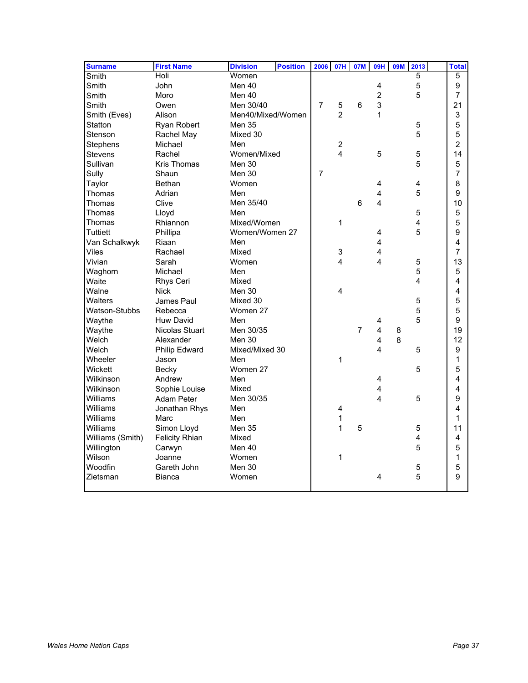| <b>Surname</b>   | <b>First Name</b>     | <b>Division</b>   | <b>Position</b> | 2006           | <b>07H</b>              | 07M            | 09H                     | <b>09M</b> | 2013                    | <b>Total</b>     |
|------------------|-----------------------|-------------------|-----------------|----------------|-------------------------|----------------|-------------------------|------------|-------------------------|------------------|
| Smith            | Holi                  | Women             |                 |                |                         |                |                         |            | $\overline{5}$          | 5                |
| Smith            | John                  | Men 40            |                 |                |                         |                | $\overline{\mathbf{4}}$ |            | 5                       | 9                |
| Smith            | Moro                  | Men 40            |                 |                |                         |                | $\overline{2}$          |            | 5                       | $\overline{7}$   |
| Smith            | Owen                  | Men 30/40         |                 | $\overline{7}$ | 5                       | 6              | 3                       |            |                         | 21               |
| Smith (Eves)     | Alison                | Men40/Mixed/Women |                 |                | $\overline{2}$          |                | 1                       |            |                         | 3                |
| Statton          | Ryan Robert           | <b>Men 35</b>     |                 |                |                         |                |                         |            | 5                       | 5                |
| Stenson          | Rachel May            | Mixed 30          |                 |                |                         |                |                         |            | 5                       | 5                |
| Stephens         | Michael               | Men               |                 |                | $\frac{2}{4}$           |                |                         |            |                         | $\overline{2}$   |
| Stevens          | Rachel                | Women/Mixed       |                 |                |                         |                | 5                       |            | 5                       | 14               |
| Sullivan         | <b>Kris Thomas</b>    | Men 30            |                 |                |                         |                |                         |            | 5                       | 5                |
| Sully            | Shaun                 | Men 30            |                 | $\overline{7}$ |                         |                |                         |            |                         | $\overline{7}$   |
| Taylor           | <b>Bethan</b>         | Women             |                 |                |                         |                | 4                       |            | 4                       | 8                |
| Thomas           | Adrian                | Men               |                 |                |                         |                | $\overline{\mathbf{4}}$ |            | 5                       | $\boldsymbol{9}$ |
| Thomas           | Clive                 | Men 35/40         |                 |                |                         | 6              | 4                       |            |                         | 10               |
| Thomas           | Lloyd                 | Men               |                 |                |                         |                |                         |            | 5                       | 5                |
| Thomas           | Rhiannon              | Mixed/Women       |                 |                | 1                       |                |                         |            | $\overline{\mathbf{4}}$ | 5                |
| Tuttiett         | Phillipa              | Women/Women 27    |                 |                |                         |                | 4                       |            | 5                       | 9                |
| Van Schalkwyk    | Riaan                 | Men               |                 |                |                         |                | $\overline{\mathbf{4}}$ |            |                         | 4                |
| Viles            | Rachael               | Mixed             |                 |                | 3                       |                | $\overline{\mathbf{4}}$ |            |                         | $\overline{7}$   |
| Vivian           | Sarah                 | Women             |                 |                | 4                       |                | 4                       |            | 5                       | 13               |
| Waghorn          | Michael               | Men               |                 |                |                         |                |                         |            | 5                       | 5                |
| Waite            | Rhys Ceri             | Mixed             |                 |                |                         |                |                         |            | 4                       | 4                |
| Walne            | <b>Nick</b>           | Men 30            |                 |                | 4                       |                |                         |            |                         | 4                |
| <b>Walters</b>   | <b>James Paul</b>     | Mixed 30          |                 |                |                         |                |                         |            | 5                       | 5                |
| Watson-Stubbs    | Rebecca               | Women 27          |                 |                |                         |                |                         |            | 5                       | 5                |
| Waythe           | <b>Huw David</b>      | Men               |                 |                |                         |                | 4                       |            | 5                       | 9                |
| Waythe           | Nicolas Stuart        | Men 30/35         |                 |                |                         | $\overline{7}$ | 4                       | 8          |                         | 19               |
| Welch            | Alexander             | Men 30            |                 |                |                         |                | 4                       | 8          |                         | 12               |
| Welch            | Philip Edward         | Mixed/Mixed 30    |                 |                |                         |                | 4                       |            | 5                       | 9                |
| Wheeler          | Jason                 | Men               |                 |                | 1                       |                |                         |            |                         | 1                |
| <b>Wickett</b>   | Becky                 | Women 27          |                 |                |                         |                |                         |            | 5                       | 5                |
| Wilkinson        | Andrew                | Men               |                 |                |                         |                | 4                       |            |                         | 4                |
| Wilkinson        | Sophie Louise         | Mixed             |                 |                |                         |                | 4                       |            |                         | 4                |
| Williams         | <b>Adam Peter</b>     | Men 30/35         |                 |                |                         |                | 4                       |            | 5                       | 9                |
| Williams         | Jonathan Rhys         | Men               |                 |                | $\overline{\mathbf{4}}$ |                |                         |            |                         | 4                |
| Williams         | Marc                  | Men               |                 |                | $\mathbf 1$             |                |                         |            |                         | $\mathbf{1}$     |
| Williams         | Simon Lloyd           | Men 35            |                 |                | 1                       | 5              |                         |            | 5                       | 11               |
| Williams (Smith) | <b>Felicity Rhian</b> | Mixed             |                 |                |                         |                |                         |            | 4                       | 4                |
| Willington       | Carwyn                | Men 40            |                 |                |                         |                |                         |            | 5                       | 5                |
| Wilson           | Joanne                | Women             |                 |                | 1                       |                |                         |            |                         | 1                |
| Woodfin          | Gareth John           | Men 30            |                 |                |                         |                |                         |            | 5                       | 5                |
| Zietsman         | <b>Bianca</b>         | Women             |                 |                |                         |                | 4                       |            | 5                       | 9                |
|                  |                       |                   |                 |                |                         |                |                         |            |                         |                  |